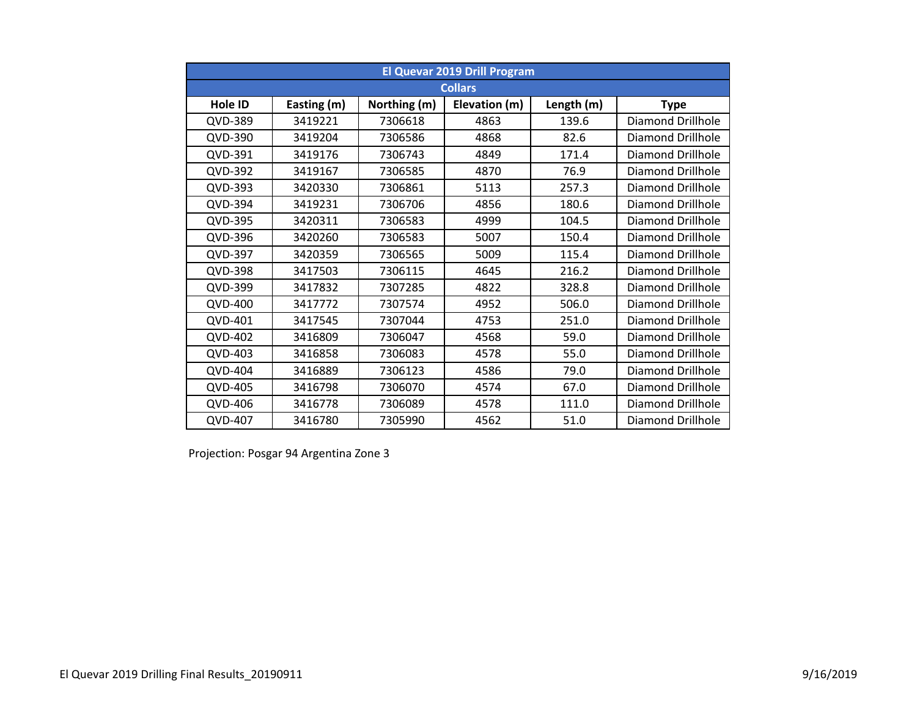|                | <b>El Quevar 2019 Drill Program</b> |              |                |            |                          |  |  |  |  |  |  |
|----------------|-------------------------------------|--------------|----------------|------------|--------------------------|--|--|--|--|--|--|
|                |                                     |              | <b>Collars</b> |            |                          |  |  |  |  |  |  |
| Hole ID        | Easting (m)                         | Northing (m) | Elevation (m)  | Length (m) | <b>Type</b>              |  |  |  |  |  |  |
| QVD-389        | 3419221                             | 7306618      | 4863           | 139.6      | <b>Diamond Drillhole</b> |  |  |  |  |  |  |
| QVD-390        | 3419204                             | 7306586      | 4868           | 82.6       | Diamond Drillhole        |  |  |  |  |  |  |
| QVD-391        | 3419176                             | 7306743      | 4849           | 171.4      | Diamond Drillhole        |  |  |  |  |  |  |
| QVD-392        | 3419167                             | 7306585      | 4870           | 76.9       | <b>Diamond Drillhole</b> |  |  |  |  |  |  |
| QVD-393        | 3420330                             | 7306861      | 5113           | 257.3      | <b>Diamond Drillhole</b> |  |  |  |  |  |  |
| QVD-394        | 3419231                             | 7306706      | 4856           | 180.6      | Diamond Drillhole        |  |  |  |  |  |  |
| QVD-395        | 3420311                             | 7306583      | 4999           | 104.5      | <b>Diamond Drillhole</b> |  |  |  |  |  |  |
| QVD-396        | 3420260                             | 7306583      | 5007           | 150.4      | <b>Diamond Drillhole</b> |  |  |  |  |  |  |
| QVD-397        | 3420359                             | 7306565      | 5009           | 115.4      | Diamond Drillhole        |  |  |  |  |  |  |
| QVD-398        | 3417503                             | 7306115      | 4645           | 216.2      | Diamond Drillhole        |  |  |  |  |  |  |
| QVD-399        | 3417832                             | 7307285      | 4822           | 328.8      | <b>Diamond Drillhole</b> |  |  |  |  |  |  |
| QVD-400        | 3417772                             | 7307574      | 4952           | 506.0      | <b>Diamond Drillhole</b> |  |  |  |  |  |  |
| QVD-401        | 3417545                             | 7307044      | 4753           | 251.0      | Diamond Drillhole        |  |  |  |  |  |  |
| <b>QVD-402</b> | 3416809                             | 7306047      | 4568           | 59.0       | <b>Diamond Drillhole</b> |  |  |  |  |  |  |
| QVD-403        | 3416858                             | 7306083      | 4578           | 55.0       | Diamond Drillhole        |  |  |  |  |  |  |
| <b>QVD-404</b> | 3416889                             | 7306123      | 4586           | 79.0       | Diamond Drillhole        |  |  |  |  |  |  |
| QVD-405        | 3416798                             | 7306070      | 4574           | 67.0       | Diamond Drillhole        |  |  |  |  |  |  |
| QVD-406        | 3416778                             | 7306089      | 4578           | 111.0      | Diamond Drillhole        |  |  |  |  |  |  |
| QVD-407        | 3416780                             | 7305990      | 4562           | 51.0       | <b>Diamond Drillhole</b> |  |  |  |  |  |  |

Projection: Posgar 94 Argentina Zone 3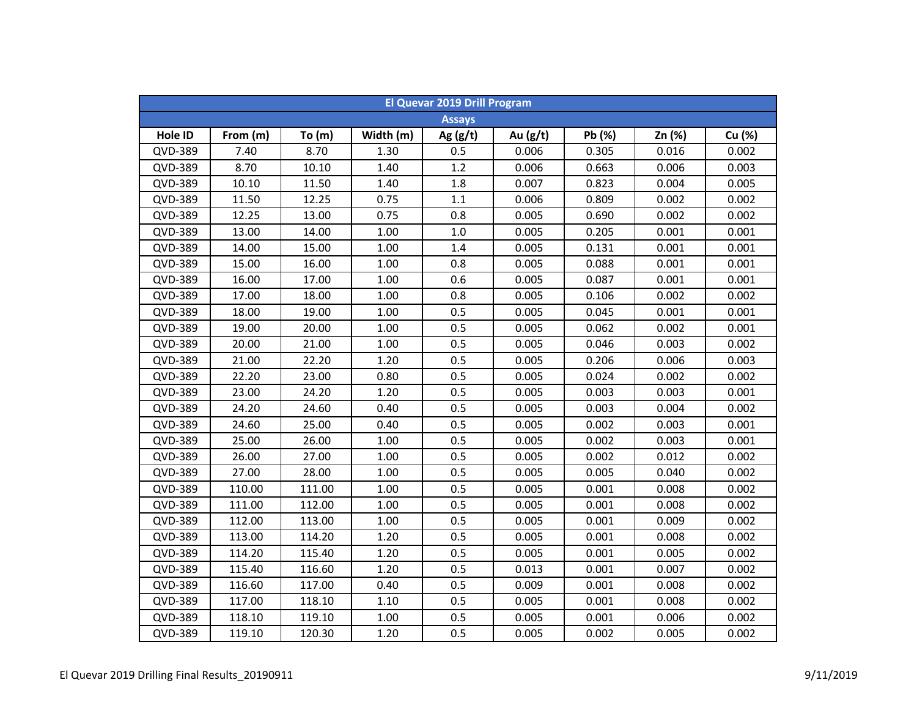|         | El Quevar 2019 Drill Program |          |           |               |            |        |        |        |  |  |  |
|---------|------------------------------|----------|-----------|---------------|------------|--------|--------|--------|--|--|--|
|         |                              |          |           | <b>Assays</b> |            |        |        |        |  |  |  |
| Hole ID | From (m)                     | To $(m)$ | Width (m) | Ag $(g/t)$    | Au $(g/t)$ | Pb (%) | Zn (%) | Cu (%) |  |  |  |
| QVD-389 | 7.40                         | 8.70     | 1.30      | 0.5           | 0.006      | 0.305  | 0.016  | 0.002  |  |  |  |
| QVD-389 | 8.70                         | 10.10    | 1.40      | 1.2           | 0.006      | 0.663  | 0.006  | 0.003  |  |  |  |
| QVD-389 | 10.10                        | 11.50    | 1.40      | 1.8           | 0.007      | 0.823  | 0.004  | 0.005  |  |  |  |
| QVD-389 | 11.50                        | 12.25    | 0.75      | 1.1           | 0.006      | 0.809  | 0.002  | 0.002  |  |  |  |
| QVD-389 | 12.25                        | 13.00    | 0.75      | 0.8           | 0.005      | 0.690  | 0.002  | 0.002  |  |  |  |
| QVD-389 | 13.00                        | 14.00    | 1.00      | $1.0$         | 0.005      | 0.205  | 0.001  | 0.001  |  |  |  |
| QVD-389 | 14.00                        | 15.00    | 1.00      | 1.4           | 0.005      | 0.131  | 0.001  | 0.001  |  |  |  |
| QVD-389 | 15.00                        | 16.00    | 1.00      | 0.8           | 0.005      | 0.088  | 0.001  | 0.001  |  |  |  |
| QVD-389 | 16.00                        | 17.00    | 1.00      | 0.6           | 0.005      | 0.087  | 0.001  | 0.001  |  |  |  |
| QVD-389 | 17.00                        | 18.00    | 1.00      | 0.8           | 0.005      | 0.106  | 0.002  | 0.002  |  |  |  |
| QVD-389 | 18.00                        | 19.00    | 1.00      | 0.5           | 0.005      | 0.045  | 0.001  | 0.001  |  |  |  |
| QVD-389 | 19.00                        | 20.00    | 1.00      | 0.5           | 0.005      | 0.062  | 0.002  | 0.001  |  |  |  |
| QVD-389 | 20.00                        | 21.00    | 1.00      | 0.5           | 0.005      | 0.046  | 0.003  | 0.002  |  |  |  |
| QVD-389 | 21.00                        | 22.20    | 1.20      | 0.5           | 0.005      | 0.206  | 0.006  | 0.003  |  |  |  |
| QVD-389 | 22.20                        | 23.00    | 0.80      | 0.5           | 0.005      | 0.024  | 0.002  | 0.002  |  |  |  |
| QVD-389 | 23.00                        | 24.20    | 1.20      | 0.5           | 0.005      | 0.003  | 0.003  | 0.001  |  |  |  |
| QVD-389 | 24.20                        | 24.60    | 0.40      | 0.5           | 0.005      | 0.003  | 0.004  | 0.002  |  |  |  |
| QVD-389 | 24.60                        | 25.00    | 0.40      | 0.5           | 0.005      | 0.002  | 0.003  | 0.001  |  |  |  |
| QVD-389 | 25.00                        | 26.00    | 1.00      | 0.5           | 0.005      | 0.002  | 0.003  | 0.001  |  |  |  |
| QVD-389 | 26.00                        | 27.00    | 1.00      | 0.5           | 0.005      | 0.002  | 0.012  | 0.002  |  |  |  |
| QVD-389 | 27.00                        | 28.00    | 1.00      | 0.5           | 0.005      | 0.005  | 0.040  | 0.002  |  |  |  |
| QVD-389 | 110.00                       | 111.00   | 1.00      | 0.5           | 0.005      | 0.001  | 0.008  | 0.002  |  |  |  |
| QVD-389 | 111.00                       | 112.00   | 1.00      | 0.5           | 0.005      | 0.001  | 0.008  | 0.002  |  |  |  |
| QVD-389 | 112.00                       | 113.00   | 1.00      | 0.5           | 0.005      | 0.001  | 0.009  | 0.002  |  |  |  |
| QVD-389 | 113.00                       | 114.20   | 1.20      | 0.5           | 0.005      | 0.001  | 0.008  | 0.002  |  |  |  |
| QVD-389 | 114.20                       | 115.40   | 1.20      | 0.5           | 0.005      | 0.001  | 0.005  | 0.002  |  |  |  |
| QVD-389 | 115.40                       | 116.60   | 1.20      | 0.5           | 0.013      | 0.001  | 0.007  | 0.002  |  |  |  |
| QVD-389 | 116.60                       | 117.00   | 0.40      | 0.5           | 0.009      | 0.001  | 0.008  | 0.002  |  |  |  |
| QVD-389 | 117.00                       | 118.10   | 1.10      | 0.5           | 0.005      | 0.001  | 0.008  | 0.002  |  |  |  |
| QVD-389 | 118.10                       | 119.10   | 1.00      | 0.5           | 0.005      | 0.001  | 0.006  | 0.002  |  |  |  |
| QVD-389 | 119.10                       | 120.30   | 1.20      | 0.5           | 0.005      | 0.002  | 0.005  | 0.002  |  |  |  |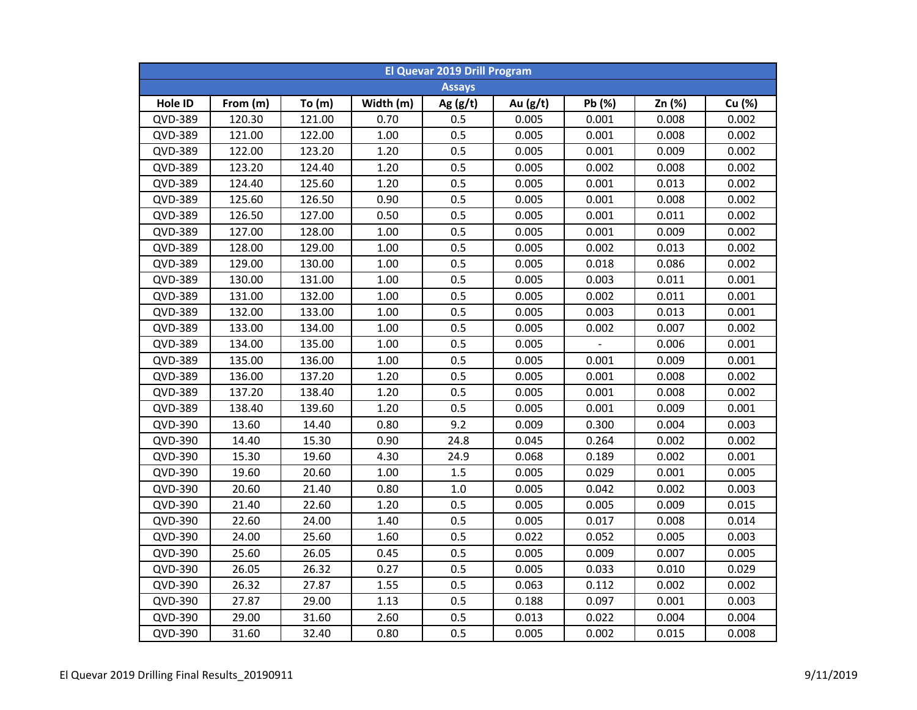| <b>El Quevar 2019 Drill Program</b> |          |          |           |               |          |        |        |        |  |  |
|-------------------------------------|----------|----------|-----------|---------------|----------|--------|--------|--------|--|--|
|                                     |          |          |           | <b>Assays</b> |          |        |        |        |  |  |
| Hole ID                             | From (m) | To $(m)$ | Width (m) | Ag $(g/t)$    | Au (g/t) | Pb (%) | Zn (%) | Cu (%) |  |  |
| QVD-389                             | 120.30   | 121.00   | 0.70      | 0.5           | 0.005    | 0.001  | 0.008  | 0.002  |  |  |
| QVD-389                             | 121.00   | 122.00   | $1.00\,$  | 0.5           | 0.005    | 0.001  | 0.008  | 0.002  |  |  |
| <b>QVD-389</b>                      | 122.00   | 123.20   | 1.20      | 0.5           | 0.005    | 0.001  | 0.009  | 0.002  |  |  |
| QVD-389                             | 123.20   | 124.40   | 1.20      | 0.5           | 0.005    | 0.002  | 0.008  | 0.002  |  |  |
| QVD-389                             | 124.40   | 125.60   | 1.20      | 0.5           | 0.005    | 0.001  | 0.013  | 0.002  |  |  |
| QVD-389                             | 125.60   | 126.50   | 0.90      | 0.5           | 0.005    | 0.001  | 0.008  | 0.002  |  |  |
| QVD-389                             | 126.50   | 127.00   | 0.50      | 0.5           | 0.005    | 0.001  | 0.011  | 0.002  |  |  |
| QVD-389                             | 127.00   | 128.00   | 1.00      | 0.5           | 0.005    | 0.001  | 0.009  | 0.002  |  |  |
| QVD-389                             | 128.00   | 129.00   | 1.00      | 0.5           | 0.005    | 0.002  | 0.013  | 0.002  |  |  |
| QVD-389                             | 129.00   | 130.00   | 1.00      | 0.5           | 0.005    | 0.018  | 0.086  | 0.002  |  |  |
| QVD-389                             | 130.00   | 131.00   | 1.00      | 0.5           | 0.005    | 0.003  | 0.011  | 0.001  |  |  |
| QVD-389                             | 131.00   | 132.00   | 1.00      | 0.5           | 0.005    | 0.002  | 0.011  | 0.001  |  |  |
| QVD-389                             | 132.00   | 133.00   | 1.00      | 0.5           | 0.005    | 0.003  | 0.013  | 0.001  |  |  |
| QVD-389                             | 133.00   | 134.00   | 1.00      | 0.5           | 0.005    | 0.002  | 0.007  | 0.002  |  |  |
| QVD-389                             | 134.00   | 135.00   | 1.00      | 0.5           | 0.005    |        | 0.006  | 0.001  |  |  |
| QVD-389                             | 135.00   | 136.00   | 1.00      | 0.5           | 0.005    | 0.001  | 0.009  | 0.001  |  |  |
| QVD-389                             | 136.00   | 137.20   | 1.20      | 0.5           | 0.005    | 0.001  | 0.008  | 0.002  |  |  |
| QVD-389                             | 137.20   | 138.40   | 1.20      | 0.5           | 0.005    | 0.001  | 0.008  | 0.002  |  |  |
| QVD-389                             | 138.40   | 139.60   | 1.20      | 0.5           | 0.005    | 0.001  | 0.009  | 0.001  |  |  |
| QVD-390                             | 13.60    | 14.40    | 0.80      | 9.2           | 0.009    | 0.300  | 0.004  | 0.003  |  |  |
| QVD-390                             | 14.40    | 15.30    | 0.90      | 24.8          | 0.045    | 0.264  | 0.002  | 0.002  |  |  |
| QVD-390                             | 15.30    | 19.60    | 4.30      | 24.9          | 0.068    | 0.189  | 0.002  | 0.001  |  |  |
| QVD-390                             | 19.60    | 20.60    | 1.00      | 1.5           | 0.005    | 0.029  | 0.001  | 0.005  |  |  |
| QVD-390                             | 20.60    | 21.40    | 0.80      | 1.0           | 0.005    | 0.042  | 0.002  | 0.003  |  |  |
| QVD-390                             | 21.40    | 22.60    | 1.20      | 0.5           | 0.005    | 0.005  | 0.009  | 0.015  |  |  |
| QVD-390                             | 22.60    | 24.00    | 1.40      | 0.5           | 0.005    | 0.017  | 0.008  | 0.014  |  |  |
| QVD-390                             | 24.00    | 25.60    | 1.60      | 0.5           | 0.022    | 0.052  | 0.005  | 0.003  |  |  |
| QVD-390                             | 25.60    | 26.05    | 0.45      | 0.5           | 0.005    | 0.009  | 0.007  | 0.005  |  |  |
| QVD-390                             | 26.05    | 26.32    | 0.27      | 0.5           | 0.005    | 0.033  | 0.010  | 0.029  |  |  |
| QVD-390                             | 26.32    | 27.87    | 1.55      | 0.5           | 0.063    | 0.112  | 0.002  | 0.002  |  |  |
| QVD-390                             | 27.87    | 29.00    | 1.13      | 0.5           | 0.188    | 0.097  | 0.001  | 0.003  |  |  |
| QVD-390                             | 29.00    | 31.60    | 2.60      | 0.5           | 0.013    | 0.022  | 0.004  | 0.004  |  |  |
| QVD-390                             | 31.60    | 32.40    | 0.80      | 0.5           | 0.005    | 0.002  | 0.015  | 0.008  |  |  |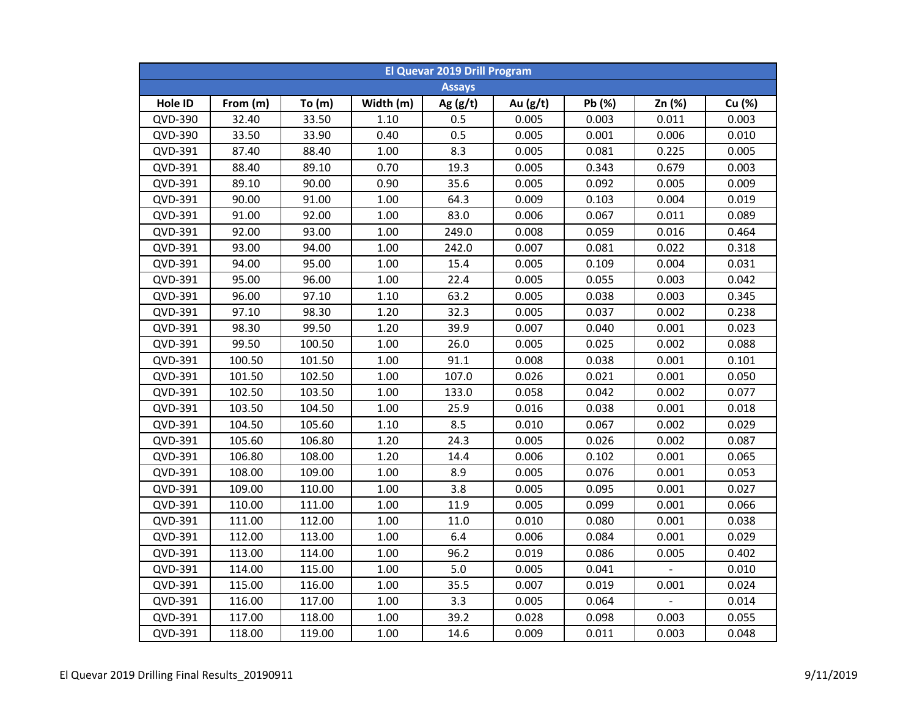| <b>El Quevar 2019 Drill Program</b> |          |          |           |               |            |        |        |        |  |  |
|-------------------------------------|----------|----------|-----------|---------------|------------|--------|--------|--------|--|--|
|                                     |          |          |           | <b>Assays</b> |            |        |        |        |  |  |
| Hole ID                             | From (m) | To $(m)$ | Width (m) | Ag $(g/t)$    | Au $(g/t)$ | Pb (%) | Zn (%) | Cu (%) |  |  |
| QVD-390                             | 32.40    | 33.50    | 1.10      | 0.5           | 0.005      | 0.003  | 0.011  | 0.003  |  |  |
| QVD-390                             | 33.50    | 33.90    | 0.40      | 0.5           | 0.005      | 0.001  | 0.006  | 0.010  |  |  |
| QVD-391                             | 87.40    | 88.40    | 1.00      | 8.3           | 0.005      | 0.081  | 0.225  | 0.005  |  |  |
| QVD-391                             | 88.40    | 89.10    | 0.70      | 19.3          | 0.005      | 0.343  | 0.679  | 0.003  |  |  |
| QVD-391                             | 89.10    | 90.00    | 0.90      | 35.6          | 0.005      | 0.092  | 0.005  | 0.009  |  |  |
| QVD-391                             | 90.00    | 91.00    | 1.00      | 64.3          | 0.009      | 0.103  | 0.004  | 0.019  |  |  |
| QVD-391                             | 91.00    | 92.00    | 1.00      | 83.0          | 0.006      | 0.067  | 0.011  | 0.089  |  |  |
| QVD-391                             | 92.00    | 93.00    | 1.00      | 249.0         | 0.008      | 0.059  | 0.016  | 0.464  |  |  |
| QVD-391                             | 93.00    | 94.00    | 1.00      | 242.0         | 0.007      | 0.081  | 0.022  | 0.318  |  |  |
| QVD-391                             | 94.00    | 95.00    | 1.00      | 15.4          | 0.005      | 0.109  | 0.004  | 0.031  |  |  |
| QVD-391                             | 95.00    | 96.00    | 1.00      | 22.4          | 0.005      | 0.055  | 0.003  | 0.042  |  |  |
| QVD-391                             | 96.00    | 97.10    | 1.10      | 63.2          | 0.005      | 0.038  | 0.003  | 0.345  |  |  |
| QVD-391                             | 97.10    | 98.30    | 1.20      | 32.3          | 0.005      | 0.037  | 0.002  | 0.238  |  |  |
| QVD-391                             | 98.30    | 99.50    | 1.20      | 39.9          | 0.007      | 0.040  | 0.001  | 0.023  |  |  |
| QVD-391                             | 99.50    | 100.50   | 1.00      | 26.0          | 0.005      | 0.025  | 0.002  | 0.088  |  |  |
| QVD-391                             | 100.50   | 101.50   | 1.00      | 91.1          | 0.008      | 0.038  | 0.001  | 0.101  |  |  |
| QVD-391                             | 101.50   | 102.50   | 1.00      | 107.0         | 0.026      | 0.021  | 0.001  | 0.050  |  |  |
| QVD-391                             | 102.50   | 103.50   | 1.00      | 133.0         | 0.058      | 0.042  | 0.002  | 0.077  |  |  |
| QVD-391                             | 103.50   | 104.50   | 1.00      | 25.9          | 0.016      | 0.038  | 0.001  | 0.018  |  |  |
| QVD-391                             | 104.50   | 105.60   | 1.10      | 8.5           | 0.010      | 0.067  | 0.002  | 0.029  |  |  |
| QVD-391                             | 105.60   | 106.80   | 1.20      | 24.3          | 0.005      | 0.026  | 0.002  | 0.087  |  |  |
| QVD-391                             | 106.80   | 108.00   | 1.20      | 14.4          | 0.006      | 0.102  | 0.001  | 0.065  |  |  |
| QVD-391                             | 108.00   | 109.00   | 1.00      | 8.9           | 0.005      | 0.076  | 0.001  | 0.053  |  |  |
| QVD-391                             | 109.00   | 110.00   | 1.00      | 3.8           | 0.005      | 0.095  | 0.001  | 0.027  |  |  |
| QVD-391                             | 110.00   | 111.00   | 1.00      | 11.9          | 0.005      | 0.099  | 0.001  | 0.066  |  |  |
| QVD-391                             | 111.00   | 112.00   | 1.00      | 11.0          | 0.010      | 0.080  | 0.001  | 0.038  |  |  |
| QVD-391                             | 112.00   | 113.00   | 1.00      | 6.4           | 0.006      | 0.084  | 0.001  | 0.029  |  |  |
| QVD-391                             | 113.00   | 114.00   | 1.00      | 96.2          | 0.019      | 0.086  | 0.005  | 0.402  |  |  |
| QVD-391                             | 114.00   | 115.00   | 1.00      | 5.0           | 0.005      | 0.041  |        | 0.010  |  |  |
| QVD-391                             | 115.00   | 116.00   | 1.00      | 35.5          | 0.007      | 0.019  | 0.001  | 0.024  |  |  |
| QVD-391                             | 116.00   | 117.00   | 1.00      | 3.3           | 0.005      | 0.064  |        | 0.014  |  |  |
| QVD-391                             | 117.00   | 118.00   | 1.00      | 39.2          | 0.028      | 0.098  | 0.003  | 0.055  |  |  |
| QVD-391                             | 118.00   | 119.00   | 1.00      | 14.6          | 0.009      | 0.011  | 0.003  | 0.048  |  |  |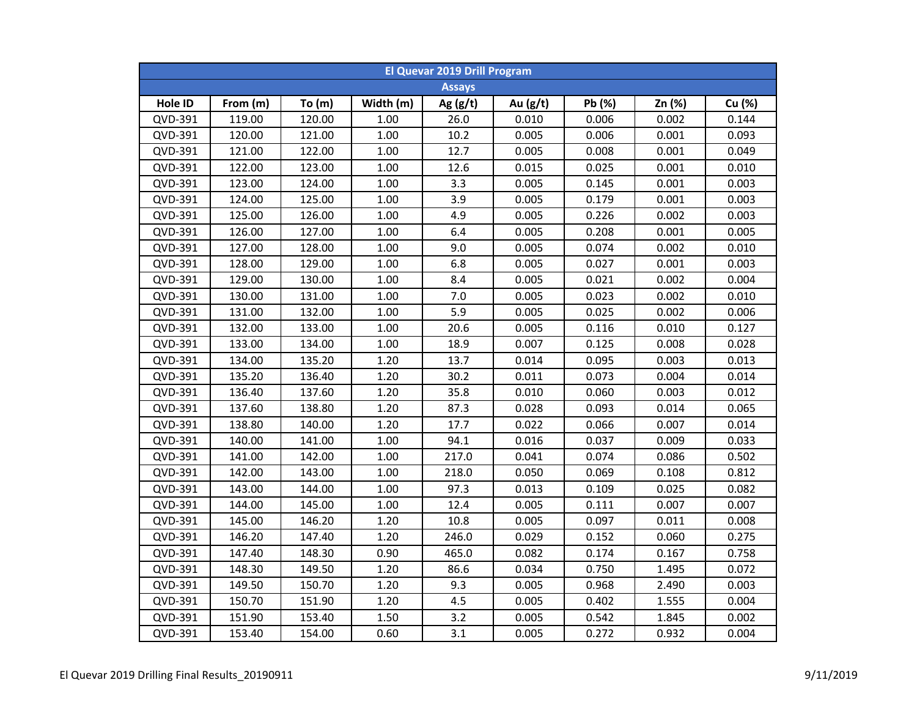| <b>El Quevar 2019 Drill Program</b> |          |        |           |               |            |        |        |        |  |  |
|-------------------------------------|----------|--------|-----------|---------------|------------|--------|--------|--------|--|--|
|                                     |          |        |           | <b>Assays</b> |            |        |        |        |  |  |
| Hole ID                             | From (m) | To(m)  | Width (m) | Ag $(g/t)$    | Au $(g/t)$ | Pb (%) | Zn (%) | Cu (%) |  |  |
| QVD-391                             | 119.00   | 120.00 | 1.00      | 26.0          | 0.010      | 0.006  | 0.002  | 0.144  |  |  |
| QVD-391                             | 120.00   | 121.00 | $1.00\,$  | 10.2          | 0.005      | 0.006  | 0.001  | 0.093  |  |  |
| QVD-391                             | 121.00   | 122.00 | $1.00\,$  | 12.7          | 0.005      | 0.008  | 0.001  | 0.049  |  |  |
| QVD-391                             | 122.00   | 123.00 | $1.00\,$  | 12.6          | 0.015      | 0.025  | 0.001  | 0.010  |  |  |
| QVD-391                             | 123.00   | 124.00 | 1.00      | 3.3           | 0.005      | 0.145  | 0.001  | 0.003  |  |  |
| QVD-391                             | 124.00   | 125.00 | 1.00      | 3.9           | 0.005      | 0.179  | 0.001  | 0.003  |  |  |
| QVD-391                             | 125.00   | 126.00 | 1.00      | 4.9           | 0.005      | 0.226  | 0.002  | 0.003  |  |  |
| QVD-391                             | 126.00   | 127.00 | 1.00      | 6.4           | 0.005      | 0.208  | 0.001  | 0.005  |  |  |
| QVD-391                             | 127.00   | 128.00 | 1.00      | 9.0           | 0.005      | 0.074  | 0.002  | 0.010  |  |  |
| QVD-391                             | 128.00   | 129.00 | 1.00      | 6.8           | 0.005      | 0.027  | 0.001  | 0.003  |  |  |
| QVD-391                             | 129.00   | 130.00 | 1.00      | 8.4           | 0.005      | 0.021  | 0.002  | 0.004  |  |  |
| QVD-391                             | 130.00   | 131.00 | 1.00      | 7.0           | 0.005      | 0.023  | 0.002  | 0.010  |  |  |
| QVD-391                             | 131.00   | 132.00 | 1.00      | 5.9           | 0.005      | 0.025  | 0.002  | 0.006  |  |  |
| QVD-391                             | 132.00   | 133.00 | 1.00      | 20.6          | 0.005      | 0.116  | 0.010  | 0.127  |  |  |
| QVD-391                             | 133.00   | 134.00 | 1.00      | 18.9          | 0.007      | 0.125  | 0.008  | 0.028  |  |  |
| QVD-391                             | 134.00   | 135.20 | 1.20      | 13.7          | 0.014      | 0.095  | 0.003  | 0.013  |  |  |
| QVD-391                             | 135.20   | 136.40 | 1.20      | 30.2          | 0.011      | 0.073  | 0.004  | 0.014  |  |  |
| QVD-391                             | 136.40   | 137.60 | 1.20      | 35.8          | 0.010      | 0.060  | 0.003  | 0.012  |  |  |
| QVD-391                             | 137.60   | 138.80 | 1.20      | 87.3          | 0.028      | 0.093  | 0.014  | 0.065  |  |  |
| QVD-391                             | 138.80   | 140.00 | 1.20      | 17.7          | 0.022      | 0.066  | 0.007  | 0.014  |  |  |
| QVD-391                             | 140.00   | 141.00 | 1.00      | 94.1          | 0.016      | 0.037  | 0.009  | 0.033  |  |  |
| QVD-391                             | 141.00   | 142.00 | 1.00      | 217.0         | 0.041      | 0.074  | 0.086  | 0.502  |  |  |
| QVD-391                             | 142.00   | 143.00 | 1.00      | 218.0         | 0.050      | 0.069  | 0.108  | 0.812  |  |  |
| QVD-391                             | 143.00   | 144.00 | 1.00      | 97.3          | 0.013      | 0.109  | 0.025  | 0.082  |  |  |
| QVD-391                             | 144.00   | 145.00 | 1.00      | 12.4          | 0.005      | 0.111  | 0.007  | 0.007  |  |  |
| QVD-391                             | 145.00   | 146.20 | 1.20      | 10.8          | 0.005      | 0.097  | 0.011  | 0.008  |  |  |
| QVD-391                             | 146.20   | 147.40 | 1.20      | 246.0         | 0.029      | 0.152  | 0.060  | 0.275  |  |  |
| QVD-391                             | 147.40   | 148.30 | 0.90      | 465.0         | 0.082      | 0.174  | 0.167  | 0.758  |  |  |
| QVD-391                             | 148.30   | 149.50 | 1.20      | 86.6          | 0.034      | 0.750  | 1.495  | 0.072  |  |  |
| QVD-391                             | 149.50   | 150.70 | 1.20      | 9.3           | 0.005      | 0.968  | 2.490  | 0.003  |  |  |
| QVD-391                             | 150.70   | 151.90 | 1.20      | 4.5           | 0.005      | 0.402  | 1.555  | 0.004  |  |  |
| QVD-391                             | 151.90   | 153.40 | 1.50      | 3.2           | 0.005      | 0.542  | 1.845  | 0.002  |  |  |
| QVD-391                             | 153.40   | 154.00 | 0.60      | 3.1           | 0.005      | 0.272  | 0.932  | 0.004  |  |  |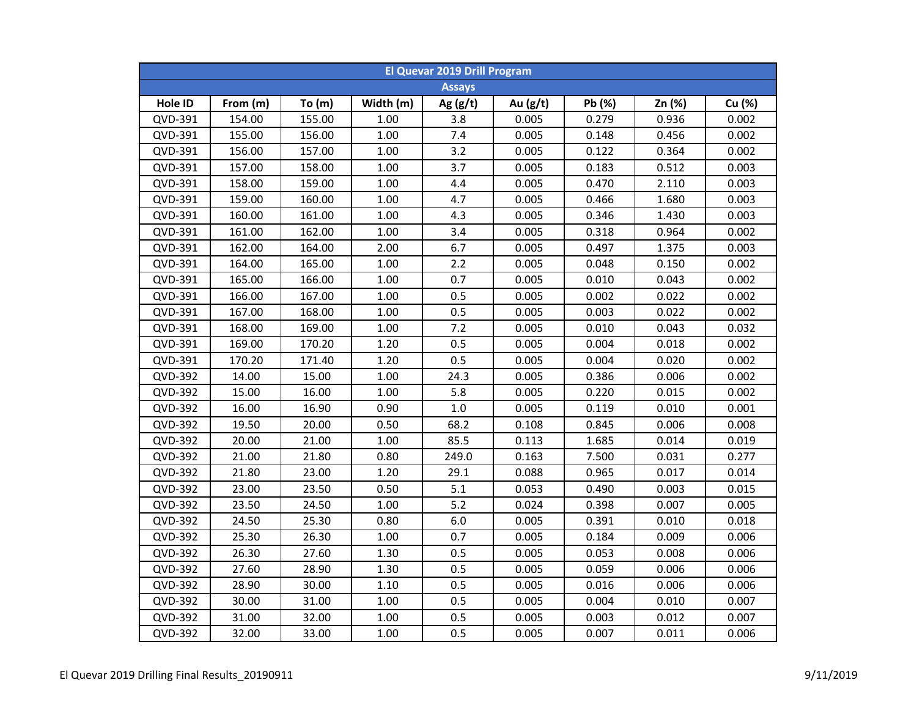|         | <b>El Quevar 2019 Drill Program</b> |          |           |               |            |        |        |        |  |  |  |
|---------|-------------------------------------|----------|-----------|---------------|------------|--------|--------|--------|--|--|--|
|         |                                     |          |           | <b>Assays</b> |            |        |        |        |  |  |  |
| Hole ID | From (m)                            | To $(m)$ | Width (m) | Ag $(g/t)$    | Au $(g/t)$ | Pb (%) | Zn (%) | Cu (%) |  |  |  |
| QVD-391 | 154.00                              | 155.00   | 1.00      | 3.8           | 0.005      | 0.279  | 0.936  | 0.002  |  |  |  |
| QVD-391 | 155.00                              | 156.00   | 1.00      | 7.4           | 0.005      | 0.148  | 0.456  | 0.002  |  |  |  |
| QVD-391 | 156.00                              | 157.00   | $1.00\,$  | 3.2           | 0.005      | 0.122  | 0.364  | 0.002  |  |  |  |
| QVD-391 | 157.00                              | 158.00   | 1.00      | 3.7           | 0.005      | 0.183  | 0.512  | 0.003  |  |  |  |
| QVD-391 | 158.00                              | 159.00   | 1.00      | 4.4           | 0.005      | 0.470  | 2.110  | 0.003  |  |  |  |
| QVD-391 | 159.00                              | 160.00   | 1.00      | 4.7           | 0.005      | 0.466  | 1.680  | 0.003  |  |  |  |
| QVD-391 | 160.00                              | 161.00   | 1.00      | 4.3           | 0.005      | 0.346  | 1.430  | 0.003  |  |  |  |
| QVD-391 | 161.00                              | 162.00   | 1.00      | 3.4           | 0.005      | 0.318  | 0.964  | 0.002  |  |  |  |
| QVD-391 | 162.00                              | 164.00   | 2.00      | 6.7           | 0.005      | 0.497  | 1.375  | 0.003  |  |  |  |
| QVD-391 | 164.00                              | 165.00   | 1.00      | 2.2           | 0.005      | 0.048  | 0.150  | 0.002  |  |  |  |
| QVD-391 | 165.00                              | 166.00   | 1.00      | 0.7           | 0.005      | 0.010  | 0.043  | 0.002  |  |  |  |
| QVD-391 | 166.00                              | 167.00   | 1.00      | 0.5           | 0.005      | 0.002  | 0.022  | 0.002  |  |  |  |
| QVD-391 | 167.00                              | 168.00   | 1.00      | 0.5           | 0.005      | 0.003  | 0.022  | 0.002  |  |  |  |
| QVD-391 | 168.00                              | 169.00   | 1.00      | 7.2           | 0.005      | 0.010  | 0.043  | 0.032  |  |  |  |
| QVD-391 | 169.00                              | 170.20   | 1.20      | 0.5           | 0.005      | 0.004  | 0.018  | 0.002  |  |  |  |
| QVD-391 | 170.20                              | 171.40   | 1.20      | 0.5           | 0.005      | 0.004  | 0.020  | 0.002  |  |  |  |
| QVD-392 | 14.00                               | 15.00    | 1.00      | 24.3          | 0.005      | 0.386  | 0.006  | 0.002  |  |  |  |
| QVD-392 | 15.00                               | 16.00    | 1.00      | 5.8           | 0.005      | 0.220  | 0.015  | 0.002  |  |  |  |
| QVD-392 | 16.00                               | 16.90    | 0.90      | 1.0           | 0.005      | 0.119  | 0.010  | 0.001  |  |  |  |
| QVD-392 | 19.50                               | 20.00    | 0.50      | 68.2          | 0.108      | 0.845  | 0.006  | 0.008  |  |  |  |
| QVD-392 | 20.00                               | 21.00    | 1.00      | 85.5          | 0.113      | 1.685  | 0.014  | 0.019  |  |  |  |
| QVD-392 | 21.00                               | 21.80    | 0.80      | 249.0         | 0.163      | 7.500  | 0.031  | 0.277  |  |  |  |
| QVD-392 | 21.80                               | 23.00    | 1.20      | 29.1          | 0.088      | 0.965  | 0.017  | 0.014  |  |  |  |
| QVD-392 | 23.00                               | 23.50    | 0.50      | 5.1           | 0.053      | 0.490  | 0.003  | 0.015  |  |  |  |
| QVD-392 | 23.50                               | 24.50    | 1.00      | 5.2           | 0.024      | 0.398  | 0.007  | 0.005  |  |  |  |
| QVD-392 | 24.50                               | 25.30    | 0.80      | 6.0           | 0.005      | 0.391  | 0.010  | 0.018  |  |  |  |
| QVD-392 | 25.30                               | 26.30    | 1.00      | 0.7           | 0.005      | 0.184  | 0.009  | 0.006  |  |  |  |
| QVD-392 | 26.30                               | 27.60    | 1.30      | 0.5           | 0.005      | 0.053  | 0.008  | 0.006  |  |  |  |
| QVD-392 | 27.60                               | 28.90    | 1.30      | 0.5           | 0.005      | 0.059  | 0.006  | 0.006  |  |  |  |
| QVD-392 | 28.90                               | 30.00    | 1.10      | 0.5           | 0.005      | 0.016  | 0.006  | 0.006  |  |  |  |
| QVD-392 | 30.00                               | 31.00    | 1.00      | 0.5           | 0.005      | 0.004  | 0.010  | 0.007  |  |  |  |
| QVD-392 | 31.00                               | 32.00    | 1.00      | 0.5           | 0.005      | 0.003  | 0.012  | 0.007  |  |  |  |
| QVD-392 | 32.00                               | 33.00    | 1.00      | 0.5           | 0.005      | 0.007  | 0.011  | 0.006  |  |  |  |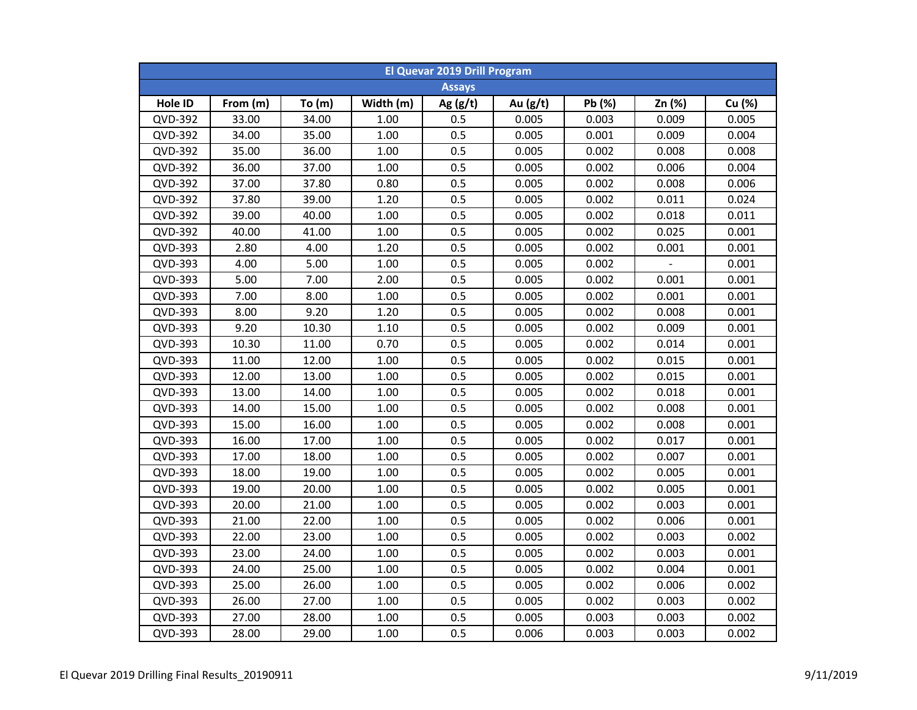| <b>El Quevar 2019 Drill Program</b> |          |       |           |               |            |        |        |        |  |  |
|-------------------------------------|----------|-------|-----------|---------------|------------|--------|--------|--------|--|--|
|                                     |          |       |           | <b>Assays</b> |            |        |        |        |  |  |
| Hole ID                             | From (m) | To(m) | Width (m) | Ag $(g/t)$    | Au $(g/t)$ | Pb (%) | Zn (%) | Cu (%) |  |  |
| QVD-392                             | 33.00    | 34.00 | 1.00      | 0.5           | 0.005      | 0.003  | 0.009  | 0.005  |  |  |
| QVD-392                             | 34.00    | 35.00 | 1.00      | 0.5           | 0.005      | 0.001  | 0.009  | 0.004  |  |  |
| QVD-392                             | 35.00    | 36.00 | 1.00      | 0.5           | 0.005      | 0.002  | 0.008  | 0.008  |  |  |
| QVD-392                             | 36.00    | 37.00 | 1.00      | 0.5           | 0.005      | 0.002  | 0.006  | 0.004  |  |  |
| QVD-392                             | 37.00    | 37.80 | 0.80      | 0.5           | 0.005      | 0.002  | 0.008  | 0.006  |  |  |
| QVD-392                             | 37.80    | 39.00 | 1.20      | 0.5           | 0.005      | 0.002  | 0.011  | 0.024  |  |  |
| QVD-392                             | 39.00    | 40.00 | 1.00      | 0.5           | 0.005      | 0.002  | 0.018  | 0.011  |  |  |
| QVD-392                             | 40.00    | 41.00 | 1.00      | 0.5           | 0.005      | 0.002  | 0.025  | 0.001  |  |  |
| QVD-393                             | 2.80     | 4.00  | 1.20      | 0.5           | 0.005      | 0.002  | 0.001  | 0.001  |  |  |
| QVD-393                             | 4.00     | 5.00  | 1.00      | 0.5           | 0.005      | 0.002  |        | 0.001  |  |  |
| QVD-393                             | 5.00     | 7.00  | 2.00      | 0.5           | 0.005      | 0.002  | 0.001  | 0.001  |  |  |
| QVD-393                             | 7.00     | 8.00  | 1.00      | 0.5           | 0.005      | 0.002  | 0.001  | 0.001  |  |  |
| QVD-393                             | 8.00     | 9.20  | 1.20      | 0.5           | 0.005      | 0.002  | 0.008  | 0.001  |  |  |
| QVD-393                             | 9.20     | 10.30 | 1.10      | 0.5           | 0.005      | 0.002  | 0.009  | 0.001  |  |  |
| QVD-393                             | 10.30    | 11.00 | 0.70      | 0.5           | 0.005      | 0.002  | 0.014  | 0.001  |  |  |
| QVD-393                             | 11.00    | 12.00 | 1.00      | 0.5           | 0.005      | 0.002  | 0.015  | 0.001  |  |  |
| QVD-393                             | 12.00    | 13.00 | 1.00      | 0.5           | 0.005      | 0.002  | 0.015  | 0.001  |  |  |
| QVD-393                             | 13.00    | 14.00 | 1.00      | 0.5           | 0.005      | 0.002  | 0.018  | 0.001  |  |  |
| QVD-393                             | 14.00    | 15.00 | 1.00      | 0.5           | 0.005      | 0.002  | 0.008  | 0.001  |  |  |
| QVD-393                             | 15.00    | 16.00 | 1.00      | 0.5           | 0.005      | 0.002  | 0.008  | 0.001  |  |  |
| QVD-393                             | 16.00    | 17.00 | 1.00      | 0.5           | 0.005      | 0.002  | 0.017  | 0.001  |  |  |
| QVD-393                             | 17.00    | 18.00 | 1.00      | 0.5           | 0.005      | 0.002  | 0.007  | 0.001  |  |  |
| QVD-393                             | 18.00    | 19.00 | 1.00      | 0.5           | 0.005      | 0.002  | 0.005  | 0.001  |  |  |
| QVD-393                             | 19.00    | 20.00 | 1.00      | 0.5           | 0.005      | 0.002  | 0.005  | 0.001  |  |  |
| QVD-393                             | 20.00    | 21.00 | 1.00      | 0.5           | 0.005      | 0.002  | 0.003  | 0.001  |  |  |
| QVD-393                             | 21.00    | 22.00 | 1.00      | 0.5           | 0.005      | 0.002  | 0.006  | 0.001  |  |  |
| QVD-393                             | 22.00    | 23.00 | 1.00      | 0.5           | 0.005      | 0.002  | 0.003  | 0.002  |  |  |
| QVD-393                             | 23.00    | 24.00 | 1.00      | 0.5           | 0.005      | 0.002  | 0.003  | 0.001  |  |  |
| QVD-393                             | 24.00    | 25.00 | 1.00      | 0.5           | 0.005      | 0.002  | 0.004  | 0.001  |  |  |
| QVD-393                             | 25.00    | 26.00 | 1.00      | 0.5           | 0.005      | 0.002  | 0.006  | 0.002  |  |  |
| QVD-393                             | 26.00    | 27.00 | 1.00      | 0.5           | 0.005      | 0.002  | 0.003  | 0.002  |  |  |
| QVD-393                             | 27.00    | 28.00 | 1.00      | 0.5           | 0.005      | 0.003  | 0.003  | 0.002  |  |  |
| QVD-393                             | 28.00    | 29.00 | 1.00      | 0.5           | 0.006      | 0.003  | 0.003  | 0.002  |  |  |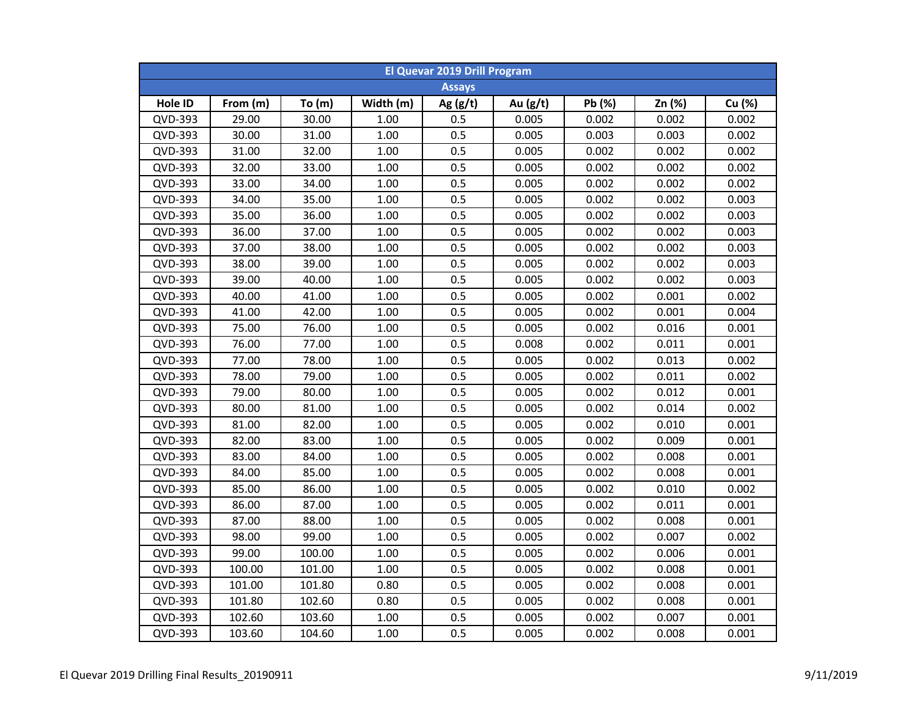| <b>El Quevar 2019 Drill Program</b> |          |        |           |               |          |        |        |        |  |  |
|-------------------------------------|----------|--------|-----------|---------------|----------|--------|--------|--------|--|--|
|                                     |          |        |           | <b>Assays</b> |          |        |        |        |  |  |
| Hole ID                             | From (m) | To(m)  | Width (m) | Ag $(g/t)$    | Au (g/t) | Pb (%) | Zn (%) | Cu (%) |  |  |
| QVD-393                             | 29.00    | 30.00  | 1.00      | 0.5           | 0.005    | 0.002  | 0.002  | 0.002  |  |  |
| QVD-393                             | 30.00    | 31.00  | 1.00      | 0.5           | 0.005    | 0.003  | 0.003  | 0.002  |  |  |
| QVD-393                             | 31.00    | 32.00  | 1.00      | 0.5           | 0.005    | 0.002  | 0.002  | 0.002  |  |  |
| QVD-393                             | 32.00    | 33.00  | 1.00      | 0.5           | 0.005    | 0.002  | 0.002  | 0.002  |  |  |
| QVD-393                             | 33.00    | 34.00  | 1.00      | 0.5           | 0.005    | 0.002  | 0.002  | 0.002  |  |  |
| QVD-393                             | 34.00    | 35.00  | 1.00      | 0.5           | 0.005    | 0.002  | 0.002  | 0.003  |  |  |
| QVD-393                             | 35.00    | 36.00  | 1.00      | 0.5           | 0.005    | 0.002  | 0.002  | 0.003  |  |  |
| QVD-393                             | 36.00    | 37.00  | 1.00      | 0.5           | 0.005    | 0.002  | 0.002  | 0.003  |  |  |
| QVD-393                             | 37.00    | 38.00  | 1.00      | 0.5           | 0.005    | 0.002  | 0.002  | 0.003  |  |  |
| QVD-393                             | 38.00    | 39.00  | 1.00      | 0.5           | 0.005    | 0.002  | 0.002  | 0.003  |  |  |
| QVD-393                             | 39.00    | 40.00  | 1.00      | 0.5           | 0.005    | 0.002  | 0.002  | 0.003  |  |  |
| QVD-393                             | 40.00    | 41.00  | 1.00      | 0.5           | 0.005    | 0.002  | 0.001  | 0.002  |  |  |
| QVD-393                             | 41.00    | 42.00  | 1.00      | 0.5           | 0.005    | 0.002  | 0.001  | 0.004  |  |  |
| QVD-393                             | 75.00    | 76.00  | 1.00      | 0.5           | 0.005    | 0.002  | 0.016  | 0.001  |  |  |
| QVD-393                             | 76.00    | 77.00  | 1.00      | 0.5           | 0.008    | 0.002  | 0.011  | 0.001  |  |  |
| QVD-393                             | 77.00    | 78.00  | 1.00      | 0.5           | 0.005    | 0.002  | 0.013  | 0.002  |  |  |
| QVD-393                             | 78.00    | 79.00  | 1.00      | 0.5           | 0.005    | 0.002  | 0.011  | 0.002  |  |  |
| QVD-393                             | 79.00    | 80.00  | 1.00      | 0.5           | 0.005    | 0.002  | 0.012  | 0.001  |  |  |
| QVD-393                             | 80.00    | 81.00  | 1.00      | 0.5           | 0.005    | 0.002  | 0.014  | 0.002  |  |  |
| QVD-393                             | 81.00    | 82.00  | 1.00      | 0.5           | 0.005    | 0.002  | 0.010  | 0.001  |  |  |
| QVD-393                             | 82.00    | 83.00  | 1.00      | 0.5           | 0.005    | 0.002  | 0.009  | 0.001  |  |  |
| QVD-393                             | 83.00    | 84.00  | 1.00      | 0.5           | 0.005    | 0.002  | 0.008  | 0.001  |  |  |
| QVD-393                             | 84.00    | 85.00  | 1.00      | 0.5           | 0.005    | 0.002  | 0.008  | 0.001  |  |  |
| QVD-393                             | 85.00    | 86.00  | 1.00      | 0.5           | 0.005    | 0.002  | 0.010  | 0.002  |  |  |
| QVD-393                             | 86.00    | 87.00  | 1.00      | 0.5           | 0.005    | 0.002  | 0.011  | 0.001  |  |  |
| QVD-393                             | 87.00    | 88.00  | 1.00      | 0.5           | 0.005    | 0.002  | 0.008  | 0.001  |  |  |
| QVD-393                             | 98.00    | 99.00  | 1.00      | 0.5           | 0.005    | 0.002  | 0.007  | 0.002  |  |  |
| QVD-393                             | 99.00    | 100.00 | 1.00      | 0.5           | 0.005    | 0.002  | 0.006  | 0.001  |  |  |
| QVD-393                             | 100.00   | 101.00 | 1.00      | 0.5           | 0.005    | 0.002  | 0.008  | 0.001  |  |  |
| QVD-393                             | 101.00   | 101.80 | 0.80      | 0.5           | 0.005    | 0.002  | 0.008  | 0.001  |  |  |
| QVD-393                             | 101.80   | 102.60 | 0.80      | 0.5           | 0.005    | 0.002  | 0.008  | 0.001  |  |  |
| QVD-393                             | 102.60   | 103.60 | 1.00      | 0.5           | 0.005    | 0.002  | 0.007  | 0.001  |  |  |
| QVD-393                             | 103.60   | 104.60 | 1.00      | 0.5           | 0.005    | 0.002  | 0.008  | 0.001  |  |  |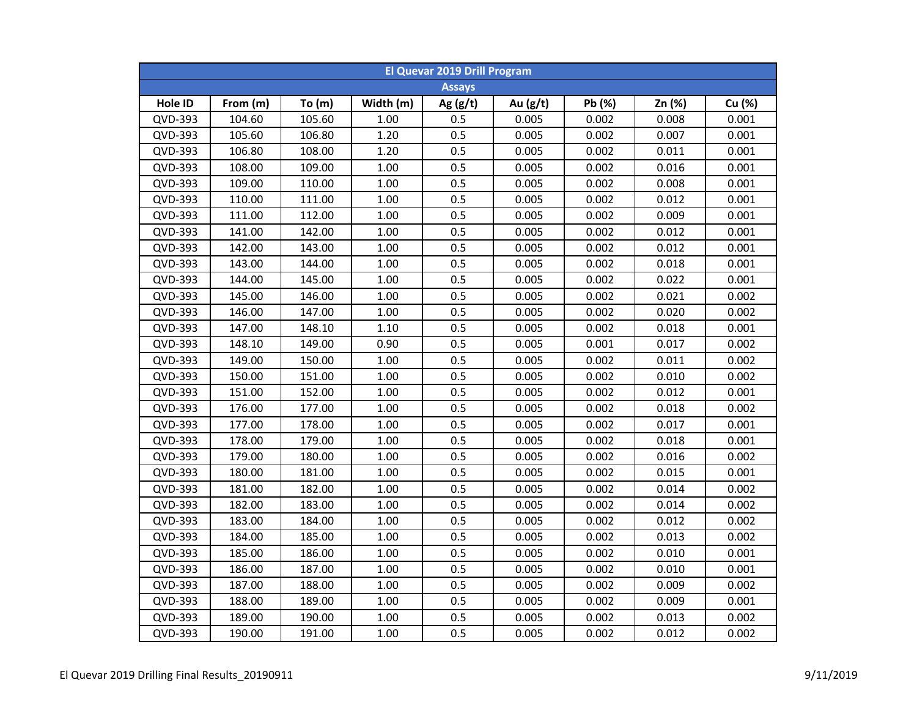| <b>El Quevar 2019 Drill Program</b> |          |        |           |               |            |        |        |        |  |  |
|-------------------------------------|----------|--------|-----------|---------------|------------|--------|--------|--------|--|--|
|                                     |          |        |           | <b>Assays</b> |            |        |        |        |  |  |
| Hole ID                             | From (m) | To(m)  | Width (m) | Ag $(g/t)$    | Au $(g/t)$ | Pb (%) | Zn (%) | Cu (%) |  |  |
| QVD-393                             | 104.60   | 105.60 | 1.00      | 0.5           | 0.005      | 0.002  | 0.008  | 0.001  |  |  |
| QVD-393                             | 105.60   | 106.80 | 1.20      | 0.5           | 0.005      | 0.002  | 0.007  | 0.001  |  |  |
| QVD-393                             | 106.80   | 108.00 | 1.20      | 0.5           | 0.005      | 0.002  | 0.011  | 0.001  |  |  |
| QVD-393                             | 108.00   | 109.00 | 1.00      | 0.5           | 0.005      | 0.002  | 0.016  | 0.001  |  |  |
| QVD-393                             | 109.00   | 110.00 | 1.00      | 0.5           | 0.005      | 0.002  | 0.008  | 0.001  |  |  |
| QVD-393                             | 110.00   | 111.00 | 1.00      | 0.5           | 0.005      | 0.002  | 0.012  | 0.001  |  |  |
| QVD-393                             | 111.00   | 112.00 | 1.00      | 0.5           | 0.005      | 0.002  | 0.009  | 0.001  |  |  |
| QVD-393                             | 141.00   | 142.00 | 1.00      | 0.5           | 0.005      | 0.002  | 0.012  | 0.001  |  |  |
| QVD-393                             | 142.00   | 143.00 | 1.00      | 0.5           | 0.005      | 0.002  | 0.012  | 0.001  |  |  |
| QVD-393                             | 143.00   | 144.00 | 1.00      | 0.5           | 0.005      | 0.002  | 0.018  | 0.001  |  |  |
| QVD-393                             | 144.00   | 145.00 | 1.00      | 0.5           | 0.005      | 0.002  | 0.022  | 0.001  |  |  |
| QVD-393                             | 145.00   | 146.00 | 1.00      | 0.5           | 0.005      | 0.002  | 0.021  | 0.002  |  |  |
| QVD-393                             | 146.00   | 147.00 | 1.00      | 0.5           | 0.005      | 0.002  | 0.020  | 0.002  |  |  |
| QVD-393                             | 147.00   | 148.10 | 1.10      | 0.5           | 0.005      | 0.002  | 0.018  | 0.001  |  |  |
| QVD-393                             | 148.10   | 149.00 | 0.90      | 0.5           | 0.005      | 0.001  | 0.017  | 0.002  |  |  |
| QVD-393                             | 149.00   | 150.00 | 1.00      | 0.5           | 0.005      | 0.002  | 0.011  | 0.002  |  |  |
| QVD-393                             | 150.00   | 151.00 | 1.00      | 0.5           | 0.005      | 0.002  | 0.010  | 0.002  |  |  |
| QVD-393                             | 151.00   | 152.00 | 1.00      | 0.5           | 0.005      | 0.002  | 0.012  | 0.001  |  |  |
| QVD-393                             | 176.00   | 177.00 | 1.00      | 0.5           | 0.005      | 0.002  | 0.018  | 0.002  |  |  |
| QVD-393                             | 177.00   | 178.00 | 1.00      | 0.5           | 0.005      | 0.002  | 0.017  | 0.001  |  |  |
| QVD-393                             | 178.00   | 179.00 | 1.00      | 0.5           | 0.005      | 0.002  | 0.018  | 0.001  |  |  |
| QVD-393                             | 179.00   | 180.00 | 1.00      | 0.5           | 0.005      | 0.002  | 0.016  | 0.002  |  |  |
| QVD-393                             | 180.00   | 181.00 | 1.00      | 0.5           | 0.005      | 0.002  | 0.015  | 0.001  |  |  |
| QVD-393                             | 181.00   | 182.00 | 1.00      | 0.5           | 0.005      | 0.002  | 0.014  | 0.002  |  |  |
| QVD-393                             | 182.00   | 183.00 | 1.00      | 0.5           | 0.005      | 0.002  | 0.014  | 0.002  |  |  |
| QVD-393                             | 183.00   | 184.00 | 1.00      | 0.5           | 0.005      | 0.002  | 0.012  | 0.002  |  |  |
| QVD-393                             | 184.00   | 185.00 | 1.00      | 0.5           | 0.005      | 0.002  | 0.013  | 0.002  |  |  |
| QVD-393                             | 185.00   | 186.00 | 1.00      | 0.5           | 0.005      | 0.002  | 0.010  | 0.001  |  |  |
| QVD-393                             | 186.00   | 187.00 | 1.00      | 0.5           | 0.005      | 0.002  | 0.010  | 0.001  |  |  |
| QVD-393                             | 187.00   | 188.00 | 1.00      | 0.5           | 0.005      | 0.002  | 0.009  | 0.002  |  |  |
| QVD-393                             | 188.00   | 189.00 | 1.00      | 0.5           | 0.005      | 0.002  | 0.009  | 0.001  |  |  |
| QVD-393                             | 189.00   | 190.00 | 1.00      | 0.5           | 0.005      | 0.002  | 0.013  | 0.002  |  |  |
| QVD-393                             | 190.00   | 191.00 | 1.00      | 0.5           | 0.005      | 0.002  | 0.012  | 0.002  |  |  |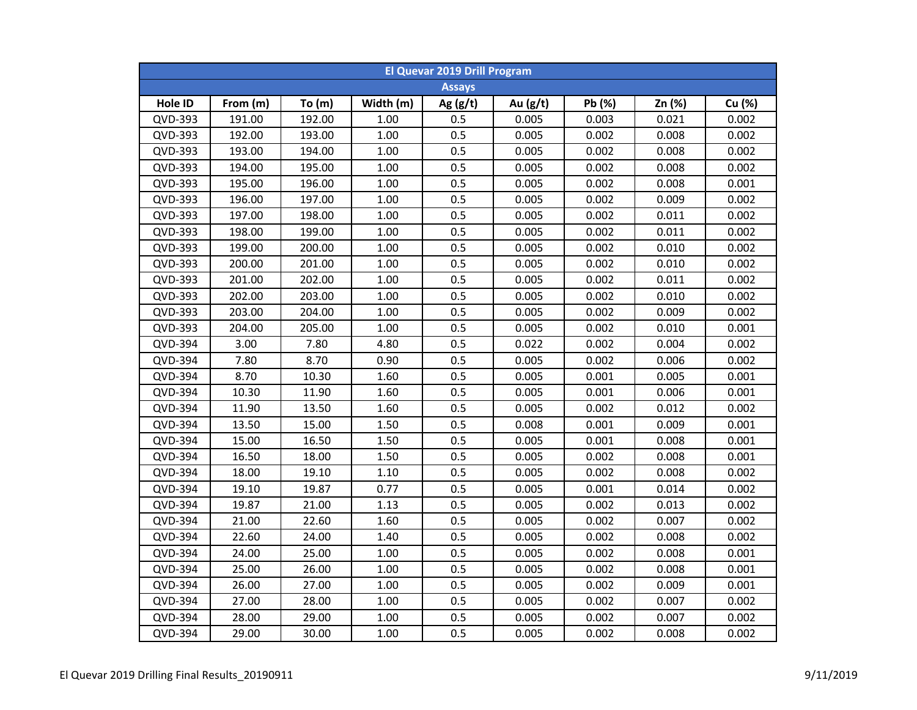| <b>El Quevar 2019 Drill Program</b> |          |        |           |               |            |        |        |        |  |  |
|-------------------------------------|----------|--------|-----------|---------------|------------|--------|--------|--------|--|--|
|                                     |          |        |           | <b>Assays</b> |            |        |        |        |  |  |
| Hole ID                             | From (m) | To(m)  | Width (m) | Ag $(g/t)$    | Au $(g/t)$ | Pb (%) | Zn (%) | Cu (%) |  |  |
| QVD-393                             | 191.00   | 192.00 | 1.00      | 0.5           | 0.005      | 0.003  | 0.021  | 0.002  |  |  |
| QVD-393                             | 192.00   | 193.00 | 1.00      | 0.5           | 0.005      | 0.002  | 0.008  | 0.002  |  |  |
| QVD-393                             | 193.00   | 194.00 | 1.00      | 0.5           | 0.005      | 0.002  | 0.008  | 0.002  |  |  |
| QVD-393                             | 194.00   | 195.00 | 1.00      | 0.5           | 0.005      | 0.002  | 0.008  | 0.002  |  |  |
| QVD-393                             | 195.00   | 196.00 | 1.00      | 0.5           | 0.005      | 0.002  | 0.008  | 0.001  |  |  |
| QVD-393                             | 196.00   | 197.00 | 1.00      | 0.5           | 0.005      | 0.002  | 0.009  | 0.002  |  |  |
| QVD-393                             | 197.00   | 198.00 | 1.00      | 0.5           | 0.005      | 0.002  | 0.011  | 0.002  |  |  |
| QVD-393                             | 198.00   | 199.00 | 1.00      | 0.5           | 0.005      | 0.002  | 0.011  | 0.002  |  |  |
| QVD-393                             | 199.00   | 200.00 | 1.00      | 0.5           | 0.005      | 0.002  | 0.010  | 0.002  |  |  |
| QVD-393                             | 200.00   | 201.00 | 1.00      | 0.5           | 0.005      | 0.002  | 0.010  | 0.002  |  |  |
| QVD-393                             | 201.00   | 202.00 | 1.00      | 0.5           | 0.005      | 0.002  | 0.011  | 0.002  |  |  |
| QVD-393                             | 202.00   | 203.00 | 1.00      | 0.5           | 0.005      | 0.002  | 0.010  | 0.002  |  |  |
| QVD-393                             | 203.00   | 204.00 | 1.00      | 0.5           | 0.005      | 0.002  | 0.009  | 0.002  |  |  |
| QVD-393                             | 204.00   | 205.00 | 1.00      | 0.5           | 0.005      | 0.002  | 0.010  | 0.001  |  |  |
| QVD-394                             | 3.00     | 7.80   | 4.80      | 0.5           | 0.022      | 0.002  | 0.004  | 0.002  |  |  |
| QVD-394                             | 7.80     | 8.70   | 0.90      | 0.5           | 0.005      | 0.002  | 0.006  | 0.002  |  |  |
| QVD-394                             | 8.70     | 10.30  | 1.60      | 0.5           | 0.005      | 0.001  | 0.005  | 0.001  |  |  |
| QVD-394                             | 10.30    | 11.90  | 1.60      | 0.5           | 0.005      | 0.001  | 0.006  | 0.001  |  |  |
| QVD-394                             | 11.90    | 13.50  | 1.60      | 0.5           | 0.005      | 0.002  | 0.012  | 0.002  |  |  |
| QVD-394                             | 13.50    | 15.00  | 1.50      | 0.5           | 0.008      | 0.001  | 0.009  | 0.001  |  |  |
| QVD-394                             | 15.00    | 16.50  | 1.50      | 0.5           | 0.005      | 0.001  | 0.008  | 0.001  |  |  |
| QVD-394                             | 16.50    | 18.00  | 1.50      | 0.5           | 0.005      | 0.002  | 0.008  | 0.001  |  |  |
| QVD-394                             | 18.00    | 19.10  | 1.10      | 0.5           | 0.005      | 0.002  | 0.008  | 0.002  |  |  |
| QVD-394                             | 19.10    | 19.87  | 0.77      | 0.5           | 0.005      | 0.001  | 0.014  | 0.002  |  |  |
| QVD-394                             | 19.87    | 21.00  | 1.13      | 0.5           | 0.005      | 0.002  | 0.013  | 0.002  |  |  |
| QVD-394                             | 21.00    | 22.60  | 1.60      | 0.5           | 0.005      | 0.002  | 0.007  | 0.002  |  |  |
| QVD-394                             | 22.60    | 24.00  | 1.40      | 0.5           | 0.005      | 0.002  | 0.008  | 0.002  |  |  |
| QVD-394                             | 24.00    | 25.00  | 1.00      | 0.5           | 0.005      | 0.002  | 0.008  | 0.001  |  |  |
| QVD-394                             | 25.00    | 26.00  | 1.00      | 0.5           | 0.005      | 0.002  | 0.008  | 0.001  |  |  |
| QVD-394                             | 26.00    | 27.00  | 1.00      | 0.5           | 0.005      | 0.002  | 0.009  | 0.001  |  |  |
| QVD-394                             | 27.00    | 28.00  | 1.00      | 0.5           | 0.005      | 0.002  | 0.007  | 0.002  |  |  |
| QVD-394                             | 28.00    | 29.00  | 1.00      | 0.5           | 0.005      | 0.002  | 0.007  | 0.002  |  |  |
| QVD-394                             | 29.00    | 30.00  | 1.00      | 0.5           | 0.005      | 0.002  | 0.008  | 0.002  |  |  |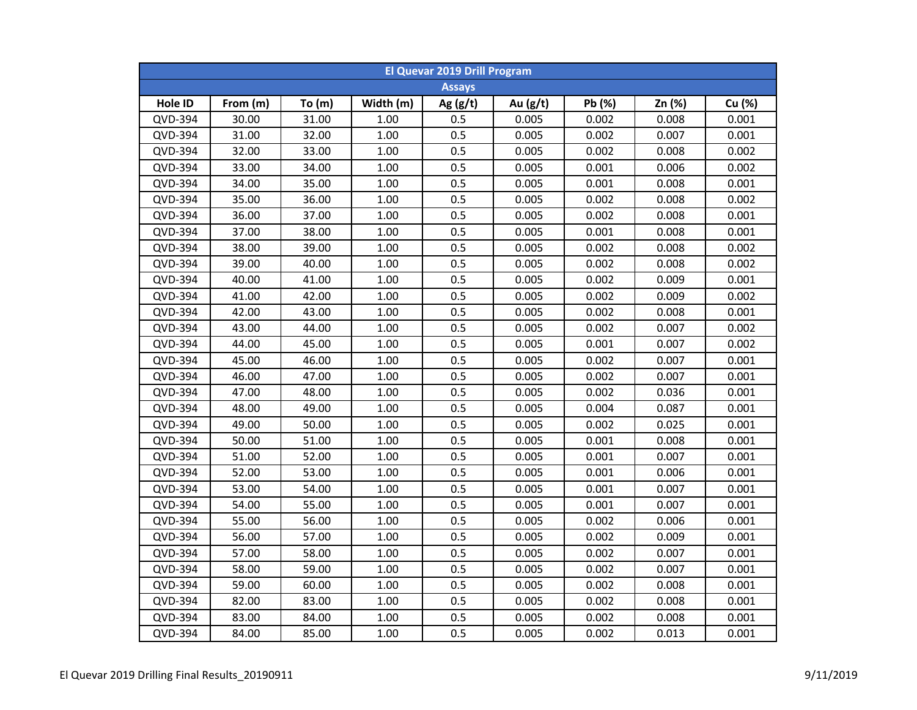| <b>El Quevar 2019 Drill Program</b> |          |          |           |               |            |        |        |        |  |  |
|-------------------------------------|----------|----------|-----------|---------------|------------|--------|--------|--------|--|--|
|                                     |          |          |           | <b>Assays</b> |            |        |        |        |  |  |
| Hole ID                             | From (m) | To $(m)$ | Width (m) | Ag $(g/t)$    | Au $(g/t)$ | Pb (%) | Zn (%) | Cu (%) |  |  |
| QVD-394                             | 30.00    | 31.00    | 1.00      | 0.5           | 0.005      | 0.002  | 0.008  | 0.001  |  |  |
| QVD-394                             | 31.00    | 32.00    | $1.00\,$  | 0.5           | 0.005      | 0.002  | 0.007  | 0.001  |  |  |
| QVD-394                             | 32.00    | 33.00    | $1.00\,$  | 0.5           | 0.005      | 0.002  | 0.008  | 0.002  |  |  |
| QVD-394                             | 33.00    | 34.00    | 1.00      | 0.5           | 0.005      | 0.001  | 0.006  | 0.002  |  |  |
| QVD-394                             | 34.00    | 35.00    | 1.00      | 0.5           | 0.005      | 0.001  | 0.008  | 0.001  |  |  |
| QVD-394                             | 35.00    | 36.00    | 1.00      | 0.5           | 0.005      | 0.002  | 0.008  | 0.002  |  |  |
| QVD-394                             | 36.00    | 37.00    | 1.00      | 0.5           | 0.005      | 0.002  | 0.008  | 0.001  |  |  |
| QVD-394                             | 37.00    | 38.00    | 1.00      | 0.5           | 0.005      | 0.001  | 0.008  | 0.001  |  |  |
| QVD-394                             | 38.00    | 39.00    | 1.00      | 0.5           | 0.005      | 0.002  | 0.008  | 0.002  |  |  |
| QVD-394                             | 39.00    | 40.00    | 1.00      | 0.5           | 0.005      | 0.002  | 0.008  | 0.002  |  |  |
| QVD-394                             | 40.00    | 41.00    | 1.00      | 0.5           | 0.005      | 0.002  | 0.009  | 0.001  |  |  |
| QVD-394                             | 41.00    | 42.00    | 1.00      | 0.5           | 0.005      | 0.002  | 0.009  | 0.002  |  |  |
| QVD-394                             | 42.00    | 43.00    | 1.00      | 0.5           | 0.005      | 0.002  | 0.008  | 0.001  |  |  |
| QVD-394                             | 43.00    | 44.00    | 1.00      | 0.5           | 0.005      | 0.002  | 0.007  | 0.002  |  |  |
| QVD-394                             | 44.00    | 45.00    | 1.00      | 0.5           | 0.005      | 0.001  | 0.007  | 0.002  |  |  |
| QVD-394                             | 45.00    | 46.00    | 1.00      | 0.5           | 0.005      | 0.002  | 0.007  | 0.001  |  |  |
| QVD-394                             | 46.00    | 47.00    | 1.00      | 0.5           | 0.005      | 0.002  | 0.007  | 0.001  |  |  |
| QVD-394                             | 47.00    | 48.00    | 1.00      | 0.5           | 0.005      | 0.002  | 0.036  | 0.001  |  |  |
| QVD-394                             | 48.00    | 49.00    | 1.00      | 0.5           | 0.005      | 0.004  | 0.087  | 0.001  |  |  |
| QVD-394                             | 49.00    | 50.00    | 1.00      | 0.5           | 0.005      | 0.002  | 0.025  | 0.001  |  |  |
| QVD-394                             | 50.00    | 51.00    | 1.00      | 0.5           | 0.005      | 0.001  | 0.008  | 0.001  |  |  |
| QVD-394                             | 51.00    | 52.00    | 1.00      | 0.5           | 0.005      | 0.001  | 0.007  | 0.001  |  |  |
| QVD-394                             | 52.00    | 53.00    | 1.00      | 0.5           | 0.005      | 0.001  | 0.006  | 0.001  |  |  |
| QVD-394                             | 53.00    | 54.00    | 1.00      | 0.5           | 0.005      | 0.001  | 0.007  | 0.001  |  |  |
| QVD-394                             | 54.00    | 55.00    | 1.00      | 0.5           | 0.005      | 0.001  | 0.007  | 0.001  |  |  |
| QVD-394                             | 55.00    | 56.00    | 1.00      | 0.5           | 0.005      | 0.002  | 0.006  | 0.001  |  |  |
| QVD-394                             | 56.00    | 57.00    | 1.00      | 0.5           | 0.005      | 0.002  | 0.009  | 0.001  |  |  |
| QVD-394                             | 57.00    | 58.00    | 1.00      | 0.5           | 0.005      | 0.002  | 0.007  | 0.001  |  |  |
| QVD-394                             | 58.00    | 59.00    | 1.00      | 0.5           | 0.005      | 0.002  | 0.007  | 0.001  |  |  |
| QVD-394                             | 59.00    | 60.00    | 1.00      | 0.5           | 0.005      | 0.002  | 0.008  | 0.001  |  |  |
| QVD-394                             | 82.00    | 83.00    | 1.00      | 0.5           | 0.005      | 0.002  | 0.008  | 0.001  |  |  |
| QVD-394                             | 83.00    | 84.00    | 1.00      | 0.5           | 0.005      | 0.002  | 0.008  | 0.001  |  |  |
| QVD-394                             | 84.00    | 85.00    | 1.00      | 0.5           | 0.005      | 0.002  | 0.013  | 0.001  |  |  |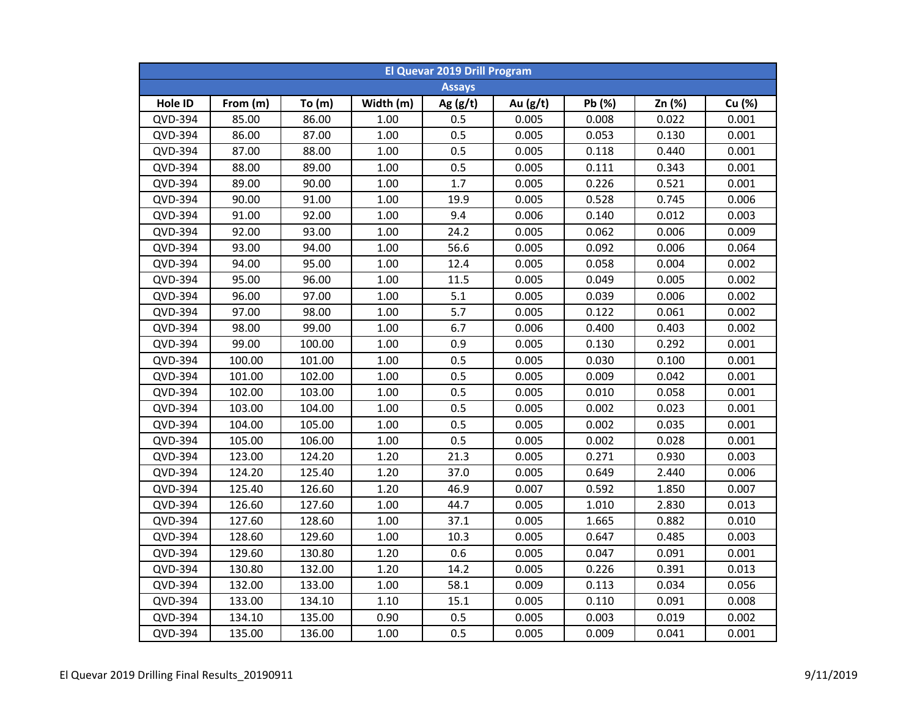| <b>El Quevar 2019 Drill Program</b> |          |        |           |               |          |        |        |        |  |  |
|-------------------------------------|----------|--------|-----------|---------------|----------|--------|--------|--------|--|--|
|                                     |          |        |           | <b>Assays</b> |          |        |        |        |  |  |
| Hole ID                             | From (m) | To(m)  | Width (m) | Ag $(g/t)$    | Au (g/t) | Pb (%) | Zn (%) | Cu (%) |  |  |
| QVD-394                             | 85.00    | 86.00  | 1.00      | 0.5           | 0.005    | 0.008  | 0.022  | 0.001  |  |  |
| QVD-394                             | 86.00    | 87.00  | $1.00\,$  | 0.5           | 0.005    | 0.053  | 0.130  | 0.001  |  |  |
| QVD-394                             | 87.00    | 88.00  | 1.00      | 0.5           | 0.005    | 0.118  | 0.440  | 0.001  |  |  |
| QVD-394                             | 88.00    | 89.00  | 1.00      | 0.5           | 0.005    | 0.111  | 0.343  | 0.001  |  |  |
| QVD-394                             | 89.00    | 90.00  | 1.00      | 1.7           | 0.005    | 0.226  | 0.521  | 0.001  |  |  |
| QVD-394                             | 90.00    | 91.00  | 1.00      | 19.9          | 0.005    | 0.528  | 0.745  | 0.006  |  |  |
| QVD-394                             | 91.00    | 92.00  | 1.00      | 9.4           | 0.006    | 0.140  | 0.012  | 0.003  |  |  |
| QVD-394                             | 92.00    | 93.00  | 1.00      | 24.2          | 0.005    | 0.062  | 0.006  | 0.009  |  |  |
| QVD-394                             | 93.00    | 94.00  | 1.00      | 56.6          | 0.005    | 0.092  | 0.006  | 0.064  |  |  |
| QVD-394                             | 94.00    | 95.00  | 1.00      | 12.4          | 0.005    | 0.058  | 0.004  | 0.002  |  |  |
| QVD-394                             | 95.00    | 96.00  | 1.00      | 11.5          | 0.005    | 0.049  | 0.005  | 0.002  |  |  |
| QVD-394                             | 96.00    | 97.00  | 1.00      | 5.1           | 0.005    | 0.039  | 0.006  | 0.002  |  |  |
| QVD-394                             | 97.00    | 98.00  | 1.00      | 5.7           | 0.005    | 0.122  | 0.061  | 0.002  |  |  |
| QVD-394                             | 98.00    | 99.00  | 1.00      | 6.7           | 0.006    | 0.400  | 0.403  | 0.002  |  |  |
| QVD-394                             | 99.00    | 100.00 | 1.00      | 0.9           | 0.005    | 0.130  | 0.292  | 0.001  |  |  |
| QVD-394                             | 100.00   | 101.00 | 1.00      | 0.5           | 0.005    | 0.030  | 0.100  | 0.001  |  |  |
| QVD-394                             | 101.00   | 102.00 | 1.00      | 0.5           | 0.005    | 0.009  | 0.042  | 0.001  |  |  |
| QVD-394                             | 102.00   | 103.00 | 1.00      | 0.5           | 0.005    | 0.010  | 0.058  | 0.001  |  |  |
| QVD-394                             | 103.00   | 104.00 | 1.00      | 0.5           | 0.005    | 0.002  | 0.023  | 0.001  |  |  |
| QVD-394                             | 104.00   | 105.00 | 1.00      | 0.5           | 0.005    | 0.002  | 0.035  | 0.001  |  |  |
| QVD-394                             | 105.00   | 106.00 | 1.00      | 0.5           | 0.005    | 0.002  | 0.028  | 0.001  |  |  |
| QVD-394                             | 123.00   | 124.20 | 1.20      | 21.3          | 0.005    | 0.271  | 0.930  | 0.003  |  |  |
| QVD-394                             | 124.20   | 125.40 | 1.20      | 37.0          | 0.005    | 0.649  | 2.440  | 0.006  |  |  |
| QVD-394                             | 125.40   | 126.60 | 1.20      | 46.9          | 0.007    | 0.592  | 1.850  | 0.007  |  |  |
| QVD-394                             | 126.60   | 127.60 | 1.00      | 44.7          | 0.005    | 1.010  | 2.830  | 0.013  |  |  |
| QVD-394                             | 127.60   | 128.60 | 1.00      | 37.1          | 0.005    | 1.665  | 0.882  | 0.010  |  |  |
| QVD-394                             | 128.60   | 129.60 | 1.00      | 10.3          | 0.005    | 0.647  | 0.485  | 0.003  |  |  |
| QVD-394                             | 129.60   | 130.80 | 1.20      | 0.6           | 0.005    | 0.047  | 0.091  | 0.001  |  |  |
| QVD-394                             | 130.80   | 132.00 | 1.20      | 14.2          | 0.005    | 0.226  | 0.391  | 0.013  |  |  |
| QVD-394                             | 132.00   | 133.00 | 1.00      | 58.1          | 0.009    | 0.113  | 0.034  | 0.056  |  |  |
| QVD-394                             | 133.00   | 134.10 | 1.10      | 15.1          | 0.005    | 0.110  | 0.091  | 0.008  |  |  |
| QVD-394                             | 134.10   | 135.00 | 0.90      | 0.5           | 0.005    | 0.003  | 0.019  | 0.002  |  |  |
| QVD-394                             | 135.00   | 136.00 | 1.00      | 0.5           | 0.005    | 0.009  | 0.041  | 0.001  |  |  |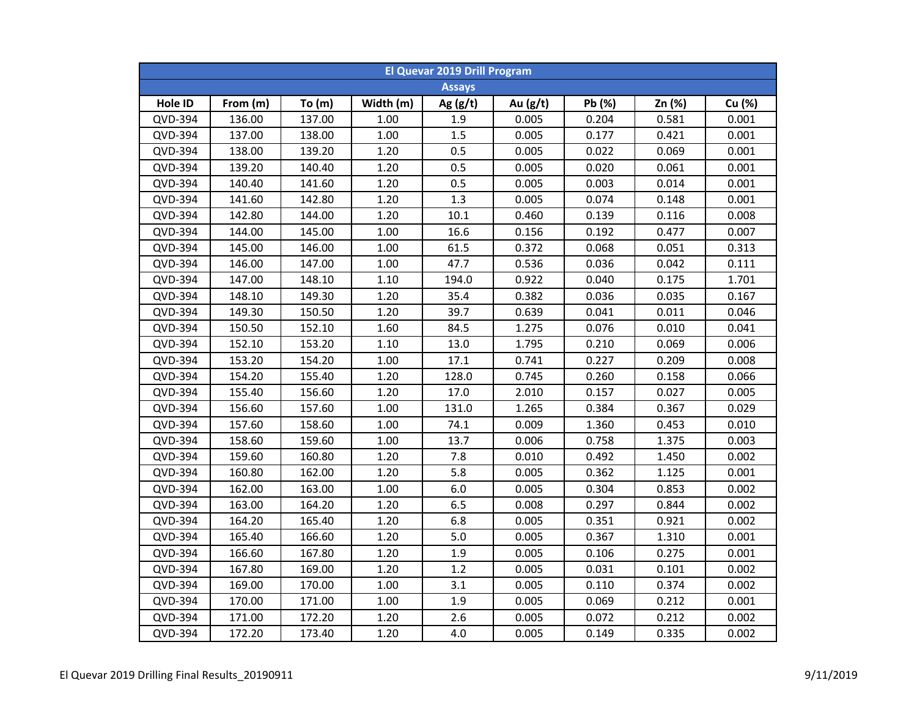| <b>El Quevar 2019 Drill Program</b> |          |        |           |               |            |        |        |        |  |  |
|-------------------------------------|----------|--------|-----------|---------------|------------|--------|--------|--------|--|--|
|                                     |          |        |           | <b>Assays</b> |            |        |        |        |  |  |
| Hole ID                             | From (m) | To(m)  | Width (m) | Ag $(g/t)$    | Au $(g/t)$ | Pb (%) | Zn (%) | Cu (%) |  |  |
| QVD-394                             | 136.00   | 137.00 | 1.00      | 1.9           | 0.005      | 0.204  | 0.581  | 0.001  |  |  |
| QVD-394                             | 137.00   | 138.00 | 1.00      | 1.5           | 0.005      | 0.177  | 0.421  | 0.001  |  |  |
| QVD-394                             | 138.00   | 139.20 | 1.20      | 0.5           | 0.005      | 0.022  | 0.069  | 0.001  |  |  |
| QVD-394                             | 139.20   | 140.40 | 1.20      | 0.5           | 0.005      | 0.020  | 0.061  | 0.001  |  |  |
| QVD-394                             | 140.40   | 141.60 | 1.20      | 0.5           | 0.005      | 0.003  | 0.014  | 0.001  |  |  |
| QVD-394                             | 141.60   | 142.80 | 1.20      | 1.3           | 0.005      | 0.074  | 0.148  | 0.001  |  |  |
| QVD-394                             | 142.80   | 144.00 | 1.20      | 10.1          | 0.460      | 0.139  | 0.116  | 0.008  |  |  |
| QVD-394                             | 144.00   | 145.00 | 1.00      | 16.6          | 0.156      | 0.192  | 0.477  | 0.007  |  |  |
| QVD-394                             | 145.00   | 146.00 | 1.00      | 61.5          | 0.372      | 0.068  | 0.051  | 0.313  |  |  |
| QVD-394                             | 146.00   | 147.00 | 1.00      | 47.7          | 0.536      | 0.036  | 0.042  | 0.111  |  |  |
| QVD-394                             | 147.00   | 148.10 | 1.10      | 194.0         | 0.922      | 0.040  | 0.175  | 1.701  |  |  |
| QVD-394                             | 148.10   | 149.30 | 1.20      | 35.4          | 0.382      | 0.036  | 0.035  | 0.167  |  |  |
| QVD-394                             | 149.30   | 150.50 | 1.20      | 39.7          | 0.639      | 0.041  | 0.011  | 0.046  |  |  |
| QVD-394                             | 150.50   | 152.10 | 1.60      | 84.5          | 1.275      | 0.076  | 0.010  | 0.041  |  |  |
| QVD-394                             | 152.10   | 153.20 | 1.10      | 13.0          | 1.795      | 0.210  | 0.069  | 0.006  |  |  |
| QVD-394                             | 153.20   | 154.20 | 1.00      | 17.1          | 0.741      | 0.227  | 0.209  | 0.008  |  |  |
| QVD-394                             | 154.20   | 155.40 | 1.20      | 128.0         | 0.745      | 0.260  | 0.158  | 0.066  |  |  |
| QVD-394                             | 155.40   | 156.60 | 1.20      | 17.0          | 2.010      | 0.157  | 0.027  | 0.005  |  |  |
| QVD-394                             | 156.60   | 157.60 | 1.00      | 131.0         | 1.265      | 0.384  | 0.367  | 0.029  |  |  |
| QVD-394                             | 157.60   | 158.60 | 1.00      | 74.1          | 0.009      | 1.360  | 0.453  | 0.010  |  |  |
| QVD-394                             | 158.60   | 159.60 | 1.00      | 13.7          | 0.006      | 0.758  | 1.375  | 0.003  |  |  |
| QVD-394                             | 159.60   | 160.80 | 1.20      | 7.8           | 0.010      | 0.492  | 1.450  | 0.002  |  |  |
| QVD-394                             | 160.80   | 162.00 | 1.20      | 5.8           | 0.005      | 0.362  | 1.125  | 0.001  |  |  |
| QVD-394                             | 162.00   | 163.00 | 1.00      | 6.0           | 0.005      | 0.304  | 0.853  | 0.002  |  |  |
| QVD-394                             | 163.00   | 164.20 | 1.20      | 6.5           | 0.008      | 0.297  | 0.844  | 0.002  |  |  |
| QVD-394                             | 164.20   | 165.40 | 1.20      | 6.8           | 0.005      | 0.351  | 0.921  | 0.002  |  |  |
| QVD-394                             | 165.40   | 166.60 | 1.20      | 5.0           | 0.005      | 0.367  | 1.310  | 0.001  |  |  |
| QVD-394                             | 166.60   | 167.80 | 1.20      | 1.9           | 0.005      | 0.106  | 0.275  | 0.001  |  |  |
| QVD-394                             | 167.80   | 169.00 | 1.20      | 1.2           | 0.005      | 0.031  | 0.101  | 0.002  |  |  |
| QVD-394                             | 169.00   | 170.00 | 1.00      | 3.1           | 0.005      | 0.110  | 0.374  | 0.002  |  |  |
| QVD-394                             | 170.00   | 171.00 | 1.00      | 1.9           | 0.005      | 0.069  | 0.212  | 0.001  |  |  |
| QVD-394                             | 171.00   | 172.20 | 1.20      | 2.6           | 0.005      | 0.072  | 0.212  | 0.002  |  |  |
| QVD-394                             | 172.20   | 173.40 | 1.20      | 4.0           | 0.005      | 0.149  | 0.335  | 0.002  |  |  |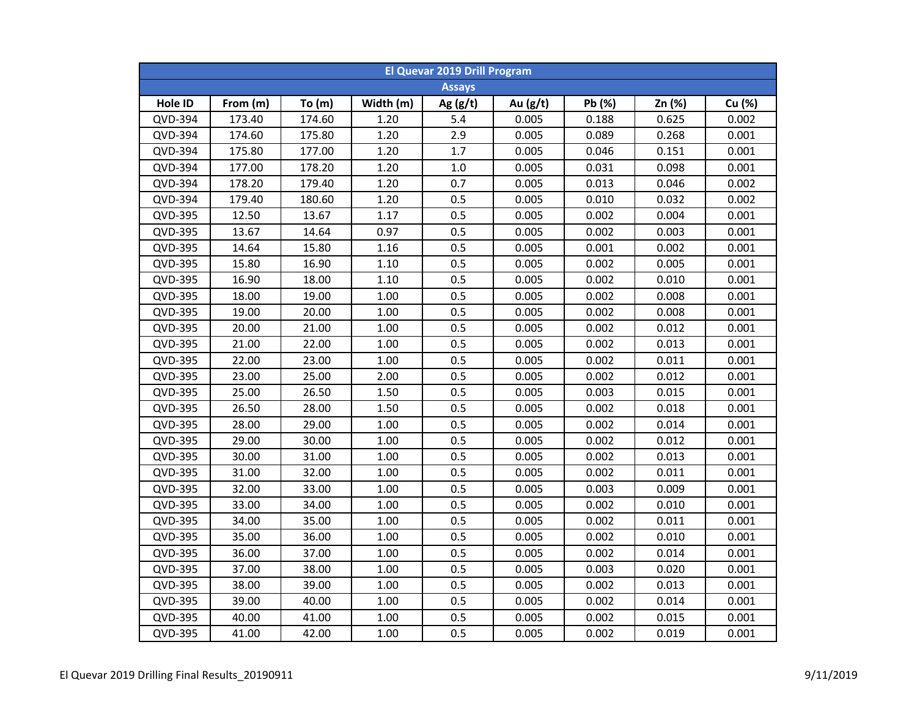| <b>El Quevar 2019 Drill Program</b> |          |        |           |               |            |        |        |        |  |  |
|-------------------------------------|----------|--------|-----------|---------------|------------|--------|--------|--------|--|--|
|                                     |          |        |           | <b>Assays</b> |            |        |        |        |  |  |
| Hole ID                             | From (m) | To(m)  | Width (m) | Ag $(g/t)$    | Au $(g/t)$ | Pb (%) | Zn (%) | Cu (%) |  |  |
| QVD-394                             | 173.40   | 174.60 | 1.20      | 5.4           | 0.005      | 0.188  | 0.625  | 0.002  |  |  |
| QVD-394                             | 174.60   | 175.80 | 1.20      | 2.9           | 0.005      | 0.089  | 0.268  | 0.001  |  |  |
| QVD-394                             | 175.80   | 177.00 | 1.20      | 1.7           | 0.005      | 0.046  | 0.151  | 0.001  |  |  |
| QVD-394                             | 177.00   | 178.20 | 1.20      | $1.0\,$       | 0.005      | 0.031  | 0.098  | 0.001  |  |  |
| QVD-394                             | 178.20   | 179.40 | 1.20      | 0.7           | 0.005      | 0.013  | 0.046  | 0.002  |  |  |
| QVD-394                             | 179.40   | 180.60 | 1.20      | 0.5           | 0.005      | 0.010  | 0.032  | 0.002  |  |  |
| QVD-395                             | 12.50    | 13.67  | 1.17      | 0.5           | 0.005      | 0.002  | 0.004  | 0.001  |  |  |
| QVD-395                             | 13.67    | 14.64  | 0.97      | 0.5           | 0.005      | 0.002  | 0.003  | 0.001  |  |  |
| QVD-395                             | 14.64    | 15.80  | 1.16      | 0.5           | 0.005      | 0.001  | 0.002  | 0.001  |  |  |
| QVD-395                             | 15.80    | 16.90  | 1.10      | 0.5           | 0.005      | 0.002  | 0.005  | 0.001  |  |  |
| QVD-395                             | 16.90    | 18.00  | 1.10      | 0.5           | 0.005      | 0.002  | 0.010  | 0.001  |  |  |
| QVD-395                             | 18.00    | 19.00  | 1.00      | 0.5           | 0.005      | 0.002  | 0.008  | 0.001  |  |  |
| QVD-395                             | 19.00    | 20.00  | 1.00      | 0.5           | 0.005      | 0.002  | 0.008  | 0.001  |  |  |
| QVD-395                             | 20.00    | 21.00  | 1.00      | 0.5           | 0.005      | 0.002  | 0.012  | 0.001  |  |  |
| QVD-395                             | 21.00    | 22.00  | 1.00      | 0.5           | 0.005      | 0.002  | 0.013  | 0.001  |  |  |
| QVD-395                             | 22.00    | 23.00  | 1.00      | 0.5           | 0.005      | 0.002  | 0.011  | 0.001  |  |  |
| QVD-395                             | 23.00    | 25.00  | 2.00      | 0.5           | 0.005      | 0.002  | 0.012  | 0.001  |  |  |
| <b>QVD-395</b>                      | 25.00    | 26.50  | 1.50      | 0.5           | 0.005      | 0.003  | 0.015  | 0.001  |  |  |
| QVD-395                             | 26.50    | 28.00  | 1.50      | 0.5           | 0.005      | 0.002  | 0.018  | 0.001  |  |  |
| <b>QVD-395</b>                      | 28.00    | 29.00  | 1.00      | 0.5           | 0.005      | 0.002  | 0.014  | 0.001  |  |  |
| QVD-395                             | 29.00    | 30.00  | 1.00      | 0.5           | 0.005      | 0.002  | 0.012  | 0.001  |  |  |
| QVD-395                             | 30.00    | 31.00  | 1.00      | 0.5           | 0.005      | 0.002  | 0.013  | 0.001  |  |  |
| QVD-395                             | 31.00    | 32.00  | 1.00      | 0.5           | 0.005      | 0.002  | 0.011  | 0.001  |  |  |
| QVD-395                             | 32.00    | 33.00  | 1.00      | 0.5           | 0.005      | 0.003  | 0.009  | 0.001  |  |  |
| QVD-395                             | 33.00    | 34.00  | 1.00      | 0.5           | 0.005      | 0.002  | 0.010  | 0.001  |  |  |
| QVD-395                             | 34.00    | 35.00  | 1.00      | 0.5           | 0.005      | 0.002  | 0.011  | 0.001  |  |  |
| QVD-395                             | 35.00    | 36.00  | 1.00      | 0.5           | 0.005      | 0.002  | 0.010  | 0.001  |  |  |
| QVD-395                             | 36.00    | 37.00  | 1.00      | 0.5           | 0.005      | 0.002  | 0.014  | 0.001  |  |  |
| QVD-395                             | 37.00    | 38.00  | 1.00      | 0.5           | 0.005      | 0.003  | 0.020  | 0.001  |  |  |
| QVD-395                             | 38.00    | 39.00  | 1.00      | 0.5           | 0.005      | 0.002  | 0.013  | 0.001  |  |  |
| QVD-395                             | 39.00    | 40.00  | 1.00      | 0.5           | 0.005      | 0.002  | 0.014  | 0.001  |  |  |
| QVD-395                             | 40.00    | 41.00  | 1.00      | 0.5           | 0.005      | 0.002  | 0.015  | 0.001  |  |  |
| QVD-395                             | 41.00    | 42.00  | 1.00      | 0.5           | 0.005      | 0.002  | 0.019  | 0.001  |  |  |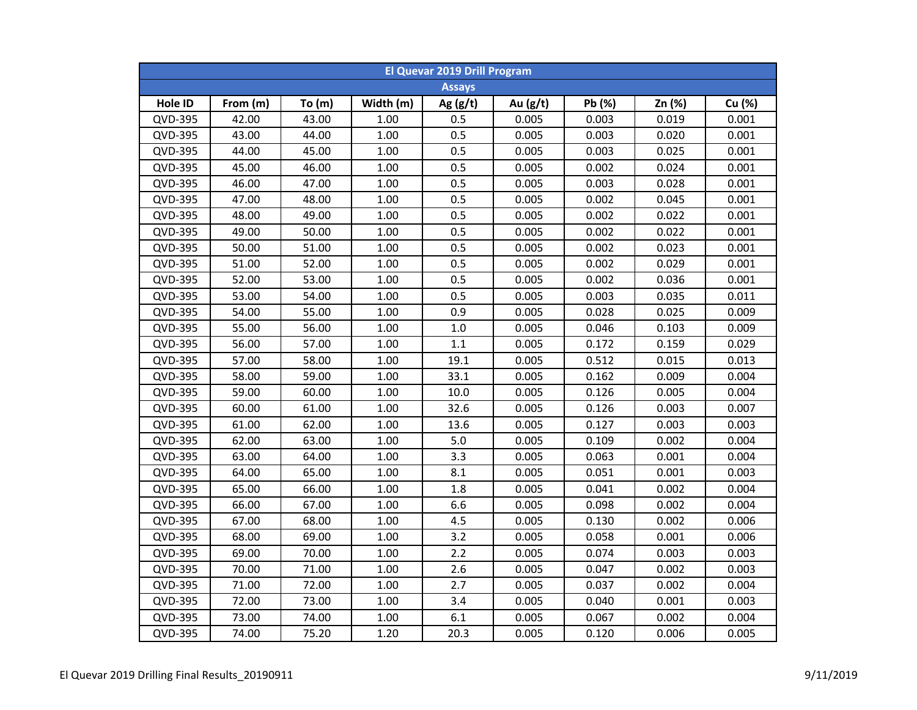| <b>El Quevar 2019 Drill Program</b> |          |       |           |               |            |        |        |        |  |  |
|-------------------------------------|----------|-------|-----------|---------------|------------|--------|--------|--------|--|--|
|                                     |          |       |           | <b>Assays</b> |            |        |        |        |  |  |
| Hole ID                             | From (m) | To(m) | Width (m) | Ag $(g/t)$    | Au $(g/t)$ | Pb (%) | Zn (%) | Cu (%) |  |  |
| QVD-395                             | 42.00    | 43.00 | 1.00      | 0.5           | 0.005      | 0.003  | 0.019  | 0.001  |  |  |
| QVD-395                             | 43.00    | 44.00 | $1.00\,$  | 0.5           | 0.005      | 0.003  | 0.020  | 0.001  |  |  |
| QVD-395                             | 44.00    | 45.00 | $1.00\,$  | 0.5           | 0.005      | 0.003  | 0.025  | 0.001  |  |  |
| QVD-395                             | 45.00    | 46.00 | 1.00      | 0.5           | 0.005      | 0.002  | 0.024  | 0.001  |  |  |
| QVD-395                             | 46.00    | 47.00 | 1.00      | 0.5           | 0.005      | 0.003  | 0.028  | 0.001  |  |  |
| QVD-395                             | 47.00    | 48.00 | 1.00      | 0.5           | 0.005      | 0.002  | 0.045  | 0.001  |  |  |
| QVD-395                             | 48.00    | 49.00 | 1.00      | 0.5           | 0.005      | 0.002  | 0.022  | 0.001  |  |  |
| QVD-395                             | 49.00    | 50.00 | 1.00      | 0.5           | 0.005      | 0.002  | 0.022  | 0.001  |  |  |
| QVD-395                             | 50.00    | 51.00 | 1.00      | 0.5           | 0.005      | 0.002  | 0.023  | 0.001  |  |  |
| QVD-395                             | 51.00    | 52.00 | 1.00      | 0.5           | 0.005      | 0.002  | 0.029  | 0.001  |  |  |
| QVD-395                             | 52.00    | 53.00 | 1.00      | 0.5           | 0.005      | 0.002  | 0.036  | 0.001  |  |  |
| QVD-395                             | 53.00    | 54.00 | 1.00      | 0.5           | 0.005      | 0.003  | 0.035  | 0.011  |  |  |
| QVD-395                             | 54.00    | 55.00 | 1.00      | 0.9           | 0.005      | 0.028  | 0.025  | 0.009  |  |  |
| QVD-395                             | 55.00    | 56.00 | 1.00      | $1.0\,$       | 0.005      | 0.046  | 0.103  | 0.009  |  |  |
| QVD-395                             | 56.00    | 57.00 | 1.00      | 1.1           | 0.005      | 0.172  | 0.159  | 0.029  |  |  |
| QVD-395                             | 57.00    | 58.00 | 1.00      | 19.1          | 0.005      | 0.512  | 0.015  | 0.013  |  |  |
| QVD-395                             | 58.00    | 59.00 | 1.00      | 33.1          | 0.005      | 0.162  | 0.009  | 0.004  |  |  |
| <b>QVD-395</b>                      | 59.00    | 60.00 | 1.00      | 10.0          | 0.005      | 0.126  | 0.005  | 0.004  |  |  |
| QVD-395                             | 60.00    | 61.00 | 1.00      | 32.6          | 0.005      | 0.126  | 0.003  | 0.007  |  |  |
| <b>QVD-395</b>                      | 61.00    | 62.00 | 1.00      | 13.6          | 0.005      | 0.127  | 0.003  | 0.003  |  |  |
| QVD-395                             | 62.00    | 63.00 | 1.00      | 5.0           | 0.005      | 0.109  | 0.002  | 0.004  |  |  |
| QVD-395                             | 63.00    | 64.00 | 1.00      | 3.3           | 0.005      | 0.063  | 0.001  | 0.004  |  |  |
| QVD-395                             | 64.00    | 65.00 | 1.00      | 8.1           | 0.005      | 0.051  | 0.001  | 0.003  |  |  |
| QVD-395                             | 65.00    | 66.00 | 1.00      | 1.8           | 0.005      | 0.041  | 0.002  | 0.004  |  |  |
| QVD-395                             | 66.00    | 67.00 | 1.00      | 6.6           | 0.005      | 0.098  | 0.002  | 0.004  |  |  |
| QVD-395                             | 67.00    | 68.00 | 1.00      | 4.5           | 0.005      | 0.130  | 0.002  | 0.006  |  |  |
| QVD-395                             | 68.00    | 69.00 | 1.00      | 3.2           | 0.005      | 0.058  | 0.001  | 0.006  |  |  |
| QVD-395                             | 69.00    | 70.00 | 1.00      | 2.2           | 0.005      | 0.074  | 0.003  | 0.003  |  |  |
| QVD-395                             | 70.00    | 71.00 | 1.00      | 2.6           | 0.005      | 0.047  | 0.002  | 0.003  |  |  |
| QVD-395                             | 71.00    | 72.00 | 1.00      | 2.7           | 0.005      | 0.037  | 0.002  | 0.004  |  |  |
| QVD-395                             | 72.00    | 73.00 | 1.00      | 3.4           | 0.005      | 0.040  | 0.001  | 0.003  |  |  |
| QVD-395                             | 73.00    | 74.00 | 1.00      | 6.1           | 0.005      | 0.067  | 0.002  | 0.004  |  |  |
| QVD-395                             | 74.00    | 75.20 | 1.20      | 20.3          | 0.005      | 0.120  | 0.006  | 0.005  |  |  |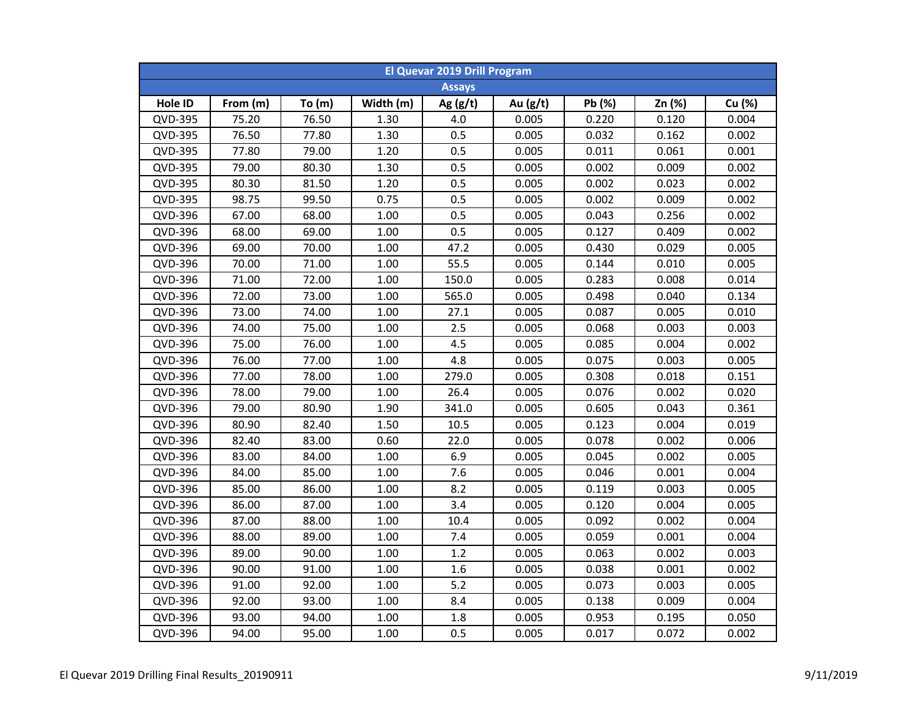| <b>El Quevar 2019 Drill Program</b> |          |          |           |               |          |        |        |        |  |  |
|-------------------------------------|----------|----------|-----------|---------------|----------|--------|--------|--------|--|--|
|                                     |          |          |           | <b>Assays</b> |          |        |        |        |  |  |
| Hole ID                             | From (m) | To $(m)$ | Width (m) | Ag $(g/t)$    | Au (g/t) | Pb (%) | Zn (%) | Cu (%) |  |  |
| QVD-395                             | 75.20    | 76.50    | 1.30      | 4.0           | 0.005    | 0.220  | 0.120  | 0.004  |  |  |
| QVD-395                             | 76.50    | 77.80    | 1.30      | 0.5           | 0.005    | 0.032  | 0.162  | 0.002  |  |  |
| QVD-395                             | 77.80    | 79.00    | 1.20      | 0.5           | 0.005    | 0.011  | 0.061  | 0.001  |  |  |
| QVD-395                             | 79.00    | 80.30    | 1.30      | 0.5           | 0.005    | 0.002  | 0.009  | 0.002  |  |  |
| QVD-395                             | 80.30    | 81.50    | 1.20      | 0.5           | 0.005    | 0.002  | 0.023  | 0.002  |  |  |
| QVD-395                             | 98.75    | 99.50    | 0.75      | 0.5           | 0.005    | 0.002  | 0.009  | 0.002  |  |  |
| QVD-396                             | 67.00    | 68.00    | 1.00      | 0.5           | 0.005    | 0.043  | 0.256  | 0.002  |  |  |
| QVD-396                             | 68.00    | 69.00    | 1.00      | 0.5           | 0.005    | 0.127  | 0.409  | 0.002  |  |  |
| QVD-396                             | 69.00    | 70.00    | 1.00      | 47.2          | 0.005    | 0.430  | 0.029  | 0.005  |  |  |
| QVD-396                             | 70.00    | 71.00    | 1.00      | 55.5          | 0.005    | 0.144  | 0.010  | 0.005  |  |  |
| QVD-396                             | 71.00    | 72.00    | 1.00      | 150.0         | 0.005    | 0.283  | 0.008  | 0.014  |  |  |
| QVD-396                             | 72.00    | 73.00    | 1.00      | 565.0         | 0.005    | 0.498  | 0.040  | 0.134  |  |  |
| QVD-396                             | 73.00    | 74.00    | 1.00      | 27.1          | 0.005    | 0.087  | 0.005  | 0.010  |  |  |
| QVD-396                             | 74.00    | 75.00    | 1.00      | 2.5           | 0.005    | 0.068  | 0.003  | 0.003  |  |  |
| QVD-396                             | 75.00    | 76.00    | 1.00      | 4.5           | 0.005    | 0.085  | 0.004  | 0.002  |  |  |
| QVD-396                             | 76.00    | 77.00    | 1.00      | 4.8           | 0.005    | 0.075  | 0.003  | 0.005  |  |  |
| QVD-396                             | 77.00    | 78.00    | 1.00      | 279.0         | 0.005    | 0.308  | 0.018  | 0.151  |  |  |
| QVD-396                             | 78.00    | 79.00    | 1.00      | 26.4          | 0.005    | 0.076  | 0.002  | 0.020  |  |  |
| QVD-396                             | 79.00    | 80.90    | 1.90      | 341.0         | 0.005    | 0.605  | 0.043  | 0.361  |  |  |
| QVD-396                             | 80.90    | 82.40    | 1.50      | 10.5          | 0.005    | 0.123  | 0.004  | 0.019  |  |  |
| QVD-396                             | 82.40    | 83.00    | 0.60      | 22.0          | 0.005    | 0.078  | 0.002  | 0.006  |  |  |
| QVD-396                             | 83.00    | 84.00    | 1.00      | 6.9           | 0.005    | 0.045  | 0.002  | 0.005  |  |  |
| QVD-396                             | 84.00    | 85.00    | 1.00      | 7.6           | 0.005    | 0.046  | 0.001  | 0.004  |  |  |
| QVD-396                             | 85.00    | 86.00    | 1.00      | 8.2           | 0.005    | 0.119  | 0.003  | 0.005  |  |  |
| QVD-396                             | 86.00    | 87.00    | 1.00      | 3.4           | 0.005    | 0.120  | 0.004  | 0.005  |  |  |
| QVD-396                             | 87.00    | 88.00    | 1.00      | 10.4          | 0.005    | 0.092  | 0.002  | 0.004  |  |  |
| QVD-396                             | 88.00    | 89.00    | 1.00      | 7.4           | 0.005    | 0.059  | 0.001  | 0.004  |  |  |
| QVD-396                             | 89.00    | 90.00    | 1.00      | 1.2           | 0.005    | 0.063  | 0.002  | 0.003  |  |  |
| QVD-396                             | 90.00    | 91.00    | 1.00      | 1.6           | 0.005    | 0.038  | 0.001  | 0.002  |  |  |
| QVD-396                             | 91.00    | 92.00    | 1.00      | 5.2           | 0.005    | 0.073  | 0.003  | 0.005  |  |  |
| QVD-396                             | 92.00    | 93.00    | 1.00      | 8.4           | 0.005    | 0.138  | 0.009  | 0.004  |  |  |
| QVD-396                             | 93.00    | 94.00    | 1.00      | 1.8           | 0.005    | 0.953  | 0.195  | 0.050  |  |  |
| QVD-396                             | 94.00    | 95.00    | 1.00      | 0.5           | 0.005    | 0.017  | 0.072  | 0.002  |  |  |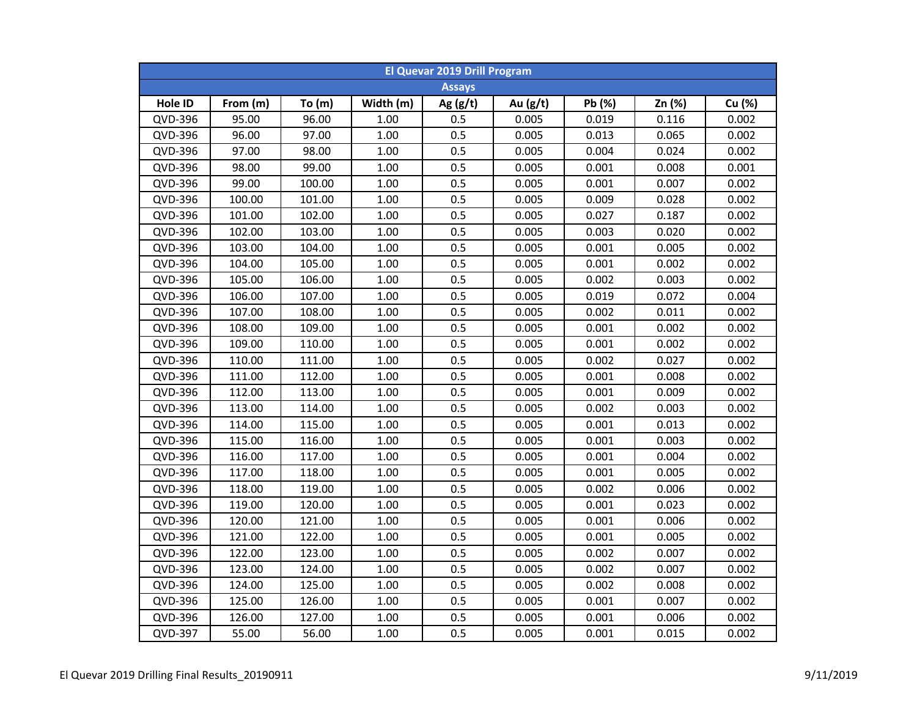| <b>El Quevar 2019 Drill Program</b> |          |          |           |               |            |        |        |        |  |  |
|-------------------------------------|----------|----------|-----------|---------------|------------|--------|--------|--------|--|--|
|                                     |          |          |           | <b>Assays</b> |            |        |        |        |  |  |
| Hole ID                             | From (m) | To $(m)$ | Width (m) | Ag $(g/t)$    | Au $(g/t)$ | Pb (%) | Zn (%) | Cu (%) |  |  |
| QVD-396                             | 95.00    | 96.00    | 1.00      | 0.5           | 0.005      | 0.019  | 0.116  | 0.002  |  |  |
| QVD-396                             | 96.00    | 97.00    | 1.00      | 0.5           | 0.005      | 0.013  | 0.065  | 0.002  |  |  |
| QVD-396                             | 97.00    | 98.00    | 1.00      | 0.5           | 0.005      | 0.004  | 0.024  | 0.002  |  |  |
| QVD-396                             | 98.00    | 99.00    | 1.00      | 0.5           | 0.005      | 0.001  | 0.008  | 0.001  |  |  |
| QVD-396                             | 99.00    | 100.00   | 1.00      | 0.5           | 0.005      | 0.001  | 0.007  | 0.002  |  |  |
| QVD-396                             | 100.00   | 101.00   | 1.00      | 0.5           | 0.005      | 0.009  | 0.028  | 0.002  |  |  |
| QVD-396                             | 101.00   | 102.00   | 1.00      | 0.5           | 0.005      | 0.027  | 0.187  | 0.002  |  |  |
| QVD-396                             | 102.00   | 103.00   | 1.00      | 0.5           | 0.005      | 0.003  | 0.020  | 0.002  |  |  |
| QVD-396                             | 103.00   | 104.00   | 1.00      | 0.5           | 0.005      | 0.001  | 0.005  | 0.002  |  |  |
| QVD-396                             | 104.00   | 105.00   | 1.00      | 0.5           | 0.005      | 0.001  | 0.002  | 0.002  |  |  |
| QVD-396                             | 105.00   | 106.00   | 1.00      | 0.5           | 0.005      | 0.002  | 0.003  | 0.002  |  |  |
| QVD-396                             | 106.00   | 107.00   | 1.00      | 0.5           | 0.005      | 0.019  | 0.072  | 0.004  |  |  |
| QVD-396                             | 107.00   | 108.00   | 1.00      | 0.5           | 0.005      | 0.002  | 0.011  | 0.002  |  |  |
| QVD-396                             | 108.00   | 109.00   | 1.00      | 0.5           | 0.005      | 0.001  | 0.002  | 0.002  |  |  |
| QVD-396                             | 109.00   | 110.00   | 1.00      | 0.5           | 0.005      | 0.001  | 0.002  | 0.002  |  |  |
| QVD-396                             | 110.00   | 111.00   | 1.00      | 0.5           | 0.005      | 0.002  | 0.027  | 0.002  |  |  |
| QVD-396                             | 111.00   | 112.00   | 1.00      | 0.5           | 0.005      | 0.001  | 0.008  | 0.002  |  |  |
| QVD-396                             | 112.00   | 113.00   | 1.00      | 0.5           | 0.005      | 0.001  | 0.009  | 0.002  |  |  |
| QVD-396                             | 113.00   | 114.00   | 1.00      | 0.5           | 0.005      | 0.002  | 0.003  | 0.002  |  |  |
| QVD-396                             | 114.00   | 115.00   | 1.00      | 0.5           | 0.005      | 0.001  | 0.013  | 0.002  |  |  |
| QVD-396                             | 115.00   | 116.00   | 1.00      | 0.5           | 0.005      | 0.001  | 0.003  | 0.002  |  |  |
| QVD-396                             | 116.00   | 117.00   | 1.00      | 0.5           | 0.005      | 0.001  | 0.004  | 0.002  |  |  |
| QVD-396                             | 117.00   | 118.00   | 1.00      | 0.5           | 0.005      | 0.001  | 0.005  | 0.002  |  |  |
| QVD-396                             | 118.00   | 119.00   | 1.00      | 0.5           | 0.005      | 0.002  | 0.006  | 0.002  |  |  |
| QVD-396                             | 119.00   | 120.00   | 1.00      | 0.5           | 0.005      | 0.001  | 0.023  | 0.002  |  |  |
| QVD-396                             | 120.00   | 121.00   | 1.00      | 0.5           | 0.005      | 0.001  | 0.006  | 0.002  |  |  |
| QVD-396                             | 121.00   | 122.00   | 1.00      | 0.5           | 0.005      | 0.001  | 0.005  | 0.002  |  |  |
| QVD-396                             | 122.00   | 123.00   | 1.00      | 0.5           | 0.005      | 0.002  | 0.007  | 0.002  |  |  |
| QVD-396                             | 123.00   | 124.00   | 1.00      | 0.5           | 0.005      | 0.002  | 0.007  | 0.002  |  |  |
| QVD-396                             | 124.00   | 125.00   | 1.00      | 0.5           | 0.005      | 0.002  | 0.008  | 0.002  |  |  |
| QVD-396                             | 125.00   | 126.00   | 1.00      | 0.5           | 0.005      | 0.001  | 0.007  | 0.002  |  |  |
| QVD-396                             | 126.00   | 127.00   | 1.00      | 0.5           | 0.005      | 0.001  | 0.006  | 0.002  |  |  |
| QVD-397                             | 55.00    | 56.00    | 1.00      | 0.5           | 0.005      | 0.001  | 0.015  | 0.002  |  |  |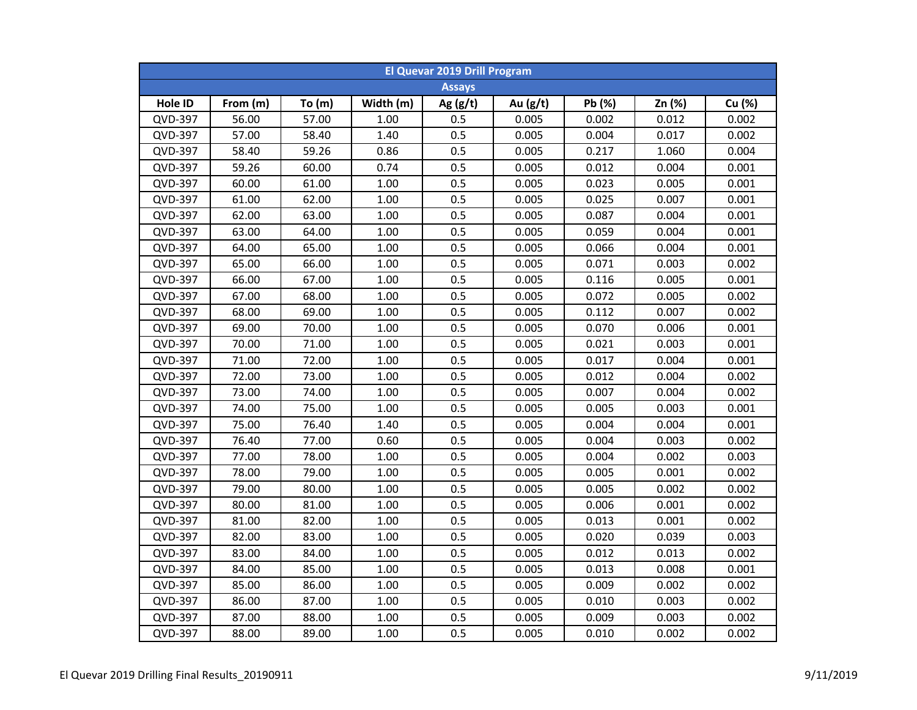| <b>El Quevar 2019 Drill Program</b> |          |       |           |               |          |        |        |        |  |  |
|-------------------------------------|----------|-------|-----------|---------------|----------|--------|--------|--------|--|--|
|                                     |          |       |           | <b>Assays</b> |          |        |        |        |  |  |
| Hole ID                             | From (m) | To(m) | Width (m) | Ag $(g/t)$    | Au (g/t) | Pb (%) | Zn (%) | Cu (%) |  |  |
| QVD-397                             | 56.00    | 57.00 | 1.00      | 0.5           | 0.005    | 0.002  | 0.012  | 0.002  |  |  |
| QVD-397                             | 57.00    | 58.40 | 1.40      | 0.5           | 0.005    | 0.004  | 0.017  | 0.002  |  |  |
| QVD-397                             | 58.40    | 59.26 | 0.86      | 0.5           | 0.005    | 0.217  | 1.060  | 0.004  |  |  |
| QVD-397                             | 59.26    | 60.00 | 0.74      | 0.5           | 0.005    | 0.012  | 0.004  | 0.001  |  |  |
| QVD-397                             | 60.00    | 61.00 | 1.00      | 0.5           | 0.005    | 0.023  | 0.005  | 0.001  |  |  |
| QVD-397                             | 61.00    | 62.00 | 1.00      | 0.5           | 0.005    | 0.025  | 0.007  | 0.001  |  |  |
| QVD-397                             | 62.00    | 63.00 | 1.00      | 0.5           | 0.005    | 0.087  | 0.004  | 0.001  |  |  |
| QVD-397                             | 63.00    | 64.00 | 1.00      | 0.5           | 0.005    | 0.059  | 0.004  | 0.001  |  |  |
| QVD-397                             | 64.00    | 65.00 | 1.00      | 0.5           | 0.005    | 0.066  | 0.004  | 0.001  |  |  |
| QVD-397                             | 65.00    | 66.00 | 1.00      | 0.5           | 0.005    | 0.071  | 0.003  | 0.002  |  |  |
| QVD-397                             | 66.00    | 67.00 | 1.00      | 0.5           | 0.005    | 0.116  | 0.005  | 0.001  |  |  |
| QVD-397                             | 67.00    | 68.00 | 1.00      | 0.5           | 0.005    | 0.072  | 0.005  | 0.002  |  |  |
| QVD-397                             | 68.00    | 69.00 | 1.00      | 0.5           | 0.005    | 0.112  | 0.007  | 0.002  |  |  |
| QVD-397                             | 69.00    | 70.00 | 1.00      | 0.5           | 0.005    | 0.070  | 0.006  | 0.001  |  |  |
| QVD-397                             | 70.00    | 71.00 | 1.00      | 0.5           | 0.005    | 0.021  | 0.003  | 0.001  |  |  |
| QVD-397                             | 71.00    | 72.00 | 1.00      | 0.5           | 0.005    | 0.017  | 0.004  | 0.001  |  |  |
| QVD-397                             | 72.00    | 73.00 | 1.00      | 0.5           | 0.005    | 0.012  | 0.004  | 0.002  |  |  |
| QVD-397                             | 73.00    | 74.00 | 1.00      | 0.5           | 0.005    | 0.007  | 0.004  | 0.002  |  |  |
| QVD-397                             | 74.00    | 75.00 | 1.00      | 0.5           | 0.005    | 0.005  | 0.003  | 0.001  |  |  |
| QVD-397                             | 75.00    | 76.40 | 1.40      | 0.5           | 0.005    | 0.004  | 0.004  | 0.001  |  |  |
| QVD-397                             | 76.40    | 77.00 | 0.60      | 0.5           | 0.005    | 0.004  | 0.003  | 0.002  |  |  |
| QVD-397                             | 77.00    | 78.00 | 1.00      | 0.5           | 0.005    | 0.004  | 0.002  | 0.003  |  |  |
| QVD-397                             | 78.00    | 79.00 | 1.00      | 0.5           | 0.005    | 0.005  | 0.001  | 0.002  |  |  |
| QVD-397                             | 79.00    | 80.00 | 1.00      | 0.5           | 0.005    | 0.005  | 0.002  | 0.002  |  |  |
| <b>QVD-397</b>                      | 80.00    | 81.00 | 1.00      | 0.5           | 0.005    | 0.006  | 0.001  | 0.002  |  |  |
| QVD-397                             | 81.00    | 82.00 | 1.00      | 0.5           | 0.005    | 0.013  | 0.001  | 0.002  |  |  |
| QVD-397                             | 82.00    | 83.00 | 1.00      | 0.5           | 0.005    | 0.020  | 0.039  | 0.003  |  |  |
| QVD-397                             | 83.00    | 84.00 | 1.00      | 0.5           | 0.005    | 0.012  | 0.013  | 0.002  |  |  |
| QVD-397                             | 84.00    | 85.00 | 1.00      | 0.5           | 0.005    | 0.013  | 0.008  | 0.001  |  |  |
| QVD-397                             | 85.00    | 86.00 | 1.00      | 0.5           | 0.005    | 0.009  | 0.002  | 0.002  |  |  |
| QVD-397                             | 86.00    | 87.00 | 1.00      | 0.5           | 0.005    | 0.010  | 0.003  | 0.002  |  |  |
| QVD-397                             | 87.00    | 88.00 | 1.00      | 0.5           | 0.005    | 0.009  | 0.003  | 0.002  |  |  |
| QVD-397                             | 88.00    | 89.00 | 1.00      | 0.5           | 0.005    | 0.010  | 0.002  | 0.002  |  |  |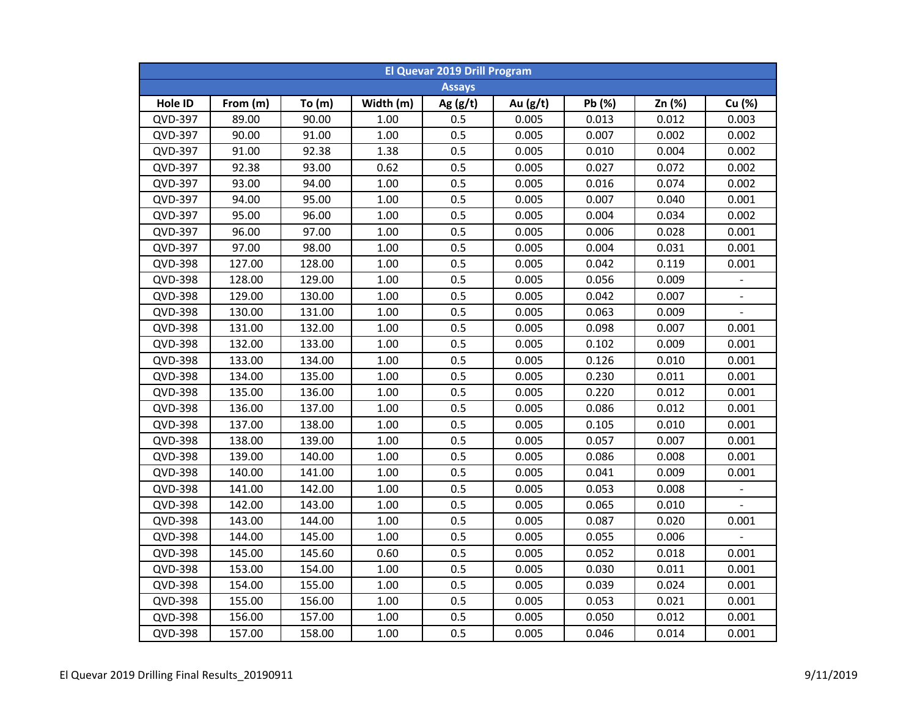| <b>El Quevar 2019 Drill Program</b> |          |        |           |               |            |        |        |                          |  |  |
|-------------------------------------|----------|--------|-----------|---------------|------------|--------|--------|--------------------------|--|--|
|                                     |          |        |           | <b>Assays</b> |            |        |        |                          |  |  |
| Hole ID                             | From (m) | To(m)  | Width (m) | Ag $(g/t)$    | Au $(g/t)$ | Pb (%) | Zn (%) | Cu (%)                   |  |  |
| QVD-397                             | 89.00    | 90.00  | 1.00      | 0.5           | 0.005      | 0.013  | 0.012  | 0.003                    |  |  |
| QVD-397                             | 90.00    | 91.00  | $1.00\,$  | 0.5           | 0.005      | 0.007  | 0.002  | 0.002                    |  |  |
| QVD-397                             | 91.00    | 92.38  | 1.38      | 0.5           | 0.005      | 0.010  | 0.004  | 0.002                    |  |  |
| QVD-397                             | 92.38    | 93.00  | 0.62      | 0.5           | 0.005      | 0.027  | 0.072  | 0.002                    |  |  |
| QVD-397                             | 93.00    | 94.00  | 1.00      | 0.5           | 0.005      | 0.016  | 0.074  | 0.002                    |  |  |
| QVD-397                             | 94.00    | 95.00  | 1.00      | 0.5           | 0.005      | 0.007  | 0.040  | 0.001                    |  |  |
| QVD-397                             | 95.00    | 96.00  | 1.00      | 0.5           | 0.005      | 0.004  | 0.034  | 0.002                    |  |  |
| QVD-397                             | 96.00    | 97.00  | 1.00      | 0.5           | 0.005      | 0.006  | 0.028  | 0.001                    |  |  |
| QVD-397                             | 97.00    | 98.00  | 1.00      | 0.5           | 0.005      | 0.004  | 0.031  | 0.001                    |  |  |
| QVD-398                             | 127.00   | 128.00 | 1.00      | 0.5           | 0.005      | 0.042  | 0.119  | 0.001                    |  |  |
| QVD-398                             | 128.00   | 129.00 | 1.00      | 0.5           | 0.005      | 0.056  | 0.009  |                          |  |  |
| <b>QVD-398</b>                      | 129.00   | 130.00 | 1.00      | 0.5           | 0.005      | 0.042  | 0.007  |                          |  |  |
| <b>QVD-398</b>                      | 130.00   | 131.00 | 1.00      | 0.5           | 0.005      | 0.063  | 0.009  | $\overline{\phantom{a}}$ |  |  |
| <b>QVD-398</b>                      | 131.00   | 132.00 | 1.00      | 0.5           | 0.005      | 0.098  | 0.007  | 0.001                    |  |  |
| QVD-398                             | 132.00   | 133.00 | 1.00      | 0.5           | 0.005      | 0.102  | 0.009  | 0.001                    |  |  |
| <b>QVD-398</b>                      | 133.00   | 134.00 | 1.00      | 0.5           | 0.005      | 0.126  | 0.010  | 0.001                    |  |  |
| QVD-398                             | 134.00   | 135.00 | 1.00      | 0.5           | 0.005      | 0.230  | 0.011  | 0.001                    |  |  |
| <b>QVD-398</b>                      | 135.00   | 136.00 | 1.00      | 0.5           | 0.005      | 0.220  | 0.012  | 0.001                    |  |  |
| <b>QVD-398</b>                      | 136.00   | 137.00 | 1.00      | 0.5           | 0.005      | 0.086  | 0.012  | 0.001                    |  |  |
| <b>QVD-398</b>                      | 137.00   | 138.00 | 1.00      | 0.5           | 0.005      | 0.105  | 0.010  | 0.001                    |  |  |
| QVD-398                             | 138.00   | 139.00 | 1.00      | 0.5           | 0.005      | 0.057  | 0.007  | 0.001                    |  |  |
| QVD-398                             | 139.00   | 140.00 | 1.00      | 0.5           | 0.005      | 0.086  | 0.008  | 0.001                    |  |  |
| QVD-398                             | 140.00   | 141.00 | 1.00      | 0.5           | 0.005      | 0.041  | 0.009  | 0.001                    |  |  |
| <b>QVD-398</b>                      | 141.00   | 142.00 | 1.00      | 0.5           | 0.005      | 0.053  | 0.008  |                          |  |  |
| <b>QVD-398</b>                      | 142.00   | 143.00 | 1.00      | 0.5           | 0.005      | 0.065  | 0.010  |                          |  |  |
| QVD-398                             | 143.00   | 144.00 | 1.00      | 0.5           | 0.005      | 0.087  | 0.020  | 0.001                    |  |  |
| <b>QVD-398</b>                      | 144.00   | 145.00 | 1.00      | 0.5           | 0.005      | 0.055  | 0.006  |                          |  |  |
| <b>QVD-398</b>                      | 145.00   | 145.60 | 0.60      | 0.5           | 0.005      | 0.052  | 0.018  | 0.001                    |  |  |
| QVD-398                             | 153.00   | 154.00 | 1.00      | 0.5           | 0.005      | 0.030  | 0.011  | 0.001                    |  |  |
| <b>QVD-398</b>                      | 154.00   | 155.00 | 1.00      | 0.5           | 0.005      | 0.039  | 0.024  | 0.001                    |  |  |
| QVD-398                             | 155.00   | 156.00 | 1.00      | 0.5           | 0.005      | 0.053  | 0.021  | 0.001                    |  |  |
| <b>QVD-398</b>                      | 156.00   | 157.00 | 1.00      | 0.5           | 0.005      | 0.050  | 0.012  | 0.001                    |  |  |
| QVD-398                             | 157.00   | 158.00 | 1.00      | 0.5           | 0.005      | 0.046  | 0.014  | 0.001                    |  |  |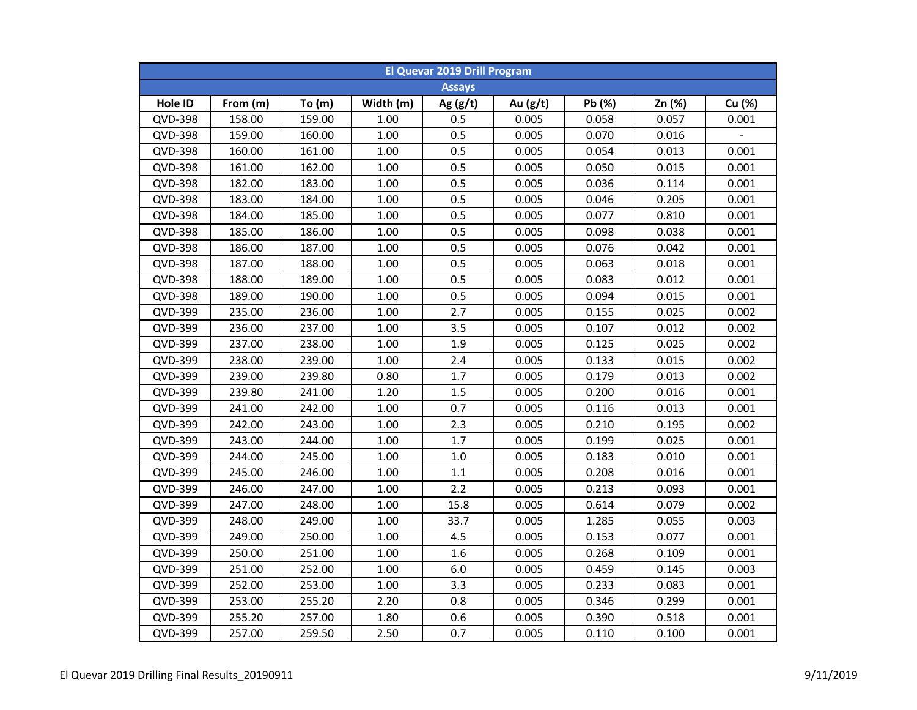| <b>El Quevar 2019 Drill Program</b> |          |        |           |               |            |        |        |        |  |  |
|-------------------------------------|----------|--------|-----------|---------------|------------|--------|--------|--------|--|--|
|                                     |          |        |           | <b>Assays</b> |            |        |        |        |  |  |
| Hole ID                             | From (m) | To(m)  | Width (m) | Ag $(g/t)$    | Au $(g/t)$ | Pb (%) | Zn (%) | Cu (%) |  |  |
| QVD-398                             | 158.00   | 159.00 | 1.00      | 0.5           | 0.005      | 0.058  | 0.057  | 0.001  |  |  |
| QVD-398                             | 159.00   | 160.00 | $1.00\,$  | 0.5           | 0.005      | 0.070  | 0.016  |        |  |  |
| <b>QVD-398</b>                      | 160.00   | 161.00 | $1.00\,$  | 0.5           | 0.005      | 0.054  | 0.013  | 0.001  |  |  |
| QVD-398                             | 161.00   | 162.00 | 1.00      | 0.5           | 0.005      | 0.050  | 0.015  | 0.001  |  |  |
| <b>QVD-398</b>                      | 182.00   | 183.00 | 1.00      | 0.5           | 0.005      | 0.036  | 0.114  | 0.001  |  |  |
| QVD-398                             | 183.00   | 184.00 | 1.00      | 0.5           | 0.005      | 0.046  | 0.205  | 0.001  |  |  |
| QVD-398                             | 184.00   | 185.00 | 1.00      | 0.5           | 0.005      | 0.077  | 0.810  | 0.001  |  |  |
| <b>QVD-398</b>                      | 185.00   | 186.00 | 1.00      | 0.5           | 0.005      | 0.098  | 0.038  | 0.001  |  |  |
| QVD-398                             | 186.00   | 187.00 | 1.00      | 0.5           | 0.005      | 0.076  | 0.042  | 0.001  |  |  |
| QVD-398                             | 187.00   | 188.00 | 1.00      | 0.5           | 0.005      | 0.063  | 0.018  | 0.001  |  |  |
| <b>QVD-398</b>                      | 188.00   | 189.00 | 1.00      | 0.5           | 0.005      | 0.083  | 0.012  | 0.001  |  |  |
| QVD-398                             | 189.00   | 190.00 | 1.00      | 0.5           | 0.005      | 0.094  | 0.015  | 0.001  |  |  |
| QVD-399                             | 235.00   | 236.00 | 1.00      | 2.7           | 0.005      | 0.155  | 0.025  | 0.002  |  |  |
| QVD-399                             | 236.00   | 237.00 | 1.00      | 3.5           | 0.005      | 0.107  | 0.012  | 0.002  |  |  |
| QVD-399                             | 237.00   | 238.00 | 1.00      | 1.9           | 0.005      | 0.125  | 0.025  | 0.002  |  |  |
| QVD-399                             | 238.00   | 239.00 | 1.00      | 2.4           | 0.005      | 0.133  | 0.015  | 0.002  |  |  |
| QVD-399                             | 239.00   | 239.80 | 0.80      | 1.7           | 0.005      | 0.179  | 0.013  | 0.002  |  |  |
| QVD-399                             | 239.80   | 241.00 | 1.20      | 1.5           | 0.005      | 0.200  | 0.016  | 0.001  |  |  |
| QVD-399                             | 241.00   | 242.00 | 1.00      | 0.7           | 0.005      | 0.116  | 0.013  | 0.001  |  |  |
| QVD-399                             | 242.00   | 243.00 | 1.00      | 2.3           | 0.005      | 0.210  | 0.195  | 0.002  |  |  |
| QVD-399                             | 243.00   | 244.00 | 1.00      | 1.7           | 0.005      | 0.199  | 0.025  | 0.001  |  |  |
| QVD-399                             | 244.00   | 245.00 | 1.00      | 1.0           | 0.005      | 0.183  | 0.010  | 0.001  |  |  |
| QVD-399                             | 245.00   | 246.00 | 1.00      | 1.1           | 0.005      | 0.208  | 0.016  | 0.001  |  |  |
| QVD-399                             | 246.00   | 247.00 | 1.00      | 2.2           | 0.005      | 0.213  | 0.093  | 0.001  |  |  |
| QVD-399                             | 247.00   | 248.00 | 1.00      | 15.8          | 0.005      | 0.614  | 0.079  | 0.002  |  |  |
| QVD-399                             | 248.00   | 249.00 | 1.00      | 33.7          | 0.005      | 1.285  | 0.055  | 0.003  |  |  |
| QVD-399                             | 249.00   | 250.00 | 1.00      | 4.5           | 0.005      | 0.153  | 0.077  | 0.001  |  |  |
| QVD-399                             | 250.00   | 251.00 | 1.00      | 1.6           | 0.005      | 0.268  | 0.109  | 0.001  |  |  |
| QVD-399                             | 251.00   | 252.00 | 1.00      | 6.0           | 0.005      | 0.459  | 0.145  | 0.003  |  |  |
| QVD-399                             | 252.00   | 253.00 | 1.00      | 3.3           | 0.005      | 0.233  | 0.083  | 0.001  |  |  |
| QVD-399                             | 253.00   | 255.20 | 2.20      | 0.8           | 0.005      | 0.346  | 0.299  | 0.001  |  |  |
| QVD-399                             | 255.20   | 257.00 | 1.80      | 0.6           | 0.005      | 0.390  | 0.518  | 0.001  |  |  |
| QVD-399                             | 257.00   | 259.50 | 2.50      | 0.7           | 0.005      | 0.110  | 0.100  | 0.001  |  |  |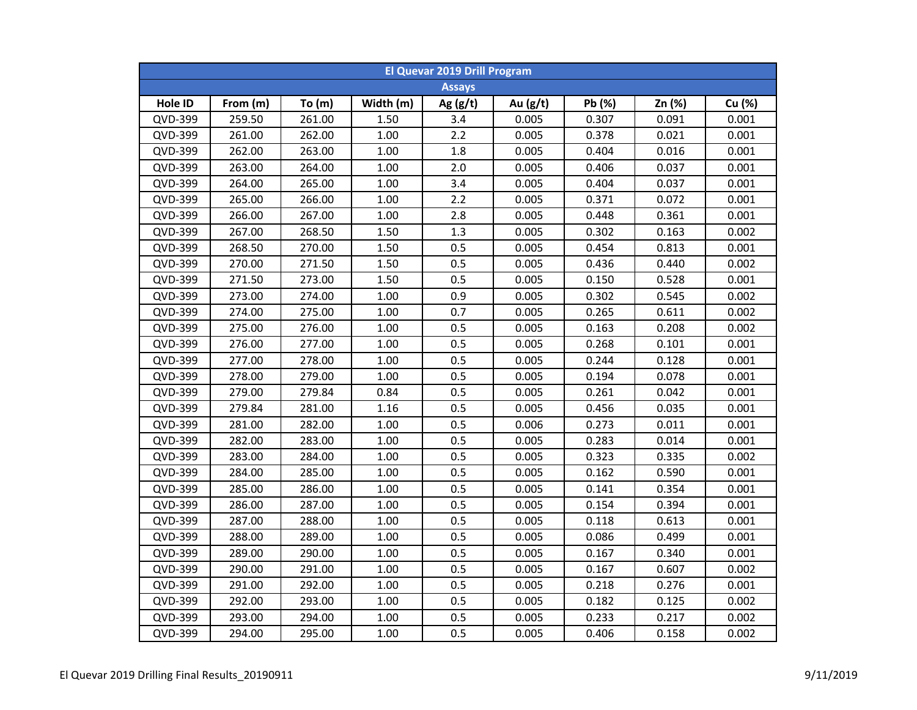| <b>El Quevar 2019 Drill Program</b> |          |        |           |               |            |        |        |        |  |  |
|-------------------------------------|----------|--------|-----------|---------------|------------|--------|--------|--------|--|--|
|                                     |          |        |           | <b>Assays</b> |            |        |        |        |  |  |
| Hole ID                             | From (m) | To(m)  | Width (m) | Ag $(g/t)$    | Au $(g/t)$ | Pb (%) | Zn (%) | Cu (%) |  |  |
| QVD-399                             | 259.50   | 261.00 | 1.50      | 3.4           | 0.005      | 0.307  | 0.091  | 0.001  |  |  |
| QVD-399                             | 261.00   | 262.00 | 1.00      | 2.2           | 0.005      | 0.378  | 0.021  | 0.001  |  |  |
| QVD-399                             | 262.00   | 263.00 | 1.00      | 1.8           | 0.005      | 0.404  | 0.016  | 0.001  |  |  |
| QVD-399                             | 263.00   | 264.00 | 1.00      | 2.0           | 0.005      | 0.406  | 0.037  | 0.001  |  |  |
| QVD-399                             | 264.00   | 265.00 | 1.00      | 3.4           | 0.005      | 0.404  | 0.037  | 0.001  |  |  |
| QVD-399                             | 265.00   | 266.00 | 1.00      | 2.2           | 0.005      | 0.371  | 0.072  | 0.001  |  |  |
| QVD-399                             | 266.00   | 267.00 | 1.00      | 2.8           | 0.005      | 0.448  | 0.361  | 0.001  |  |  |
| QVD-399                             | 267.00   | 268.50 | 1.50      | 1.3           | 0.005      | 0.302  | 0.163  | 0.002  |  |  |
| QVD-399                             | 268.50   | 270.00 | 1.50      | 0.5           | 0.005      | 0.454  | 0.813  | 0.001  |  |  |
| QVD-399                             | 270.00   | 271.50 | 1.50      | 0.5           | 0.005      | 0.436  | 0.440  | 0.002  |  |  |
| QVD-399                             | 271.50   | 273.00 | 1.50      | 0.5           | 0.005      | 0.150  | 0.528  | 0.001  |  |  |
| QVD-399                             | 273.00   | 274.00 | 1.00      | 0.9           | 0.005      | 0.302  | 0.545  | 0.002  |  |  |
| QVD-399                             | 274.00   | 275.00 | 1.00      | 0.7           | 0.005      | 0.265  | 0.611  | 0.002  |  |  |
| QVD-399                             | 275.00   | 276.00 | 1.00      | 0.5           | 0.005      | 0.163  | 0.208  | 0.002  |  |  |
| QVD-399                             | 276.00   | 277.00 | 1.00      | 0.5           | 0.005      | 0.268  | 0.101  | 0.001  |  |  |
| QVD-399                             | 277.00   | 278.00 | 1.00      | 0.5           | 0.005      | 0.244  | 0.128  | 0.001  |  |  |
| QVD-399                             | 278.00   | 279.00 | 1.00      | 0.5           | 0.005      | 0.194  | 0.078  | 0.001  |  |  |
| QVD-399                             | 279.00   | 279.84 | 0.84      | 0.5           | 0.005      | 0.261  | 0.042  | 0.001  |  |  |
| QVD-399                             | 279.84   | 281.00 | 1.16      | 0.5           | 0.005      | 0.456  | 0.035  | 0.001  |  |  |
| QVD-399                             | 281.00   | 282.00 | 1.00      | 0.5           | 0.006      | 0.273  | 0.011  | 0.001  |  |  |
| QVD-399                             | 282.00   | 283.00 | 1.00      | 0.5           | 0.005      | 0.283  | 0.014  | 0.001  |  |  |
| QVD-399                             | 283.00   | 284.00 | 1.00      | 0.5           | 0.005      | 0.323  | 0.335  | 0.002  |  |  |
| QVD-399                             | 284.00   | 285.00 | 1.00      | 0.5           | 0.005      | 0.162  | 0.590  | 0.001  |  |  |
| QVD-399                             | 285.00   | 286.00 | 1.00      | 0.5           | 0.005      | 0.141  | 0.354  | 0.001  |  |  |
| QVD-399                             | 286.00   | 287.00 | 1.00      | 0.5           | 0.005      | 0.154  | 0.394  | 0.001  |  |  |
| QVD-399                             | 287.00   | 288.00 | 1.00      | 0.5           | 0.005      | 0.118  | 0.613  | 0.001  |  |  |
| QVD-399                             | 288.00   | 289.00 | 1.00      | 0.5           | 0.005      | 0.086  | 0.499  | 0.001  |  |  |
| QVD-399                             | 289.00   | 290.00 | 1.00      | 0.5           | 0.005      | 0.167  | 0.340  | 0.001  |  |  |
| QVD-399                             | 290.00   | 291.00 | 1.00      | 0.5           | 0.005      | 0.167  | 0.607  | 0.002  |  |  |
| QVD-399                             | 291.00   | 292.00 | 1.00      | 0.5           | 0.005      | 0.218  | 0.276  | 0.001  |  |  |
| QVD-399                             | 292.00   | 293.00 | 1.00      | 0.5           | 0.005      | 0.182  | 0.125  | 0.002  |  |  |
| QVD-399                             | 293.00   | 294.00 | 1.00      | 0.5           | 0.005      | 0.233  | 0.217  | 0.002  |  |  |
| QVD-399                             | 294.00   | 295.00 | 1.00      | 0.5           | 0.005      | 0.406  | 0.158  | 0.002  |  |  |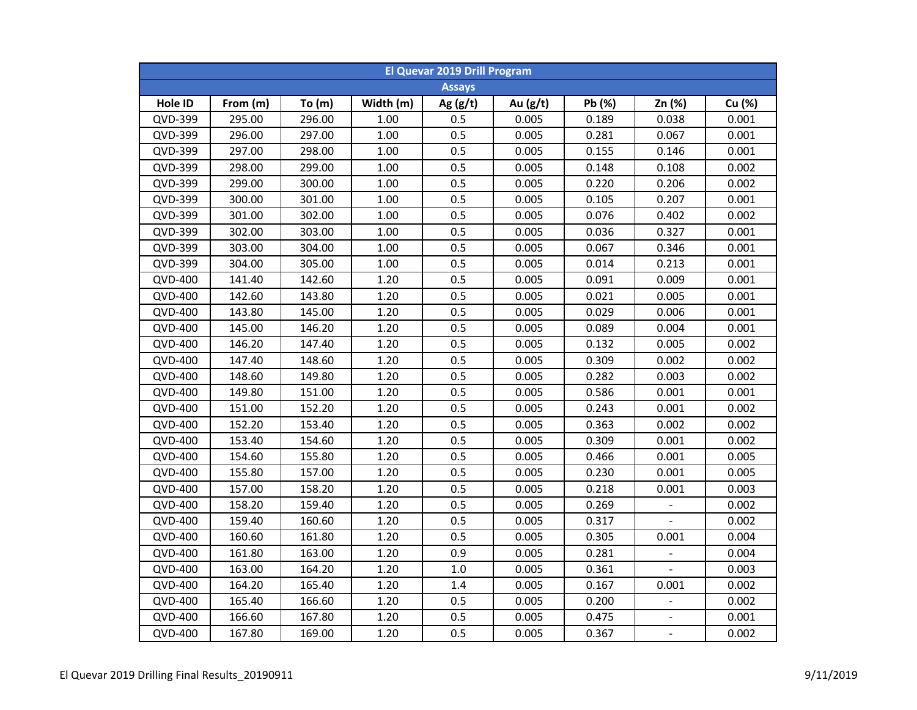| <b>El Quevar 2019 Drill Program</b> |          |        |           |               |            |        |                     |        |  |  |
|-------------------------------------|----------|--------|-----------|---------------|------------|--------|---------------------|--------|--|--|
|                                     |          |        |           | <b>Assays</b> |            |        |                     |        |  |  |
| Hole ID                             | From (m) | To(m)  | Width (m) | Ag $(g/t)$    | Au $(g/t)$ | Pb (%) | Zn (%)              | Cu (%) |  |  |
| QVD-399                             | 295.00   | 296.00 | 1.00      | 0.5           | 0.005      | 0.189  | 0.038               | 0.001  |  |  |
| QVD-399                             | 296.00   | 297.00 | 1.00      | 0.5           | 0.005      | 0.281  | 0.067               | 0.001  |  |  |
| QVD-399                             | 297.00   | 298.00 | 1.00      | 0.5           | 0.005      | 0.155  | 0.146               | 0.001  |  |  |
| QVD-399                             | 298.00   | 299.00 | 1.00      | 0.5           | 0.005      | 0.148  | 0.108               | 0.002  |  |  |
| QVD-399                             | 299.00   | 300.00 | 1.00      | 0.5           | 0.005      | 0.220  | 0.206               | 0.002  |  |  |
| QVD-399                             | 300.00   | 301.00 | 1.00      | 0.5           | 0.005      | 0.105  | 0.207               | 0.001  |  |  |
| QVD-399                             | 301.00   | 302.00 | 1.00      | 0.5           | 0.005      | 0.076  | 0.402               | 0.002  |  |  |
| QVD-399                             | 302.00   | 303.00 | 1.00      | 0.5           | 0.005      | 0.036  | 0.327               | 0.001  |  |  |
| QVD-399                             | 303.00   | 304.00 | 1.00      | 0.5           | 0.005      | 0.067  | 0.346               | 0.001  |  |  |
| QVD-399                             | 304.00   | 305.00 | 1.00      | 0.5           | 0.005      | 0.014  | 0.213               | 0.001  |  |  |
| QVD-400                             | 141.40   | 142.60 | 1.20      | 0.5           | 0.005      | 0.091  | 0.009               | 0.001  |  |  |
| QVD-400                             | 142.60   | 143.80 | 1.20      | 0.5           | 0.005      | 0.021  | 0.005               | 0.001  |  |  |
| QVD-400                             | 143.80   | 145.00 | 1.20      | 0.5           | 0.005      | 0.029  | 0.006               | 0.001  |  |  |
| QVD-400                             | 145.00   | 146.20 | 1.20      | 0.5           | 0.005      | 0.089  | 0.004               | 0.001  |  |  |
| QVD-400                             | 146.20   | 147.40 | 1.20      | 0.5           | 0.005      | 0.132  | 0.005               | 0.002  |  |  |
| QVD-400                             | 147.40   | 148.60 | 1.20      | 0.5           | 0.005      | 0.309  | 0.002               | 0.002  |  |  |
| QVD-400                             | 148.60   | 149.80 | 1.20      | 0.5           | 0.005      | 0.282  | 0.003               | 0.002  |  |  |
| QVD-400                             | 149.80   | 151.00 | 1.20      | 0.5           | 0.005      | 0.586  | 0.001               | 0.001  |  |  |
| <b>QVD-400</b>                      | 151.00   | 152.20 | 1.20      | 0.5           | 0.005      | 0.243  | 0.001               | 0.002  |  |  |
| QVD-400                             | 152.20   | 153.40 | 1.20      | 0.5           | 0.005      | 0.363  | 0.002               | 0.002  |  |  |
| QVD-400                             | 153.40   | 154.60 | 1.20      | 0.5           | 0.005      | 0.309  | 0.001               | 0.002  |  |  |
| QVD-400                             | 154.60   | 155.80 | 1.20      | 0.5           | 0.005      | 0.466  | 0.001               | 0.005  |  |  |
| QVD-400                             | 155.80   | 157.00 | 1.20      | 0.5           | 0.005      | 0.230  | 0.001               | 0.005  |  |  |
| QVD-400                             | 157.00   | 158.20 | 1.20      | 0.5           | 0.005      | 0.218  | 0.001               | 0.003  |  |  |
| QVD-400                             | 158.20   | 159.40 | 1.20      | 0.5           | 0.005      | 0.269  |                     | 0.002  |  |  |
| QVD-400                             | 159.40   | 160.60 | 1.20      | 0.5           | 0.005      | 0.317  |                     | 0.002  |  |  |
| QVD-400                             | 160.60   | 161.80 | 1.20      | 0.5           | 0.005      | 0.305  | 0.001               | 0.004  |  |  |
| QVD-400                             | 161.80   | 163.00 | 1.20      | 0.9           | 0.005      | 0.281  | -                   | 0.004  |  |  |
| QVD-400                             | 163.00   | 164.20 | 1.20      | $1.0$         | 0.005      | 0.361  |                     | 0.003  |  |  |
| QVD-400                             | 164.20   | 165.40 | 1.20      | 1.4           | 0.005      | 0.167  | 0.001               | 0.002  |  |  |
| QVD-400                             | 165.40   | 166.60 | 1.20      | 0.5           | 0.005      | 0.200  | $\blacksquare$      | 0.002  |  |  |
| QVD-400                             | 166.60   | 167.80 | 1.20      | 0.5           | 0.005      | 0.475  | $\bar{\phantom{a}}$ | 0.001  |  |  |
| QVD-400                             | 167.80   | 169.00 | 1.20      | 0.5           | 0.005      | 0.367  | $\blacksquare$      | 0.002  |  |  |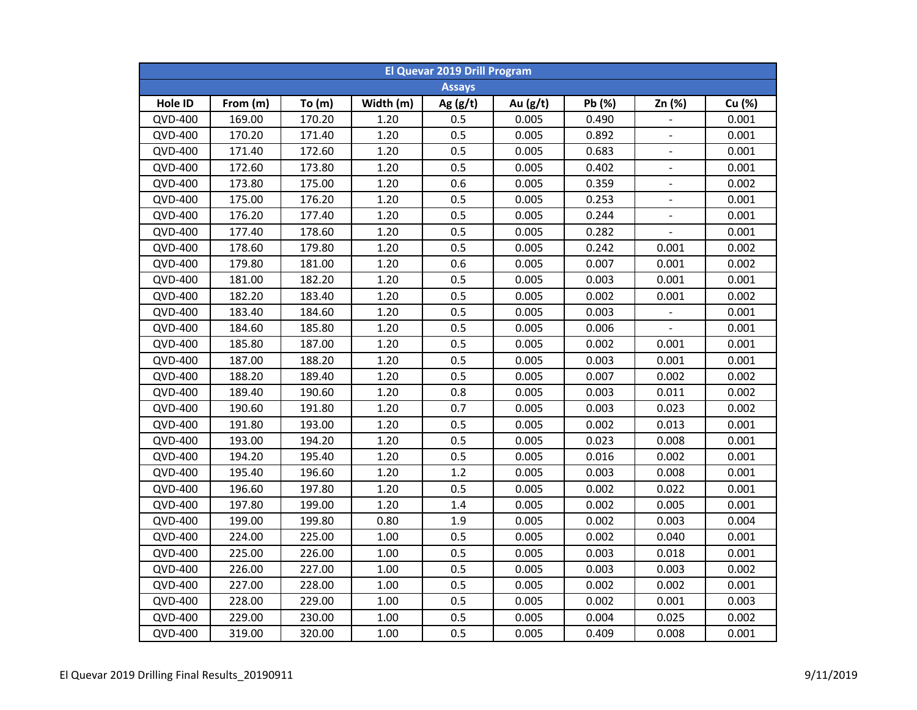| <b>El Quevar 2019 Drill Program</b> |          |          |           |               |          |        |                |        |  |  |
|-------------------------------------|----------|----------|-----------|---------------|----------|--------|----------------|--------|--|--|
|                                     |          |          |           | <b>Assays</b> |          |        |                |        |  |  |
| Hole ID                             | From (m) | To $(m)$ | Width (m) | Ag $(g/t)$    | Au (g/t) | Pb (%) | Zn (%)         | Cu (%) |  |  |
| <b>QVD-400</b>                      | 169.00   | 170.20   | 1.20      | 0.5           | 0.005    | 0.490  | $\blacksquare$ | 0.001  |  |  |
| <b>QVD-400</b>                      | 170.20   | 171.40   | 1.20      | 0.5           | 0.005    | 0.892  | $\equiv$       | 0.001  |  |  |
| <b>QVD-400</b>                      | 171.40   | 172.60   | 1.20      | 0.5           | 0.005    | 0.683  | $\blacksquare$ | 0.001  |  |  |
| <b>QVD-400</b>                      | 172.60   | 173.80   | 1.20      | 0.5           | 0.005    | 0.402  | $\blacksquare$ | 0.001  |  |  |
| <b>QVD-400</b>                      | 173.80   | 175.00   | 1.20      | 0.6           | 0.005    | 0.359  | $\mathbf{r}$   | 0.002  |  |  |
| QVD-400                             | 175.00   | 176.20   | 1.20      | 0.5           | 0.005    | 0.253  | L,             | 0.001  |  |  |
| QVD-400                             | 176.20   | 177.40   | 1.20      | 0.5           | 0.005    | 0.244  |                | 0.001  |  |  |
| <b>QVD-400</b>                      | 177.40   | 178.60   | 1.20      | 0.5           | 0.005    | 0.282  |                | 0.001  |  |  |
| QVD-400                             | 178.60   | 179.80   | 1.20      | 0.5           | 0.005    | 0.242  | 0.001          | 0.002  |  |  |
| QVD-400                             | 179.80   | 181.00   | 1.20      | 0.6           | 0.005    | 0.007  | 0.001          | 0.002  |  |  |
| QVD-400                             | 181.00   | 182.20   | 1.20      | 0.5           | 0.005    | 0.003  | 0.001          | 0.001  |  |  |
| QVD-400                             | 182.20   | 183.40   | 1.20      | 0.5           | 0.005    | 0.002  | 0.001          | 0.002  |  |  |
| QVD-400                             | 183.40   | 184.60   | 1.20      | 0.5           | 0.005    | 0.003  |                | 0.001  |  |  |
| <b>QVD-400</b>                      | 184.60   | 185.80   | 1.20      | 0.5           | 0.005    | 0.006  |                | 0.001  |  |  |
| <b>QVD-400</b>                      | 185.80   | 187.00   | 1.20      | 0.5           | 0.005    | 0.002  | 0.001          | 0.001  |  |  |
| <b>QVD-400</b>                      | 187.00   | 188.20   | 1.20      | 0.5           | 0.005    | 0.003  | 0.001          | 0.001  |  |  |
| <b>QVD-400</b>                      | 188.20   | 189.40   | 1.20      | 0.5           | 0.005    | 0.007  | 0.002          | 0.002  |  |  |
| <b>QVD-400</b>                      | 189.40   | 190.60   | 1.20      | 0.8           | 0.005    | 0.003  | 0.011          | 0.002  |  |  |
| <b>QVD-400</b>                      | 190.60   | 191.80   | 1.20      | 0.7           | 0.005    | 0.003  | 0.023          | 0.002  |  |  |
| <b>QVD-400</b>                      | 191.80   | 193.00   | 1.20      | 0.5           | 0.005    | 0.002  | 0.013          | 0.001  |  |  |
| QVD-400                             | 193.00   | 194.20   | 1.20      | 0.5           | 0.005    | 0.023  | 0.008          | 0.001  |  |  |
| QVD-400                             | 194.20   | 195.40   | 1.20      | 0.5           | 0.005    | 0.016  | 0.002          | 0.001  |  |  |
| QVD-400                             | 195.40   | 196.60   | 1.20      | 1.2           | 0.005    | 0.003  | 0.008          | 0.001  |  |  |
| QVD-400                             | 196.60   | 197.80   | 1.20      | 0.5           | 0.005    | 0.002  | 0.022          | 0.001  |  |  |
| QVD-400                             | 197.80   | 199.00   | 1.20      | 1.4           | 0.005    | 0.002  | 0.005          | 0.001  |  |  |
| QVD-400                             | 199.00   | 199.80   | 0.80      | 1.9           | 0.005    | 0.002  | 0.003          | 0.004  |  |  |
| QVD-400                             | 224.00   | 225.00   | 1.00      | 0.5           | 0.005    | 0.002  | 0.040          | 0.001  |  |  |
| QVD-400                             | 225.00   | 226.00   | 1.00      | 0.5           | 0.005    | 0.003  | 0.018          | 0.001  |  |  |
| QVD-400                             | 226.00   | 227.00   | 1.00      | 0.5           | 0.005    | 0.003  | 0.003          | 0.002  |  |  |
| QVD-400                             | 227.00   | 228.00   | 1.00      | 0.5           | 0.005    | 0.002  | 0.002          | 0.001  |  |  |
| QVD-400                             | 228.00   | 229.00   | 1.00      | 0.5           | 0.005    | 0.002  | 0.001          | 0.003  |  |  |
| QVD-400                             | 229.00   | 230.00   | 1.00      | 0.5           | 0.005    | 0.004  | 0.025          | 0.002  |  |  |
| <b>QVD-400</b>                      | 319.00   | 320.00   | 1.00      | 0.5           | 0.005    | 0.409  | 0.008          | 0.001  |  |  |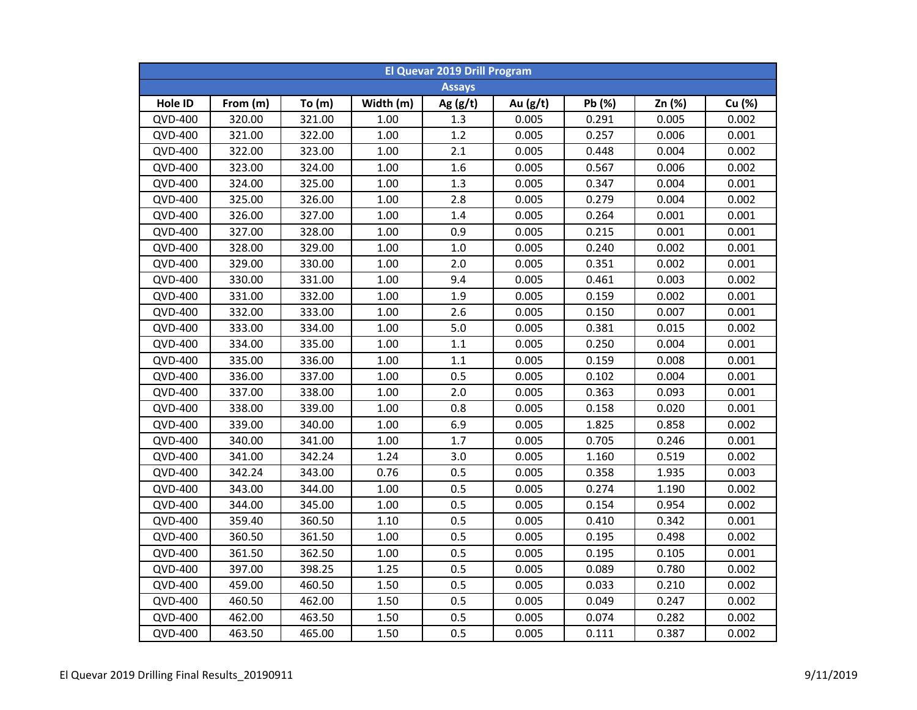| <b>El Quevar 2019 Drill Program</b> |          |          |           |               |          |        |        |        |  |  |
|-------------------------------------|----------|----------|-----------|---------------|----------|--------|--------|--------|--|--|
|                                     |          |          |           | <b>Assays</b> |          |        |        |        |  |  |
| Hole ID                             | From (m) | To $(m)$ | Width (m) | Ag $(g/t)$    | Au (g/t) | Pb (%) | Zn (%) | Cu (%) |  |  |
| <b>QVD-400</b>                      | 320.00   | 321.00   | 1.00      | 1.3           | 0.005    | 0.291  | 0.005  | 0.002  |  |  |
| <b>QVD-400</b>                      | 321.00   | 322.00   | 1.00      | 1.2           | 0.005    | 0.257  | 0.006  | 0.001  |  |  |
| <b>QVD-400</b>                      | 322.00   | 323.00   | 1.00      | 2.1           | 0.005    | 0.448  | 0.004  | 0.002  |  |  |
| <b>QVD-400</b>                      | 323.00   | 324.00   | 1.00      | 1.6           | 0.005    | 0.567  | 0.006  | 0.002  |  |  |
| <b>QVD-400</b>                      | 324.00   | 325.00   | 1.00      | 1.3           | 0.005    | 0.347  | 0.004  | 0.001  |  |  |
| QVD-400                             | 325.00   | 326.00   | 1.00      | 2.8           | 0.005    | 0.279  | 0.004  | 0.002  |  |  |
| QVD-400                             | 326.00   | 327.00   | 1.00      | 1.4           | 0.005    | 0.264  | 0.001  | 0.001  |  |  |
| <b>QVD-400</b>                      | 327.00   | 328.00   | 1.00      | 0.9           | 0.005    | 0.215  | 0.001  | 0.001  |  |  |
| QVD-400                             | 328.00   | 329.00   | $1.00\,$  | 1.0           | 0.005    | 0.240  | 0.002  | 0.001  |  |  |
| QVD-400                             | 329.00   | 330.00   | 1.00      | 2.0           | 0.005    | 0.351  | 0.002  | 0.001  |  |  |
| QVD-400                             | 330.00   | 331.00   | 1.00      | 9.4           | 0.005    | 0.461  | 0.003  | 0.002  |  |  |
| QVD-400                             | 331.00   | 332.00   | 1.00      | 1.9           | 0.005    | 0.159  | 0.002  | 0.001  |  |  |
| QVD-400                             | 332.00   | 333.00   | 1.00      | 2.6           | 0.005    | 0.150  | 0.007  | 0.001  |  |  |
| <b>QVD-400</b>                      | 333.00   | 334.00   | 1.00      | 5.0           | 0.005    | 0.381  | 0.015  | 0.002  |  |  |
| <b>QVD-400</b>                      | 334.00   | 335.00   | 1.00      | 1.1           | 0.005    | 0.250  | 0.004  | 0.001  |  |  |
| <b>QVD-400</b>                      | 335.00   | 336.00   | 1.00      | 1.1           | 0.005    | 0.159  | 0.008  | 0.001  |  |  |
| <b>QVD-400</b>                      | 336.00   | 337.00   | 1.00      | 0.5           | 0.005    | 0.102  | 0.004  | 0.001  |  |  |
| <b>QVD-400</b>                      | 337.00   | 338.00   | 1.00      | 2.0           | 0.005    | 0.363  | 0.093  | 0.001  |  |  |
| <b>QVD-400</b>                      | 338.00   | 339.00   | 1.00      | 0.8           | 0.005    | 0.158  | 0.020  | 0.001  |  |  |
| <b>QVD-400</b>                      | 339.00   | 340.00   | 1.00      | 6.9           | 0.005    | 1.825  | 0.858  | 0.002  |  |  |
| QVD-400                             | 340.00   | 341.00   | 1.00      | 1.7           | 0.005    | 0.705  | 0.246  | 0.001  |  |  |
| QVD-400                             | 341.00   | 342.24   | 1.24      | 3.0           | 0.005    | 1.160  | 0.519  | 0.002  |  |  |
| QVD-400                             | 342.24   | 343.00   | 0.76      | 0.5           | 0.005    | 0.358  | 1.935  | 0.003  |  |  |
| QVD-400                             | 343.00   | 344.00   | 1.00      | 0.5           | 0.005    | 0.274  | 1.190  | 0.002  |  |  |
| QVD-400                             | 344.00   | 345.00   | 1.00      | 0.5           | 0.005    | 0.154  | 0.954  | 0.002  |  |  |
| QVD-400                             | 359.40   | 360.50   | $1.10\,$  | 0.5           | 0.005    | 0.410  | 0.342  | 0.001  |  |  |
| QVD-400                             | 360.50   | 361.50   | 1.00      | 0.5           | 0.005    | 0.195  | 0.498  | 0.002  |  |  |
| QVD-400                             | 361.50   | 362.50   | 1.00      | 0.5           | 0.005    | 0.195  | 0.105  | 0.001  |  |  |
| QVD-400                             | 397.00   | 398.25   | 1.25      | 0.5           | 0.005    | 0.089  | 0.780  | 0.002  |  |  |
| QVD-400                             | 459.00   | 460.50   | 1.50      | 0.5           | 0.005    | 0.033  | 0.210  | 0.002  |  |  |
| QVD-400                             | 460.50   | 462.00   | 1.50      | 0.5           | 0.005    | 0.049  | 0.247  | 0.002  |  |  |
| QVD-400                             | 462.00   | 463.50   | 1.50      | 0.5           | 0.005    | 0.074  | 0.282  | 0.002  |  |  |
| QVD-400                             | 463.50   | 465.00   | 1.50      | 0.5           | 0.005    | 0.111  | 0.387  | 0.002  |  |  |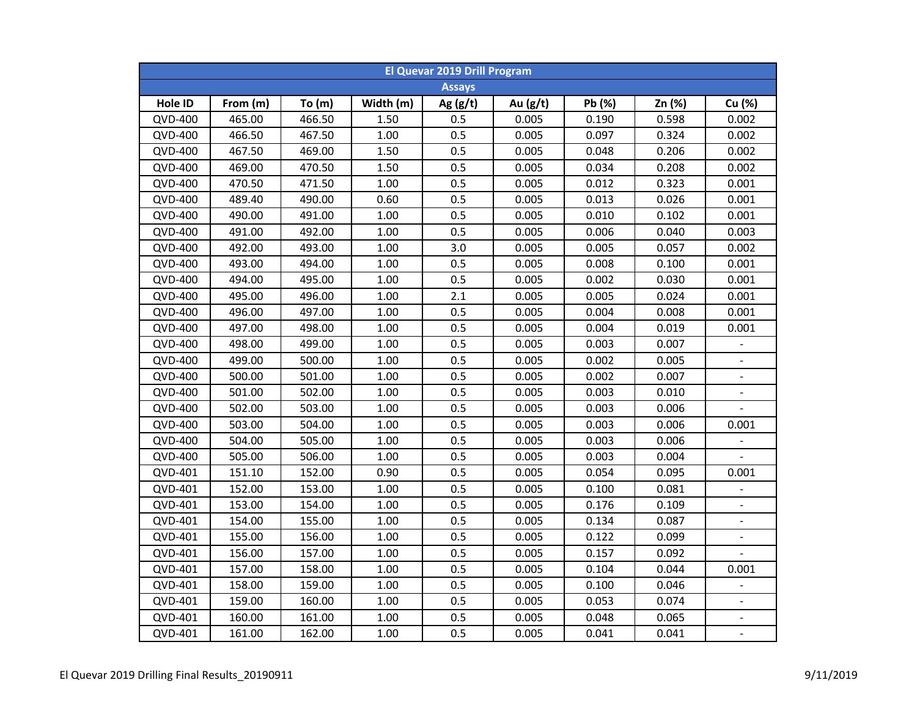| <b>El Quevar 2019 Drill Program</b> |               |        |           |            |            |        |        |                              |  |  |  |
|-------------------------------------|---------------|--------|-----------|------------|------------|--------|--------|------------------------------|--|--|--|
|                                     | <b>Assays</b> |        |           |            |            |        |        |                              |  |  |  |
| Hole ID                             | From (m)      | To(m)  | Width (m) | Ag $(g/t)$ | Au $(g/t)$ | Pb (%) | Zn (%) | Cu (%)                       |  |  |  |
| <b>QVD-400</b>                      | 465.00        | 466.50 | 1.50      | 0.5        | 0.005      | 0.190  | 0.598  | 0.002                        |  |  |  |
| QVD-400                             | 466.50        | 467.50 | 1.00      | 0.5        | 0.005      | 0.097  | 0.324  | 0.002                        |  |  |  |
| <b>QVD-400</b>                      | 467.50        | 469.00 | 1.50      | 0.5        | 0.005      | 0.048  | 0.206  | 0.002                        |  |  |  |
| QVD-400                             | 469.00        | 470.50 | 1.50      | 0.5        | 0.005      | 0.034  | 0.208  | 0.002                        |  |  |  |
| <b>QVD-400</b>                      | 470.50        | 471.50 | 1.00      | 0.5        | 0.005      | 0.012  | 0.323  | 0.001                        |  |  |  |
| QVD-400                             | 489.40        | 490.00 | 0.60      | 0.5        | 0.005      | 0.013  | 0.026  | 0.001                        |  |  |  |
| QVD-400                             | 490.00        | 491.00 | 1.00      | 0.5        | 0.005      | 0.010  | 0.102  | 0.001                        |  |  |  |
| QVD-400                             | 491.00        | 492.00 | 1.00      | 0.5        | 0.005      | 0.006  | 0.040  | 0.003                        |  |  |  |
| QVD-400                             | 492.00        | 493.00 | 1.00      | 3.0        | 0.005      | 0.005  | 0.057  | 0.002                        |  |  |  |
| QVD-400                             | 493.00        | 494.00 | 1.00      | 0.5        | 0.005      | 0.008  | 0.100  | 0.001                        |  |  |  |
| QVD-400                             | 494.00        | 495.00 | 1.00      | 0.5        | 0.005      | 0.002  | 0.030  | 0.001                        |  |  |  |
| QVD-400                             | 495.00        | 496.00 | 1.00      | 2.1        | 0.005      | 0.005  | 0.024  | 0.001                        |  |  |  |
| QVD-400                             | 496.00        | 497.00 | 1.00      | 0.5        | 0.005      | 0.004  | 0.008  | 0.001                        |  |  |  |
| QVD-400                             | 497.00        | 498.00 | 1.00      | 0.5        | 0.005      | 0.004  | 0.019  | 0.001                        |  |  |  |
| QVD-400                             | 498.00        | 499.00 | 1.00      | 0.5        | 0.005      | 0.003  | 0.007  | $\blacksquare$               |  |  |  |
| <b>QVD-400</b>                      | 499.00        | 500.00 | 1.00      | 0.5        | 0.005      | 0.002  | 0.005  | $\blacksquare$               |  |  |  |
| QVD-400                             | 500.00        | 501.00 | 1.00      | 0.5        | 0.005      | 0.002  | 0.007  | $\blacksquare$               |  |  |  |
| <b>QVD-400</b>                      | 501.00        | 502.00 | 1.00      | 0.5        | 0.005      | 0.003  | 0.010  | $\frac{1}{2}$                |  |  |  |
| <b>QVD-400</b>                      | 502.00        | 503.00 | 1.00      | 0.5        | 0.005      | 0.003  | 0.006  |                              |  |  |  |
| QVD-400                             | 503.00        | 504.00 | 1.00      | 0.5        | 0.005      | 0.003  | 0.006  | 0.001                        |  |  |  |
| QVD-400                             | 504.00        | 505.00 | 1.00      | 0.5        | 0.005      | 0.003  | 0.006  |                              |  |  |  |
| QVD-400                             | 505.00        | 506.00 | 1.00      | 0.5        | 0.005      | 0.003  | 0.004  |                              |  |  |  |
| QVD-401                             | 151.10        | 152.00 | 0.90      | 0.5        | 0.005      | 0.054  | 0.095  | 0.001                        |  |  |  |
| QVD-401                             | 152.00        | 153.00 | 1.00      | 0.5        | 0.005      | 0.100  | 0.081  |                              |  |  |  |
| QVD-401                             | 153.00        | 154.00 | 1.00      | 0.5        | 0.005      | 0.176  | 0.109  |                              |  |  |  |
| QVD-401                             | 154.00        | 155.00 | 1.00      | 0.5        | 0.005      | 0.134  | 0.087  |                              |  |  |  |
| QVD-401                             | 155.00        | 156.00 | 1.00      | 0.5        | 0.005      | 0.122  | 0.099  | $\overline{\phantom{0}}$     |  |  |  |
| QVD-401                             | 156.00        | 157.00 | 1.00      | 0.5        | 0.005      | 0.157  | 0.092  |                              |  |  |  |
| QVD-401                             | 157.00        | 158.00 | 1.00      | 0.5        | 0.005      | 0.104  | 0.044  | 0.001                        |  |  |  |
| QVD-401                             | 158.00        | 159.00 | 1.00      | 0.5        | 0.005      | 0.100  | 0.046  | $\blacksquare$               |  |  |  |
| QVD-401                             | 159.00        | 160.00 | 1.00      | 0.5        | 0.005      | 0.053  | 0.074  | $\qquad \qquad \blacksquare$ |  |  |  |
| QVD-401                             | 160.00        | 161.00 | 1.00      | 0.5        | 0.005      | 0.048  | 0.065  | $\blacksquare$               |  |  |  |
| QVD-401                             | 161.00        | 162.00 | 1.00      | 0.5        | 0.005      | 0.041  | 0.041  | $\blacksquare$               |  |  |  |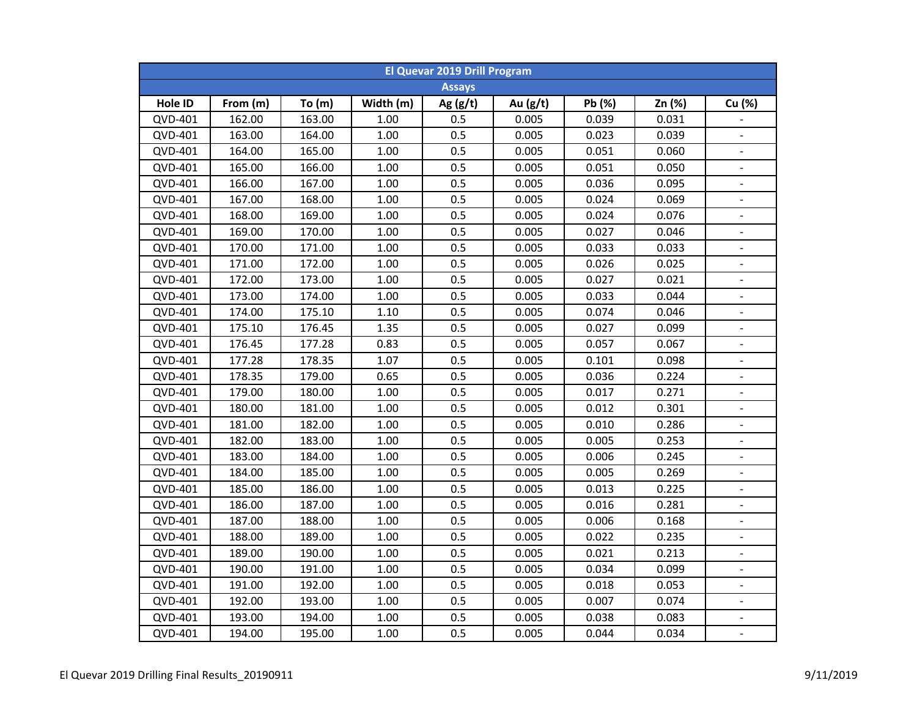| <b>El Quevar 2019 Drill Program</b> |          |          |           |               |            |        |        |                          |  |  |
|-------------------------------------|----------|----------|-----------|---------------|------------|--------|--------|--------------------------|--|--|
|                                     |          |          |           | <b>Assays</b> |            |        |        |                          |  |  |
| Hole ID                             | From (m) | To $(m)$ | Width (m) | Ag $(g/t)$    | Au $(g/t)$ | Pb (%) | Zn (%) | Cu (%)                   |  |  |
| QVD-401                             | 162.00   | 163.00   | 1.00      | 0.5           | 0.005      | 0.039  | 0.031  |                          |  |  |
| QVD-401                             | 163.00   | 164.00   | 1.00      | 0.5           | 0.005      | 0.023  | 0.039  | $\blacksquare$           |  |  |
| QVD-401                             | 164.00   | 165.00   | $1.00\,$  | 0.5           | 0.005      | 0.051  | 0.060  | $\blacksquare$           |  |  |
| QVD-401                             | 165.00   | 166.00   | $1.00\,$  | 0.5           | 0.005      | 0.051  | 0.050  |                          |  |  |
| QVD-401                             | 166.00   | 167.00   | $1.00\,$  | 0.5           | 0.005      | 0.036  | 0.095  | $\blacksquare$           |  |  |
| QVD-401                             | 167.00   | 168.00   | 1.00      | 0.5           | 0.005      | 0.024  | 0.069  | $\blacksquare$           |  |  |
| QVD-401                             | 168.00   | 169.00   | 1.00      | 0.5           | 0.005      | 0.024  | 0.076  |                          |  |  |
| QVD-401                             | 169.00   | 170.00   | 1.00      | 0.5           | 0.005      | 0.027  | 0.046  |                          |  |  |
| QVD-401                             | 170.00   | 171.00   | 1.00      | 0.5           | 0.005      | 0.033  | 0.033  | $\blacksquare$           |  |  |
| QVD-401                             | 171.00   | 172.00   | 1.00      | 0.5           | 0.005      | 0.026  | 0.025  | $\blacksquare$           |  |  |
| QVD-401                             | 172.00   | 173.00   | 1.00      | 0.5           | 0.005      | 0.027  | 0.021  | $\overline{\phantom{a}}$ |  |  |
| QVD-401                             | 173.00   | 174.00   | 1.00      | 0.5           | 0.005      | 0.033  | 0.044  | $\overline{\phantom{a}}$ |  |  |
| QVD-401                             | 174.00   | 175.10   | 1.10      | 0.5           | 0.005      | 0.074  | 0.046  | $\overline{\phantom{a}}$ |  |  |
| QVD-401                             | 175.10   | 176.45   | 1.35      | 0.5           | 0.005      | 0.027  | 0.099  | $\blacksquare$           |  |  |
| QVD-401                             | 176.45   | 177.28   | 0.83      | 0.5           | 0.005      | 0.057  | 0.067  | $\blacksquare$           |  |  |
| QVD-401                             | 177.28   | 178.35   | 1.07      | 0.5           | 0.005      | 0.101  | 0.098  | $\blacksquare$           |  |  |
| QVD-401                             | 178.35   | 179.00   | 0.65      | 0.5           | 0.005      | 0.036  | 0.224  | $\blacksquare$           |  |  |
| QVD-401                             | 179.00   | 180.00   | 1.00      | 0.5           | 0.005      | 0.017  | 0.271  | $\blacksquare$           |  |  |
| QVD-401                             | 180.00   | 181.00   | 1.00      | 0.5           | 0.005      | 0.012  | 0.301  | $\blacksquare$           |  |  |
| QVD-401                             | 181.00   | 182.00   | 1.00      | 0.5           | 0.005      | 0.010  | 0.286  |                          |  |  |
| QVD-401                             | 182.00   | 183.00   | 1.00      | 0.5           | 0.005      | 0.005  | 0.253  | $\blacksquare$           |  |  |
| QVD-401                             | 183.00   | 184.00   | 1.00      | 0.5           | 0.005      | 0.006  | 0.245  |                          |  |  |
| QVD-401                             | 184.00   | 185.00   | 1.00      | 0.5           | 0.005      | 0.005  | 0.269  | $\overline{\phantom{a}}$ |  |  |
| QVD-401                             | 185.00   | 186.00   | 1.00      | 0.5           | 0.005      | 0.013  | 0.225  | $\overline{a}$           |  |  |
| QVD-401                             | 186.00   | 187.00   | 1.00      | 0.5           | 0.005      | 0.016  | 0.281  | $\overline{a}$           |  |  |
| QVD-401                             | 187.00   | 188.00   | 1.00      | 0.5           | 0.005      | 0.006  | 0.168  | $\overline{a}$           |  |  |
| QVD-401                             | 188.00   | 189.00   | 1.00      | 0.5           | 0.005      | 0.022  | 0.235  | $\blacksquare$           |  |  |
| QVD-401                             | 189.00   | 190.00   | 1.00      | 0.5           | 0.005      | 0.021  | 0.213  | $\overline{\phantom{a}}$ |  |  |
| QVD-401                             | 190.00   | 191.00   | 1.00      | 0.5           | 0.005      | 0.034  | 0.099  | $\blacksquare$           |  |  |
| QVD-401                             | 191.00   | 192.00   | 1.00      | 0.5           | 0.005      | 0.018  | 0.053  | $\blacksquare$           |  |  |
| QVD-401                             | 192.00   | 193.00   | 1.00      | 0.5           | 0.005      | 0.007  | 0.074  | $\blacksquare$           |  |  |
| QVD-401                             | 193.00   | 194.00   | 1.00      | 0.5           | 0.005      | 0.038  | 0.083  | $\overline{\phantom{a}}$ |  |  |
| QVD-401                             | 194.00   | 195.00   | 1.00      | 0.5           | 0.005      | 0.044  | 0.034  | $\Box$                   |  |  |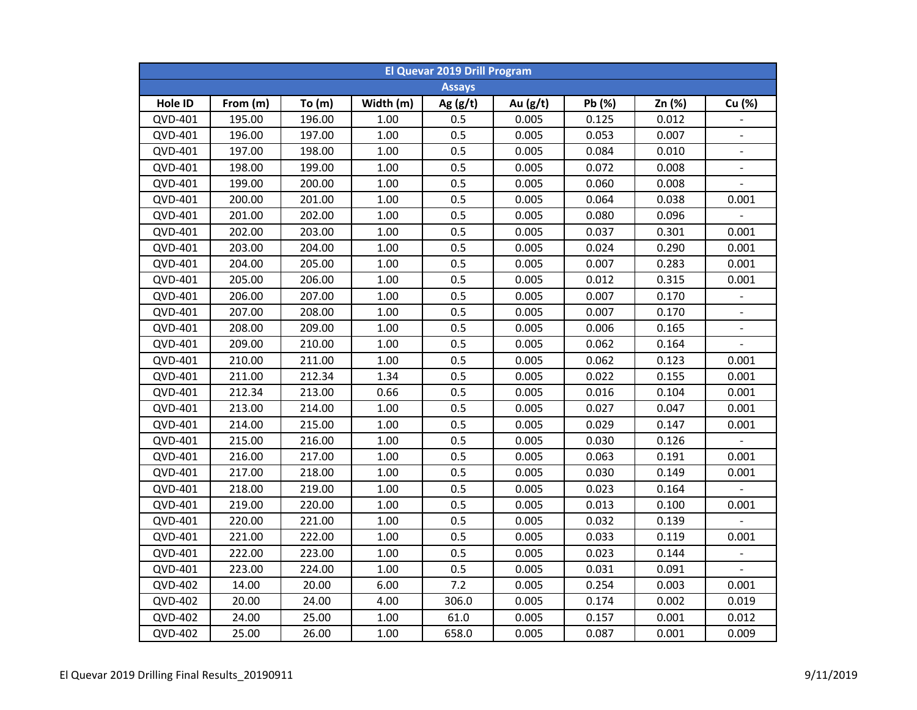| <b>El Quevar 2019 Drill Program</b> |          |          |           |               |            |        |        |                          |  |  |
|-------------------------------------|----------|----------|-----------|---------------|------------|--------|--------|--------------------------|--|--|
|                                     |          |          |           | <b>Assays</b> |            |        |        |                          |  |  |
| Hole ID                             | From (m) | To $(m)$ | Width (m) | Ag $(g/t)$    | Au $(g/t)$ | Pb (%) | Zn (%) | Cu (%)                   |  |  |
| QVD-401                             | 195.00   | 196.00   | 1.00      | 0.5           | 0.005      | 0.125  | 0.012  |                          |  |  |
| QVD-401                             | 196.00   | 197.00   | 1.00      | 0.5           | 0.005      | 0.053  | 0.007  | $\blacksquare$           |  |  |
| QVD-401                             | 197.00   | 198.00   | 1.00      | 0.5           | 0.005      | 0.084  | 0.010  | $\blacksquare$           |  |  |
| QVD-401                             | 198.00   | 199.00   | 1.00      | 0.5           | 0.005      | 0.072  | 0.008  | $\blacksquare$           |  |  |
| QVD-401                             | 199.00   | 200.00   | 1.00      | 0.5           | 0.005      | 0.060  | 0.008  | $\overline{a}$           |  |  |
| QVD-401                             | 200.00   | 201.00   | 1.00      | 0.5           | 0.005      | 0.064  | 0.038  | 0.001                    |  |  |
| QVD-401                             | 201.00   | 202.00   | 1.00      | 0.5           | 0.005      | 0.080  | 0.096  |                          |  |  |
| QVD-401                             | 202.00   | 203.00   | 1.00      | 0.5           | 0.005      | 0.037  | 0.301  | 0.001                    |  |  |
| QVD-401                             | 203.00   | 204.00   | 1.00      | 0.5           | 0.005      | 0.024  | 0.290  | 0.001                    |  |  |
| QVD-401                             | 204.00   | 205.00   | 1.00      | 0.5           | 0.005      | 0.007  | 0.283  | 0.001                    |  |  |
| QVD-401                             | 205.00   | 206.00   | 1.00      | 0.5           | 0.005      | 0.012  | 0.315  | 0.001                    |  |  |
| QVD-401                             | 206.00   | 207.00   | 1.00      | 0.5           | 0.005      | 0.007  | 0.170  | $\blacksquare$           |  |  |
| QVD-401                             | 207.00   | 208.00   | 1.00      | 0.5           | 0.005      | 0.007  | 0.170  | $\blacksquare$           |  |  |
| QVD-401                             | 208.00   | 209.00   | 1.00      | 0.5           | 0.005      | 0.006  | 0.165  | $\blacksquare$           |  |  |
| QVD-401                             | 209.00   | 210.00   | 1.00      | 0.5           | 0.005      | 0.062  | 0.164  | $\frac{1}{2}$            |  |  |
| QVD-401                             | 210.00   | 211.00   | 1.00      | 0.5           | 0.005      | 0.062  | 0.123  | 0.001                    |  |  |
| QVD-401                             | 211.00   | 212.34   | 1.34      | 0.5           | 0.005      | 0.022  | 0.155  | 0.001                    |  |  |
| QVD-401                             | 212.34   | 213.00   | 0.66      | 0.5           | 0.005      | 0.016  | 0.104  | 0.001                    |  |  |
| QVD-401                             | 213.00   | 214.00   | 1.00      | 0.5           | 0.005      | 0.027  | 0.047  | 0.001                    |  |  |
| QVD-401                             | 214.00   | 215.00   | 1.00      | 0.5           | 0.005      | 0.029  | 0.147  | 0.001                    |  |  |
| QVD-401                             | 215.00   | 216.00   | 1.00      | 0.5           | 0.005      | 0.030  | 0.126  |                          |  |  |
| QVD-401                             | 216.00   | 217.00   | 1.00      | 0.5           | 0.005      | 0.063  | 0.191  | 0.001                    |  |  |
| QVD-401                             | 217.00   | 218.00   | 1.00      | 0.5           | 0.005      | 0.030  | 0.149  | 0.001                    |  |  |
| QVD-401                             | 218.00   | 219.00   | 1.00      | 0.5           | 0.005      | 0.023  | 0.164  |                          |  |  |
| QVD-401                             | 219.00   | 220.00   | 1.00      | 0.5           | 0.005      | 0.013  | 0.100  | 0.001                    |  |  |
| QVD-401                             | 220.00   | 221.00   | 1.00      | 0.5           | 0.005      | 0.032  | 0.139  |                          |  |  |
| QVD-401                             | 221.00   | 222.00   | 1.00      | 0.5           | 0.005      | 0.033  | 0.119  | 0.001                    |  |  |
| QVD-401                             | 222.00   | 223.00   | 1.00      | 0.5           | 0.005      | 0.023  | 0.144  | $\overline{\phantom{a}}$ |  |  |
| QVD-401                             | 223.00   | 224.00   | 1.00      | 0.5           | 0.005      | 0.031  | 0.091  |                          |  |  |
| <b>QVD-402</b>                      | 14.00    | 20.00    | 6.00      | 7.2           | 0.005      | 0.254  | 0.003  | 0.001                    |  |  |
| <b>QVD-402</b>                      | 20.00    | 24.00    | 4.00      | 306.0         | 0.005      | 0.174  | 0.002  | 0.019                    |  |  |
| <b>QVD-402</b>                      | 24.00    | 25.00    | 1.00      | 61.0          | 0.005      | 0.157  | 0.001  | 0.012                    |  |  |
| <b>QVD-402</b>                      | 25.00    | 26.00    | 1.00      | 658.0         | 0.005      | 0.087  | 0.001  | 0.009                    |  |  |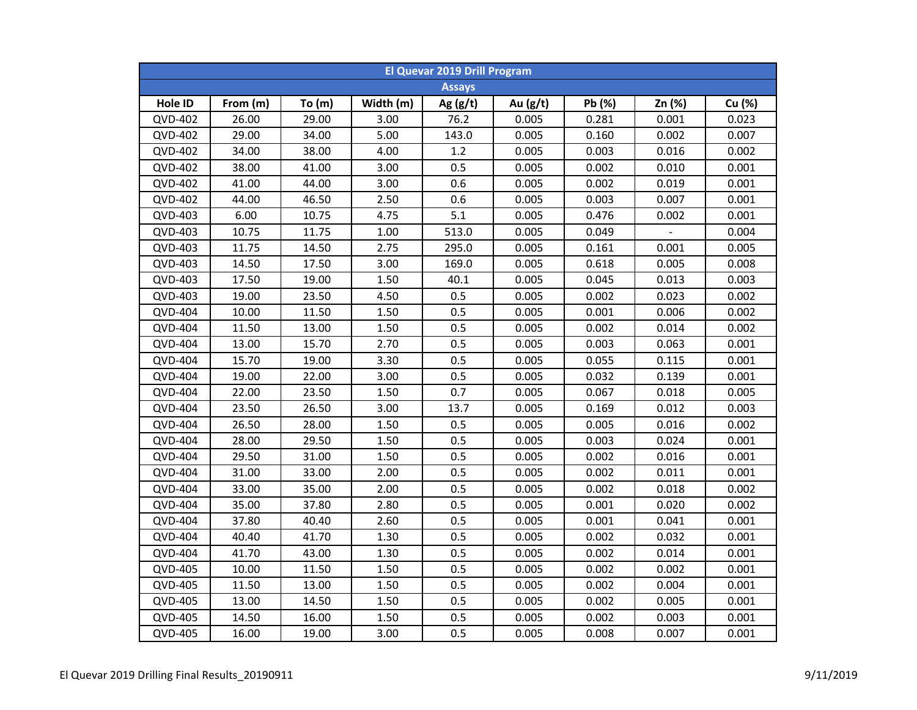| <b>El Quevar 2019 Drill Program</b> |          |       |           |               |            |        |        |        |  |  |
|-------------------------------------|----------|-------|-----------|---------------|------------|--------|--------|--------|--|--|
|                                     |          |       |           | <b>Assays</b> |            |        |        |        |  |  |
| Hole ID                             | From (m) | To(m) | Width (m) | Ag $(g/t)$    | Au $(g/t)$ | Pb (%) | Zn (%) | Cu (%) |  |  |
| QVD-402                             | 26.00    | 29.00 | 3.00      | 76.2          | 0.005      | 0.281  | 0.001  | 0.023  |  |  |
| <b>QVD-402</b>                      | 29.00    | 34.00 | 5.00      | 143.0         | 0.005      | 0.160  | 0.002  | 0.007  |  |  |
| <b>QVD-402</b>                      | 34.00    | 38.00 | 4.00      | 1.2           | 0.005      | 0.003  | 0.016  | 0.002  |  |  |
| <b>QVD-402</b>                      | 38.00    | 41.00 | 3.00      | 0.5           | 0.005      | 0.002  | 0.010  | 0.001  |  |  |
| <b>QVD-402</b>                      | 41.00    | 44.00 | 3.00      | 0.6           | 0.005      | 0.002  | 0.019  | 0.001  |  |  |
| QVD-402                             | 44.00    | 46.50 | 2.50      | 0.6           | 0.005      | 0.003  | 0.007  | 0.001  |  |  |
| QVD-403                             | 6.00     | 10.75 | 4.75      | 5.1           | 0.005      | 0.476  | 0.002  | 0.001  |  |  |
| QVD-403                             | 10.75    | 11.75 | 1.00      | 513.0         | 0.005      | 0.049  |        | 0.004  |  |  |
| QVD-403                             | 11.75    | 14.50 | 2.75      | 295.0         | 0.005      | 0.161  | 0.001  | 0.005  |  |  |
| QVD-403                             | 14.50    | 17.50 | 3.00      | 169.0         | 0.005      | 0.618  | 0.005  | 0.008  |  |  |
| QVD-403                             | 17.50    | 19.00 | 1.50      | 40.1          | 0.005      | 0.045  | 0.013  | 0.003  |  |  |
| QVD-403                             | 19.00    | 23.50 | 4.50      | 0.5           | 0.005      | 0.002  | 0.023  | 0.002  |  |  |
| <b>QVD-404</b>                      | 10.00    | 11.50 | 1.50      | 0.5           | 0.005      | 0.001  | 0.006  | 0.002  |  |  |
| <b>QVD-404</b>                      | 11.50    | 13.00 | 1.50      | 0.5           | 0.005      | 0.002  | 0.014  | 0.002  |  |  |
| <b>QVD-404</b>                      | 13.00    | 15.70 | 2.70      | 0.5           | 0.005      | 0.003  | 0.063  | 0.001  |  |  |
| <b>QVD-404</b>                      | 15.70    | 19.00 | 3.30      | 0.5           | 0.005      | 0.055  | 0.115  | 0.001  |  |  |
| <b>QVD-404</b>                      | 19.00    | 22.00 | 3.00      | 0.5           | 0.005      | 0.032  | 0.139  | 0.001  |  |  |
| <b>QVD-404</b>                      | 22.00    | 23.50 | 1.50      | 0.7           | 0.005      | 0.067  | 0.018  | 0.005  |  |  |
| <b>QVD-404</b>                      | 23.50    | 26.50 | 3.00      | 13.7          | 0.005      | 0.169  | 0.012  | 0.003  |  |  |
| <b>QVD-404</b>                      | 26.50    | 28.00 | 1.50      | 0.5           | 0.005      | 0.005  | 0.016  | 0.002  |  |  |
| QVD-404                             | 28.00    | 29.50 | 1.50      | 0.5           | 0.005      | 0.003  | 0.024  | 0.001  |  |  |
| <b>QVD-404</b>                      | 29.50    | 31.00 | 1.50      | 0.5           | 0.005      | 0.002  | 0.016  | 0.001  |  |  |
| <b>QVD-404</b>                      | 31.00    | 33.00 | 2.00      | 0.5           | 0.005      | 0.002  | 0.011  | 0.001  |  |  |
| <b>QVD-404</b>                      | 33.00    | 35.00 | 2.00      | 0.5           | 0.005      | 0.002  | 0.018  | 0.002  |  |  |
| <b>QVD-404</b>                      | 35.00    | 37.80 | 2.80      | 0.5           | 0.005      | 0.001  | 0.020  | 0.002  |  |  |
| <b>QVD-404</b>                      | 37.80    | 40.40 | 2.60      | 0.5           | 0.005      | 0.001  | 0.041  | 0.001  |  |  |
| QVD-404                             | 40.40    | 41.70 | 1.30      | 0.5           | 0.005      | 0.002  | 0.032  | 0.001  |  |  |
| QVD-404                             | 41.70    | 43.00 | 1.30      | 0.5           | 0.005      | 0.002  | 0.014  | 0.001  |  |  |
| QVD-405                             | 10.00    | 11.50 | 1.50      | 0.5           | 0.005      | 0.002  | 0.002  | 0.001  |  |  |
| QVD-405                             | 11.50    | 13.00 | 1.50      | 0.5           | 0.005      | 0.002  | 0.004  | 0.001  |  |  |
| QVD-405                             | 13.00    | 14.50 | 1.50      | 0.5           | 0.005      | 0.002  | 0.005  | 0.001  |  |  |
| <b>QVD-405</b>                      | 14.50    | 16.00 | 1.50      | 0.5           | 0.005      | 0.002  | 0.003  | 0.001  |  |  |
| QVD-405                             | 16.00    | 19.00 | 3.00      | 0.5           | 0.005      | 0.008  | 0.007  | 0.001  |  |  |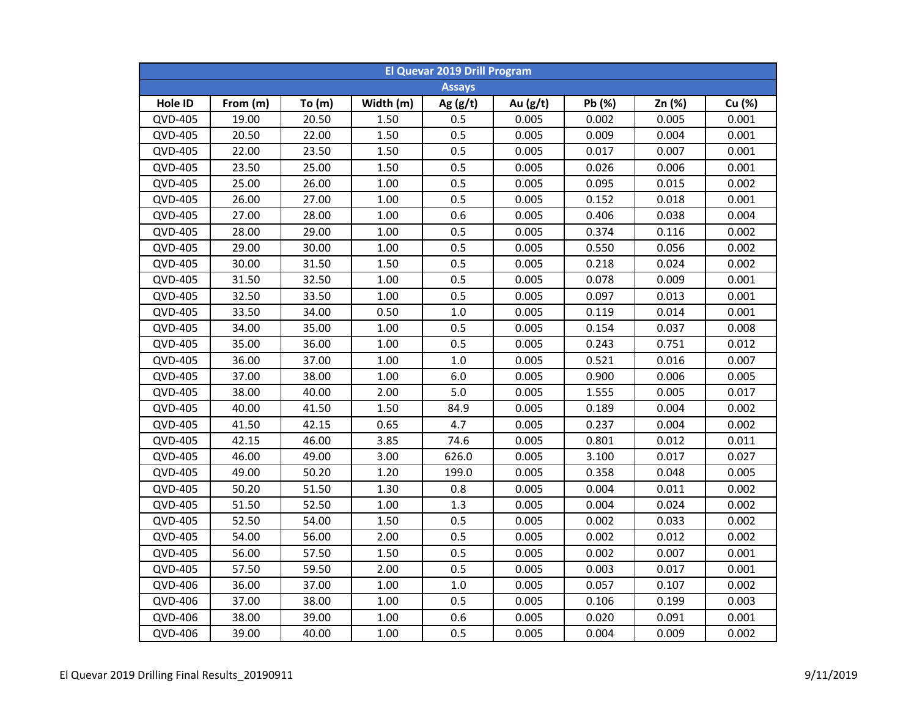| <b>El Quevar 2019 Drill Program</b> |               |       |           |            |          |        |        |        |  |  |  |
|-------------------------------------|---------------|-------|-----------|------------|----------|--------|--------|--------|--|--|--|
|                                     | <b>Assays</b> |       |           |            |          |        |        |        |  |  |  |
| Hole ID                             | From (m)      | To(m) | Width (m) | Ag $(g/t)$ | Au (g/t) | Pb (%) | Zn (%) | Cu (%) |  |  |  |
| <b>QVD-405</b>                      | 19.00         | 20.50 | 1.50      | 0.5        | 0.005    | 0.002  | 0.005  | 0.001  |  |  |  |
| <b>QVD-405</b>                      | 20.50         | 22.00 | 1.50      | 0.5        | 0.005    | 0.009  | 0.004  | 0.001  |  |  |  |
| <b>QVD-405</b>                      | 22.00         | 23.50 | 1.50      | 0.5        | 0.005    | 0.017  | 0.007  | 0.001  |  |  |  |
| <b>QVD-405</b>                      | 23.50         | 25.00 | 1.50      | 0.5        | 0.005    | 0.026  | 0.006  | 0.001  |  |  |  |
| <b>QVD-405</b>                      | 25.00         | 26.00 | 1.00      | 0.5        | 0.005    | 0.095  | 0.015  | 0.002  |  |  |  |
| QVD-405                             | 26.00         | 27.00 | 1.00      | 0.5        | 0.005    | 0.152  | 0.018  | 0.001  |  |  |  |
| QVD-405                             | 27.00         | 28.00 | 1.00      | 0.6        | 0.005    | 0.406  | 0.038  | 0.004  |  |  |  |
| <b>QVD-405</b>                      | 28.00         | 29.00 | 1.00      | 0.5        | 0.005    | 0.374  | 0.116  | 0.002  |  |  |  |
| <b>QVD-405</b>                      | 29.00         | 30.00 | 1.00      | 0.5        | 0.005    | 0.550  | 0.056  | 0.002  |  |  |  |
| <b>QVD-405</b>                      | 30.00         | 31.50 | 1.50      | 0.5        | 0.005    | 0.218  | 0.024  | 0.002  |  |  |  |
| <b>QVD-405</b>                      | 31.50         | 32.50 | 1.00      | 0.5        | 0.005    | 0.078  | 0.009  | 0.001  |  |  |  |
| QVD-405                             | 32.50         | 33.50 | 1.00      | 0.5        | 0.005    | 0.097  | 0.013  | 0.001  |  |  |  |
| <b>QVD-405</b>                      | 33.50         | 34.00 | 0.50      | 1.0        | 0.005    | 0.119  | 0.014  | 0.001  |  |  |  |
| <b>QVD-405</b>                      | 34.00         | 35.00 | 1.00      | 0.5        | 0.005    | 0.154  | 0.037  | 0.008  |  |  |  |
| <b>QVD-405</b>                      | 35.00         | 36.00 | 1.00      | 0.5        | 0.005    | 0.243  | 0.751  | 0.012  |  |  |  |
| <b>QVD-405</b>                      | 36.00         | 37.00 | 1.00      | 1.0        | 0.005    | 0.521  | 0.016  | 0.007  |  |  |  |
| <b>QVD-405</b>                      | 37.00         | 38.00 | 1.00      | 6.0        | 0.005    | 0.900  | 0.006  | 0.005  |  |  |  |
| <b>QVD-405</b>                      | 38.00         | 40.00 | 2.00      | 5.0        | 0.005    | 1.555  | 0.005  | 0.017  |  |  |  |
| <b>QVD-405</b>                      | 40.00         | 41.50 | 1.50      | 84.9       | 0.005    | 0.189  | 0.004  | 0.002  |  |  |  |
| <b>QVD-405</b>                      | 41.50         | 42.15 | 0.65      | 4.7        | 0.005    | 0.237  | 0.004  | 0.002  |  |  |  |
| QVD-405                             | 42.15         | 46.00 | 3.85      | 74.6       | 0.005    | 0.801  | 0.012  | 0.011  |  |  |  |
| <b>QVD-405</b>                      | 46.00         | 49.00 | 3.00      | 626.0      | 0.005    | 3.100  | 0.017  | 0.027  |  |  |  |
| QVD-405                             | 49.00         | 50.20 | 1.20      | 199.0      | 0.005    | 0.358  | 0.048  | 0.005  |  |  |  |
| <b>QVD-405</b>                      | 50.20         | 51.50 | 1.30      | 0.8        | 0.005    | 0.004  | 0.011  | 0.002  |  |  |  |
| <b>QVD-405</b>                      | 51.50         | 52.50 | 1.00      | 1.3        | 0.005    | 0.004  | 0.024  | 0.002  |  |  |  |
| <b>QVD-405</b>                      | 52.50         | 54.00 | 1.50      | 0.5        | 0.005    | 0.002  | 0.033  | 0.002  |  |  |  |
| QVD-405                             | 54.00         | 56.00 | 2.00      | 0.5        | 0.005    | 0.002  | 0.012  | 0.002  |  |  |  |
| QVD-405                             | 56.00         | 57.50 | 1.50      | 0.5        | 0.005    | 0.002  | 0.007  | 0.001  |  |  |  |
| <b>QVD-405</b>                      | 57.50         | 59.50 | 2.00      | 0.5        | 0.005    | 0.003  | 0.017  | 0.001  |  |  |  |
| QVD-406                             | 36.00         | 37.00 | 1.00      | 1.0        | 0.005    | 0.057  | 0.107  | 0.002  |  |  |  |
| QVD-406                             | 37.00         | 38.00 | 1.00      | 0.5        | 0.005    | 0.106  | 0.199  | 0.003  |  |  |  |
| QVD-406                             | 38.00         | 39.00 | 1.00      | 0.6        | 0.005    | 0.020  | 0.091  | 0.001  |  |  |  |
| QVD-406                             | 39.00         | 40.00 | 1.00      | 0.5        | 0.005    | 0.004  | 0.009  | 0.002  |  |  |  |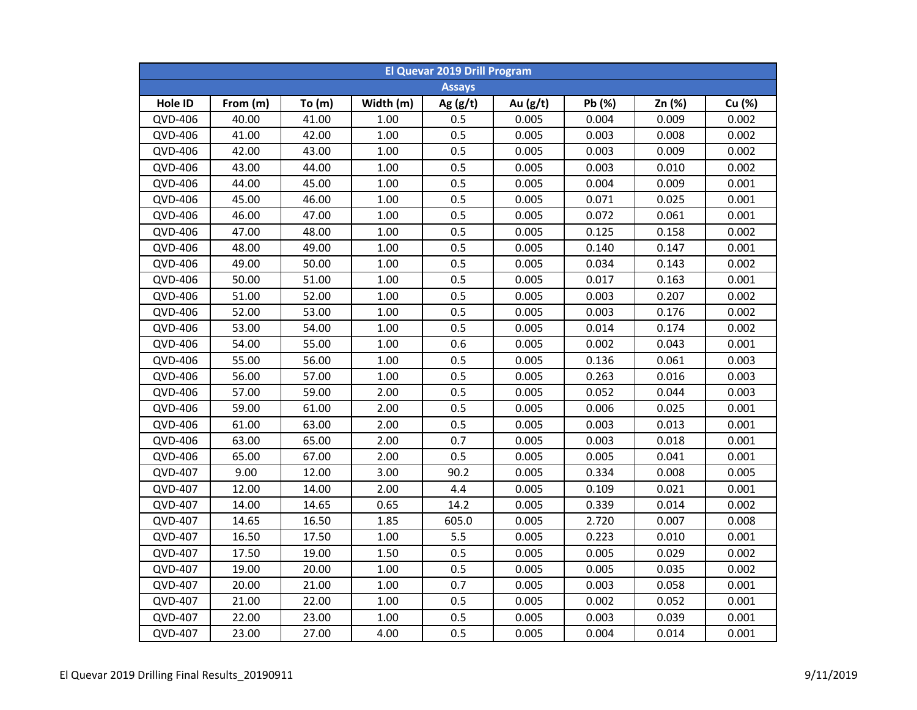| <b>El Quevar 2019 Drill Program</b> |          |       |           |               |            |        |        |        |  |  |
|-------------------------------------|----------|-------|-----------|---------------|------------|--------|--------|--------|--|--|
|                                     |          |       |           | <b>Assays</b> |            |        |        |        |  |  |
| Hole ID                             | From (m) | To(m) | Width (m) | Ag $(g/t)$    | Au $(g/t)$ | Pb (%) | Zn (%) | Cu (%) |  |  |
| QVD-406                             | 40.00    | 41.00 | 1.00      | 0.5           | 0.005      | 0.004  | 0.009  | 0.002  |  |  |
| QVD-406                             | 41.00    | 42.00 | 1.00      | 0.5           | 0.005      | 0.003  | 0.008  | 0.002  |  |  |
| QVD-406                             | 42.00    | 43.00 | 1.00      | 0.5           | 0.005      | 0.003  | 0.009  | 0.002  |  |  |
| QVD-406                             | 43.00    | 44.00 | 1.00      | 0.5           | 0.005      | 0.003  | 0.010  | 0.002  |  |  |
| QVD-406                             | 44.00    | 45.00 | 1.00      | 0.5           | 0.005      | 0.004  | 0.009  | 0.001  |  |  |
| QVD-406                             | 45.00    | 46.00 | 1.00      | 0.5           | 0.005      | 0.071  | 0.025  | 0.001  |  |  |
| QVD-406                             | 46.00    | 47.00 | 1.00      | 0.5           | 0.005      | 0.072  | 0.061  | 0.001  |  |  |
| QVD-406                             | 47.00    | 48.00 | 1.00      | 0.5           | 0.005      | 0.125  | 0.158  | 0.002  |  |  |
| QVD-406                             | 48.00    | 49.00 | 1.00      | 0.5           | 0.005      | 0.140  | 0.147  | 0.001  |  |  |
| QVD-406                             | 49.00    | 50.00 | 1.00      | 0.5           | 0.005      | 0.034  | 0.143  | 0.002  |  |  |
| QVD-406                             | 50.00    | 51.00 | 1.00      | 0.5           | 0.005      | 0.017  | 0.163  | 0.001  |  |  |
| QVD-406                             | 51.00    | 52.00 | 1.00      | 0.5           | 0.005      | 0.003  | 0.207  | 0.002  |  |  |
| QVD-406                             | 52.00    | 53.00 | 1.00      | 0.5           | 0.005      | 0.003  | 0.176  | 0.002  |  |  |
| QVD-406                             | 53.00    | 54.00 | 1.00      | 0.5           | 0.005      | 0.014  | 0.174  | 0.002  |  |  |
| QVD-406                             | 54.00    | 55.00 | 1.00      | 0.6           | 0.005      | 0.002  | 0.043  | 0.001  |  |  |
| QVD-406                             | 55.00    | 56.00 | 1.00      | 0.5           | 0.005      | 0.136  | 0.061  | 0.003  |  |  |
| QVD-406                             | 56.00    | 57.00 | 1.00      | 0.5           | 0.005      | 0.263  | 0.016  | 0.003  |  |  |
| QVD-406                             | 57.00    | 59.00 | 2.00      | 0.5           | 0.005      | 0.052  | 0.044  | 0.003  |  |  |
| QVD-406                             | 59.00    | 61.00 | 2.00      | 0.5           | 0.005      | 0.006  | 0.025  | 0.001  |  |  |
| QVD-406                             | 61.00    | 63.00 | 2.00      | 0.5           | 0.005      | 0.003  | 0.013  | 0.001  |  |  |
| QVD-406                             | 63.00    | 65.00 | 2.00      | 0.7           | 0.005      | 0.003  | 0.018  | 0.001  |  |  |
| QVD-406                             | 65.00    | 67.00 | 2.00      | 0.5           | 0.005      | 0.005  | 0.041  | 0.001  |  |  |
| QVD-407                             | 9.00     | 12.00 | 3.00      | 90.2          | 0.005      | 0.334  | 0.008  | 0.005  |  |  |
| <b>QVD-407</b>                      | 12.00    | 14.00 | 2.00      | 4.4           | 0.005      | 0.109  | 0.021  | 0.001  |  |  |
| QVD-407                             | 14.00    | 14.65 | 0.65      | 14.2          | 0.005      | 0.339  | 0.014  | 0.002  |  |  |
| QVD-407                             | 14.65    | 16.50 | 1.85      | 605.0         | 0.005      | 2.720  | 0.007  | 0.008  |  |  |
| QVD-407                             | 16.50    | 17.50 | $1.00\,$  | 5.5           | 0.005      | 0.223  | 0.010  | 0.001  |  |  |
| QVD-407                             | 17.50    | 19.00 | 1.50      | 0.5           | 0.005      | 0.005  | 0.029  | 0.002  |  |  |
| QVD-407                             | 19.00    | 20.00 | 1.00      | 0.5           | 0.005      | 0.005  | 0.035  | 0.002  |  |  |
| <b>QVD-407</b>                      | 20.00    | 21.00 | 1.00      | 0.7           | 0.005      | 0.003  | 0.058  | 0.001  |  |  |
| QVD-407                             | 21.00    | 22.00 | 1.00      | 0.5           | 0.005      | 0.002  | 0.052  | 0.001  |  |  |
| QVD-407                             | 22.00    | 23.00 | 1.00      | 0.5           | 0.005      | 0.003  | 0.039  | 0.001  |  |  |
| QVD-407                             | 23.00    | 27.00 | 4.00      | 0.5           | 0.005      | 0.004  | 0.014  | 0.001  |  |  |